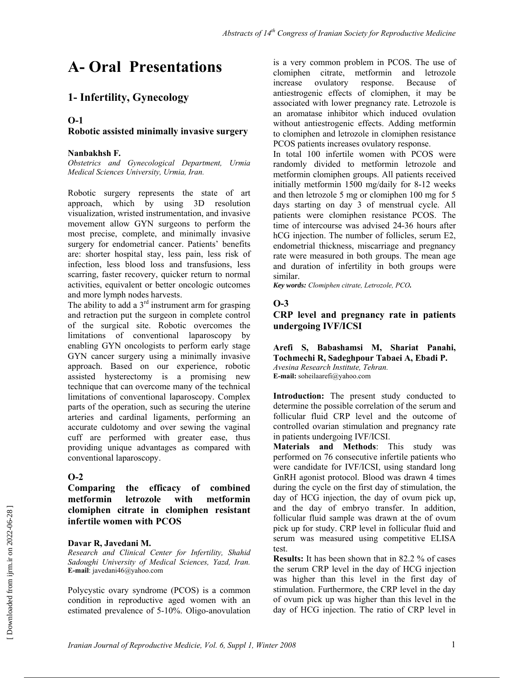# **A- Oral Presentations**

# **1- Infertility, Gynecology**

### **O-1**

### **Robotic assisted minimally invasive surgery**

### **Nanbakhsh F***.*

*Obstetrics and Gynecological Department, Urmia Medical Sciences University, Urmia, Iran.* 

Robotic surgery represents the state of art approach, which by using 3D resolution visualization, wristed instrumentation, and invasive movement allow GYN surgeons to perform the most precise, complete, and minimally invasive surgery for endometrial cancer. Patients' benefits are: shorter hospital stay, less pain, less risk of infection, less blood loss and transfusions, less scarring, faster recovery, quicker return to normal activities, equivalent or better oncologic outcomes and more lymph nodes harvests.

The ability to add a  $3<sup>rd</sup>$  instrument arm for grasping and retraction put the surgeon in complete control of the surgical site. Robotic overcomes the limitations of conventional laparoscopy by enabling GYN oncologists to perform early stage GYN cancer surgery using a minimally invasive approach. Based on our experience, robotic assisted hysterectomy is a promising new technique that can overcome many of the technical limitations of conventional laparoscopy. Complex parts of the operation, such as securing the uterine arteries and cardinal ligaments, performing an accurate culdotomy and over sewing the vaginal cuff are performed with greater ease, thus providing unique advantages as compared with conventional laparoscopy.

### **O-2**

**Comparing the efficacy of combined metformin letrozole with metformin clomiphen citrate in clomiphen resistant infertile women with PCOS** 

### **Davar R, Javedani M.**

*Research and Clinical Center for Infertility, Shahid Sadoughi University of Medical Sciences, Yazd, Iran.* **E-mail**: javedani46@yahoo.com

Polycystic ovary syndrome (PCOS) is a common condition in reproductive aged women with an estimated prevalence of 5-10%. Oligo-anovulation

is a very common problem in PCOS. The use of clomiphen citrate, metformin and letrozole increase ovulatory response. Because of antiestrogenic effects of clomiphen, it may be associated with lower pregnancy rate. Letrozole is an aromatase inhibitor which induced ovulation without antiestrogenic effects. Adding metformin to clomiphen and letrozole in clomiphen resistance PCOS patients increases ovulatory response.

In total 100 infertile women with PCOS were randomly divided to metformin letrozole and metformin clomiphen groups. All patients received initially metformin 1500 mg/daily for 8-12 weeks and then letrozole 5 mg or clomiphen 100 mg for 5 days starting on day 3 of menstrual cycle. All patients were clomiphen resistance PCOS. The time of intercourse was advised 24-36 hours after hCG injection. The number of follicles, serum E2, endometrial thickness, miscarriage and pregnancy rate were measured in both groups. The mean age and duration of infertility in both groups were similar.

*Key words: Clomiphen citrate, Letrozole, PCO.* 

### **O-3**

**CRP level and pregnancy rate in patients undergoing IVF/ICSI** 

**Arefi S, Babashamsi M, Shariat Panahi, Tochmechi R, Sadeghpour Tabaei A, Ebadi P.**  *Avesina Research Institute, Tehran.* **E-mail:** soheilaarefi@yahoo.com

**Introduction:** The present study conducted to determine the possible correlation of the serum and follicular fluid CRP level and the outcome of controlled ovarian stimulation and pregnancy rate in patients undergoing IVF/ICSI.

**Materials and Methods**: This study was performed on 76 consecutive infertile patients who were candidate for IVF/ICSI, using standard long GnRH agonist protocol. Blood was drawn 4 times during the cycle on the first day of stimulation, the day of HCG injection, the day of ovum pick up, and the day of embryo transfer. In addition, follicular fluid sample was drawn at the of ovum pick up for study. CRP level in follicular fluid and serum was measured using competitive ELISA test.

**Results:** It has been shown that in 82.2 % of cases the serum CRP level in the day of HCG injection was higher than this level in the first day of stimulation. Furthermore, the CRP level in the day of ovum pick up was higher than this level in the day of HCG injection. The ratio of CRP level in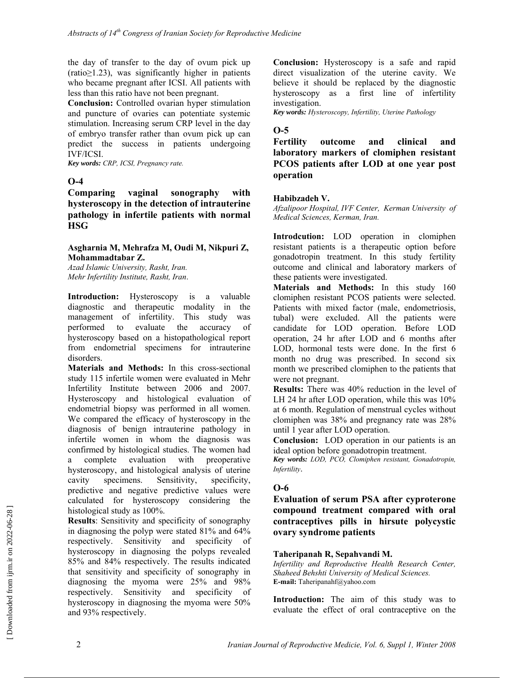the day of transfer to the day of ovum pick up (ratio≥1.23), was significantly higher in patients who became pregnant after ICSI. All patients with less than this ratio have not been pregnant.

**Conclusion:** Controlled ovarian hyper stimulation and puncture of ovaries can potentiate systemic stimulation. Increasing serum CRP level in the day of embryo transfer rather than ovum pick up can predict the success in patients undergoing IVF/ICSI.

*Key words: CRP, ICSI, Pregnancy rate.*

### **O-4**

**Comparing vaginal sonography with hysteroscopy in the detection of intrauterine pathology in infertile patients with normal HSG** 

#### **Asgharnia M, Mehrafza M, Oudi M, Nikpuri Z, Mohammadtabar Z.**

*Azad Islamic University, Rasht, Iran. Mehr Infertility Institute, Rasht, Iran*.

**Introduction:** Hysteroscopy is a valuable diagnostic and therapeutic modality in the management of infertility. This study was performed to evaluate the accuracy of hysteroscopy based on a histopathological report from endometrial specimens for intrauterine disorders.

**Materials and Methods:** In this cross-sectional study 115 infertile women were evaluated in Mehr Infertility Institute between 2006 and 2007. Hysteroscopy and histological evaluation of endometrial biopsy was performed in all women. We compared the efficacy of hysteroscopy in the diagnosis of benign intrauterine pathology in infertile women in whom the diagnosis was confirmed by histological studies. The women had a complete evaluation with preoperative hysteroscopy, and histological analysis of uterine cavity specimens. Sensitivity, specificity, predictive and negative predictive values were calculated for hysteroscopy considering the histological study as 100%.

**Results**: Sensitivity and specificity of sonography in diagnosing the polyp were stated 81% and 64% respectively. Sensitivity and specificity of hysteroscopy in diagnosing the polyps revealed 85% and 84% respectively. The results indicated that sensitivity and specificity of sonography in diagnosing the myoma were 25% and 98% respectively. Sensitivity and specificity of hysteroscopy in diagnosing the myoma were 50% and 93% respectively.

**Conclusion:** Hysteroscopy is a safe and rapid direct visualization of the uterine cavity. We believe it should be replaced by the diagnostic hysteroscopy as a first line of infertility investigation.

*Key words: Hysteroscopy, Infertility, Uterine Pathology* 

#### **O-5**

**Fertility outcome and clinical and laboratory markers of clomiphen resistant PCOS patients after LOD at one year post operation**

#### **Habibzadeh V.**

*Afzalipoor Hospital, IVF Center, Kerman University of Medical Sciences, Kerman, Iran.* 

**Introdcution:** LOD operation in clomiphen resistant patients is a therapeutic option before gonadotropin treatment. In this study fertility outcome and clinical and laboratory markers of these patients were investigated.

**Materials and Methods:** In this study 160 clomiphen resistant PCOS patients were selected. Patients with mixed factor (male, endometriosis, tubal) were excluded. All the patients were candidate for LOD operation. Before LOD operation, 24 hr after LOD and 6 months after LOD, hormonal tests were done. In the first 6 month no drug was prescribed. In second six month we prescribed clomiphen to the patients that were not pregnant.

**Results:** There was 40% reduction in the level of LH 24 hr after LOD operation, while this was 10% at 6 month. Regulation of menstrual cycles without clomiphen was 38% and pregnancy rate was 28% until 1 year after LOD operation.

**Conclusion:** LOD operation in our patients is an ideal option before gonadotropin treatment.

*Key words: LOD, PCO, Clomiphen resistant, Gonadotropin, Infertility*.

### **O-6**

**Evaluation of serum PSA after cyproterone compound treatment compared with oral contraceptives pills in hirsute polycystic ovary syndrome patients** 

#### **Taheripanah R, Sepahvandi M.**

*Infertility and Reproductive Health Research Center, Shaheed Behshti University of Medical Sciences.*  **E-mail:** Taheripanahf@yahoo.com

**Introduction:** The aim of this study was to evaluate the effect of oral contraceptive on the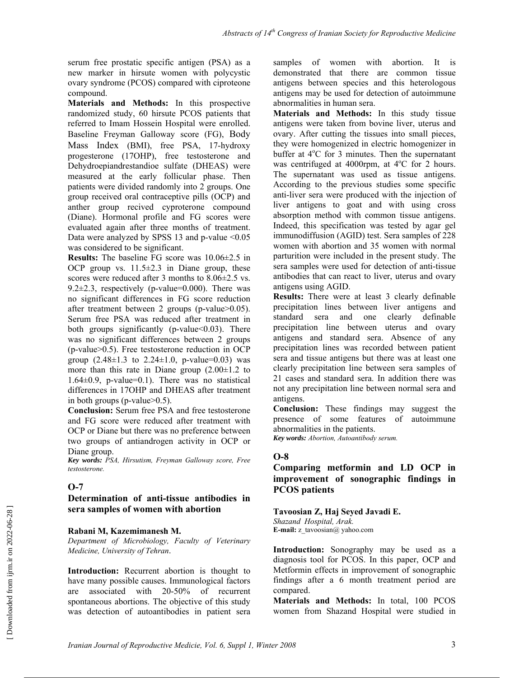serum free prostatic specific antigen (PSA) as a new marker in hirsute women with polycystic ovary syndrome (PCOS) compared with ciproteone compound.

**Materials and Methods:** In this prospective randomized study, 60 hirsute PCOS patients that referred to Imam Hossein Hospital were enrolled. Baseline Freyman Galloway score (FG), Body Mass Index (BMI), free PSA, 17-hydroxy progesterone (17OHP), free testosterone and Dehydroepiandrestandioe sulfate (DHEAS) were measured at the early follicular phase. Then patients were divided randomly into 2 groups. One group received oral contraceptive pills (OCP) and anther group recived cyproterone compound (Diane). Hormonal profile and FG scores were evaluated again after three months of treatment. Data were analyzed by SPSS 13 and p-value  $\leq 0.05$ was considered to be significant.

**Results:** The baseline FG score was 10.06±2.5 in OCP group vs.  $11.5\pm 2.3$  in Diane group, these scores were reduced after 3 months to  $8.06\pm2.5$  vs. 9.2 $\pm$ 2.3, respectively (p-value=0.000). There was no significant differences in FG score reduction after treatment between 2 groups (p-value>0.05). Serum free PSA was reduced after treatment in both groups significantly (p-value<0.03). There was no significant differences between 2 groups (p-value>0.5). Free testosterone reduction in OCP group  $(2.48 \pm 1.3 \text{ to } 2.24 \pm 1.0, \text{ p-value}=0.03)$  was more than this rate in Diane group  $(2.00\pm1.2)$  to 1.64±0.9, p-value=0.1). There was no statistical differences in 17OHP and DHEAS after treatment in both groups (p-value>0.5).

**Conclusion:** Serum free PSA and free testosterone and FG score were reduced after treatment with OCP or Diane but there was no preference between two groups of antiandrogen activity in OCP or Diane group.

*Key words: PSA, Hirsutism, Freyman Galloway score, Free testosterone.* 

#### **O-7**

#### **Determination of anti-tissue antibodies in sera samples of women with abortion**

#### **Rabani M, Kazemimanesh M.**

*Department of Microbiology, Faculty of Veterinary Medicine, University of Tehran*.

**Introduction:** Recurrent abortion is thought to have many possible causes. Immunological factors are associated with 20-50% of recurrent spontaneous abortions. The objective of this study was detection of autoantibodies in patient sera samples of women with abortion. It is demonstrated that there are common tissue antigens between species and this heterologous antigens may be used for detection of autoimmune abnormalities in human sera.

**Materials and Methods:** In this study tissue antigens were taken from bovine liver, uterus and ovary. After cutting the tissues into small pieces, they were homogenized in electric homogenizer in buffer at 4°C for 3 minutes. Then the supernatant was centrifuged at 4000rpm, at  $4^{\circ}$ C for 2 hours. The supernatant was used as tissue antigens. According to the previous studies some specific anti-liver sera were produced with the injection of liver antigens to goat and with using cross absorption method with common tissue antigens. Indeed, this specification was tested by agar gel immunodiffusion (AGID) test. Sera samples of 228 women with abortion and 35 women with normal parturition were included in the present study. The sera samples were used for detection of anti-tissue antibodies that can react to liver, uterus and ovary antigens using AGID.

**Results:** There were at least 3 clearly definable precipitation lines between liver antigens and standard sera and one clearly definable precipitation line between uterus and ovary antigens and standard sera. Absence of any precipitation lines was recorded between patient sera and tissue antigens but there was at least one clearly precipitation line between sera samples of 21 cases and standard sera. In addition there was not any precipitation line between normal sera and antigens.

**Conclusion:** These findings may suggest the presence of some features of autoimmune abnormalities in the patients.

*Key words: Abortion, Autoantibody serum.* 

#### **O-8**

### **Comparing metformin and LD OCP in improvement of sonographic findings in PCOS patients**

#### **Tavoosian Z, Haj Seyed Javadi E.**

*Shazand Hospital, Arak.*  **E-mail:** z\_tavoosian@ yahoo.com

**Introduction:** Sonography may be used as a diagnosis tool for PCOS. In this paper, OCP and Metformin effects in improvement of sonographic findings after a 6 month treatment period are compared.

**Materials and Methods:** In total, 100 PCOS women from Shazand Hospital were studied in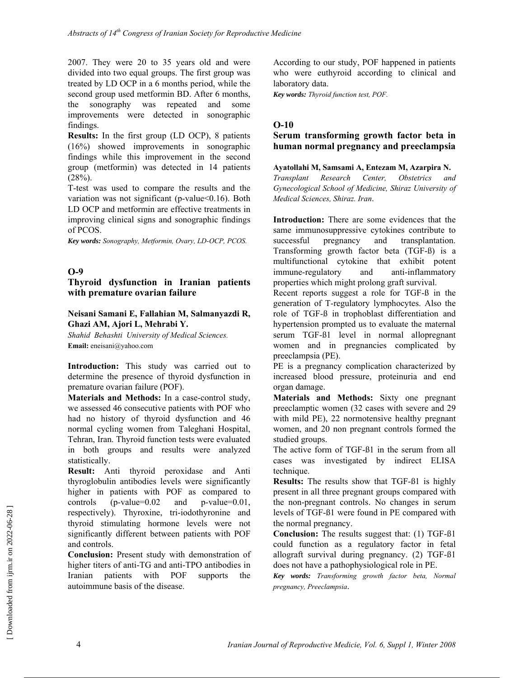2007. They were 20 to 35 years old and were divided into two equal groups. The first group was treated by LD OCP in a 6 months period, while the second group used metformin BD. After 6 months, the sonography was repeated and some improvements were detected in sonographic findings.

**Results:** In the first group (LD OCP), 8 patients (16%) showed improvements in sonographic findings while this improvement in the second group (metformin) was detected in 14 patients  $(28%)$ .

T-test was used to compare the results and the variation was not significant (p-value<0.16). Both LD OCP and metformin are effective treatments in improving clinical signs and sonographic findings of PCOS.

*Key words: Sonography, Metformin, Ovary, LD-OCP, PCOS.* 

### **O-9**

#### **Thyroid dysfunction in Iranian patients with premature ovarian failure**

#### **Neisani Samani E, Fallahian M, Salmanyazdi R, Ghazi AM, Ajori L, Mehrabi Y.**

*Shahid Behashti University of Medical Sciences.*  **Email:** eneisani@yahoo.com

**Introduction:** This study was carried out to determine the presence of thyroid dysfunction in premature ovarian failure (POF).

**Materials and Methods:** In a case-control study, we assessed 46 consecutive patients with POF who had no history of thyroid dysfunction and 46 normal cycling women from Taleghani Hospital, Tehran, Iran. Thyroid function tests were evaluated in both groups and results were analyzed statistically.

**Result:** Anti thyroid peroxidase and Anti thyroglobulin antibodies levels were significantly higher in patients with POF as compared to controls (p-value=0.02 and p-value=0.01, respectively). Thyroxine, tri-iodothyronine and thyroid stimulating hormone levels were not significantly different between patients with POF and controls.

**Conclusion:** Present study with demonstration of higher titers of anti-TG and anti-TPO antibodies in Iranian patients with POF supports the autoimmune basis of the disease.

According to our study, POF happened in patients who were euthyroid according to clinical and laboratory data.

*Key words: Thyroid function test, POF.* 

### **O-10**

### **Serum transforming growth factor beta in human normal pregnancy and preeclampsia**

#### **Ayatollahi M, Samsami A, Entezam M, Azarpira N.**

*Transplant Research Center, Obstetrics and Gynecological School of Medicine, Shiraz University of Medical Sciences, Shiraz. Iran*.

**Introduction:** There are some evidences that the same immunosuppressive cytokines contribute to successful pregnancy and transplantation. Transforming growth factor beta (TGF-ß) is a multifunctional cytokine that exhibit potent immune-regulatory and anti-inflammatory properties which might prolong graft survival.

Recent reports suggest a role for TGF-ß in the generation of T-regulatory lymphocytes. Also the role of TGF-ß in trophoblast differentiation and hypertension prompted us to evaluate the maternal serum TGF-ß1 level in normal allopregnant women and in pregnancies complicated by preeclampsia (PE).

PE is a pregnancy complication characterized by increased blood pressure, proteinuria and end organ damage.

**Materials and Methods:** Sixty one pregnant preeclamptic women (32 cases with severe and 29 with mild PE), 22 normotensive healthy pregnant women, and 20 non pregnant controls formed the studied groups.

The active form of TGF-ß1 in the serum from all cases was investigated by indirect ELISA technique.

**Results:** The results show that TGF-ß1 is highly present in all three pregnant groups compared with the non-pregnant controls. No changes in serum levels of TGF-ß1 were found in PE compared with the normal pregnancy.

**Conclusion:** The results suggest that: (1) TGF-ß1 could function as a regulatory factor in fetal allograft survival during pregnancy. (2) TGF-ß1 does not have a pathophysiological role in PE.

*Key words: Transforming growth factor beta, Normal pregnancy, Preeclampsia*.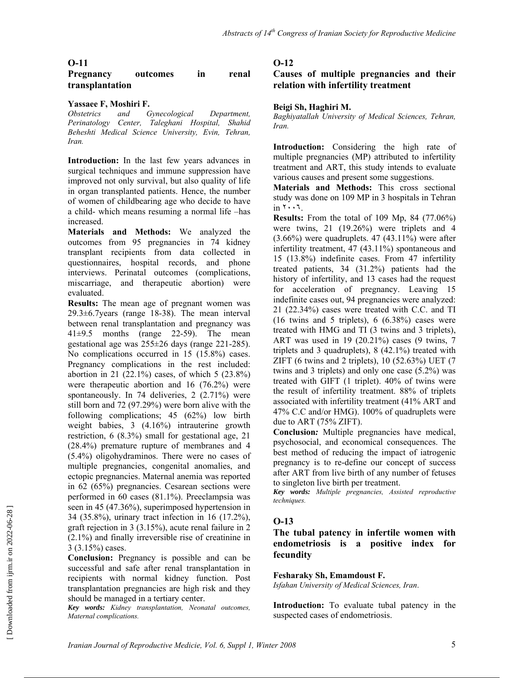### **Pregnancy outcomes in renal transplantation**

#### **Yassaee F, Moshiri F.**

*Obstetrics and Gynecological Department, Perinatology Center, Taleghani Hospital, Shahid Beheshti Medical Science University, Evin, Tehran, Iran.* 

**Introduction:** In the last few years advances in surgical techniques and immune suppression have improved not only survival, but also quality of life in organ transplanted patients. Hence, the number of women of childbearing age who decide to have a child- which means resuming a normal life –has increased.

**Materials and Methods:** We analyzed the outcomes from 95 pregnancies in 74 kidney transplant recipients from data collected in questionnaires, hospital records, and phone interviews. Perinatal outcomes (complications, miscarriage, and therapeutic abortion) were evaluated.

**Results:** The mean age of pregnant women was 29.3±6.7years (range 18-38). The mean interval between renal transplantation and pregnancy was 41±9.5 months (range 22-59). The mean gestational age was 255±26 days (range 221-285). No complications occurred in 15 (15.8%) cases. Pregnancy complications in the rest included: abortion in 21 (22.1%) cases, of which 5 (23.8%) were therapeutic abortion and 16 (76.2%) were spontaneously. In 74 deliveries, 2 (2.71%) were still born and 72 (97.29%) were born alive with the following complications; 45 (62%) low birth weight babies, 3 (4.16%) intrauterine growth restriction, 6 (8.3%) small for gestational age, 21 (28.4%) premature rupture of membranes and 4 (5.4%) oligohydraminos. There were no cases of multiple pregnancies, congenital anomalies, and ectopic pregnancies. Maternal anemia was reported in 62 (65%) pregnancies. Cesarean sections were performed in 60 cases (81.1%). Preeclampsia was seen in 45 (47.36%), superimposed hypertension in 34 (35.8%), urinary tract infection in 16 (17.2%), graft rejection in 3 (3.15%), acute renal failure in 2 (2.1%) and finally irreversible rise of creatinine in 3 (3.15%) cases.

**Conclusion:** Pregnancy is possible and can be successful and safe after renal transplantation in recipients with normal kidney function. Post transplantation pregnancies are high risk and they should be managed in a tertiary center.

*Key words: Kidney transplantation, Neonatal outcomes, Maternal complications.* 

#### **O-12**

#### **Causes of multiple pregnancies and their relation with infertility treatment**

#### **Beigi Sh, Haghiri M.**

*Baghiyatallah University of Medical Sciences, Tehran, Iran.* 

**Introduction:** Considering the high rate of multiple pregnancies (MP) attributed to infertility treatment and ART, this study intends to evaluate various causes and present some suggestions.

**Materials and Methods:** This cross sectional study was done on 109 MP in 3 hospitals in Tehran in ٢٠٠٦.

**Results:** From the total of 109 Mp, 84 (77.06%) were twins, 21 (19.26%) were triplets and 4 (3.66%) were quadruplets. 47 (43.11%) were after infertility treatment, 47 (43.11%) spontaneous and 15 (13.8%) indefinite cases. From 47 infertility treated patients, 34 (31.2%) patients had the history of infertility, and 13 cases had the request for acceleration of pregnancy. Leaving 15 indefinite cases out, 94 pregnancies were analyzed: 21 (22.34%) cases were treated with C.C. and TI  $(16 \text{ twins and } 5 \text{ triplets})$ ,  $(6.38\%)$  cases were treated with HMG and TI (3 twins and 3 triplets), ART was used in 19 (20.21%) cases (9 twins, 7 triplets and 3 quadruplets), 8 (42.1%) treated with ZIFT (6 twins and 2 triplets), 10 (52.63%) UET (7 twins and 3 triplets) and only one case (5.2%) was treated with GIFT (1 triplet). 40% of twins were the result of infertility treatment. 88% of triplets associated with infertility treatment (41% ART and 47% C.C and/or HMG). 100% of quadruplets were due to ART (75% ZIFT).

**Conclusion***:* Multiple pregnancies have medical, psychosocial, and economical consequences. The best method of reducing the impact of iatrogenic pregnancy is to re-define our concept of success after ART from live birth of any number of fetuses to singleton live birth per treatment.

*Key words: Multiple pregnancies, Assisted reproductive techniques.* 

#### **O-13**

**The tubal patency in infertile women with endometriosis is a positive index for fecundity** 

#### **Fesharaky Sh, Emamdoust F.**

*Isfahan University of Medical Sciences, Iran*.

**Introduction:** To evaluate tubal patency in the suspected cases of endometriosis.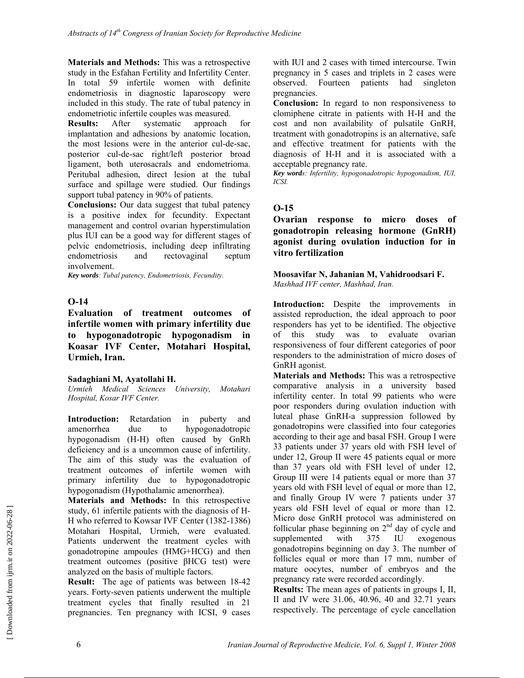**Materials and Methods:** This was a retrospective study in the Esfahan Fertility and Infertility Center. In total 59 infertile women with definite endometriosis in diagnostic laparoscopy were included in this study. The rate of tubal patency in endometriotic infertile couples was measured.

**Results:** After systematic approach for implantation and adhesions by anatomic location, the most lesions were in the anterior cul-de-sac, posterior cul-de-sac right/left posterior broad ligament, both uterosacrals and endometrioma. Peritubal adhesion, direct lesion at the tubal surface and spillage were studied. Our findings support tubal patency in 90% of patients.

**Conclusions:** Our data suggest that tubal patency is a positive index for fecundity. Expectant management and control ovarian hyperstimulation plus IUI can be a good way for different stages of pelvic endometriosis, including deep infiltrating endometriosis and rectovaginal septum involvement.

*Key words: Tubal patency, Endometriosis, Fecundity.* 

### **O-14**

**Evaluation of treatment outcomes of infertile women with primary infertility due to hypogonadotropic hypogonadism in Koasar IVF Center, Motahari Hospital, Urmieh, Iran.** 

#### **Sadaghiani M, Ayatollahi H.**

*Urmieh Medical Sciences University, Motahari Hospital, Kosar IVF Center.* 

**Introduction:** Retardation in puberty and amenorrhea due to hypogonadotropic hypogonadism (H-H) often caused by GnRh deficiency and is a uncommon cause of infertility. The aim of this study was the evaluation of treatment outcomes of infertile women with primary infertility due to hypogonadotropic hypogonadism (Hypothalamic amenorrhea).

**Materials and Methods:** In this retrospective study, 61 infertile patients with the diagnosis of H-H who referred to Kowsar IVF Center (1382-1386) Motahari Hospital, Urmieh, were evaluated. Patients underwent the treatment cycles with gonadotropine ampoules (HMG+HCG) and then treatment outcomes (positive βHCG test) were analyzed on the basis of multiple factors.

**Result:** The age of patients was between 18-42 years. Forty-seven patients underwent the multiple treatment cycles that finally resulted in 21 pregnancies. Ten pregnancy with ICSI, 9 cases with IUI and 2 cases with timed intercourse. Twin pregnancy in 5 cases and triplets in 2 cases were observed. Fourteen patients had singleton pregnancies.

**Conclusion:** In regard to non responsiveness to clomiphene citrate in patients with H-H and the cost and non availability of pulsatile GnRH, treatment with gonadotropins is an alternative, safe and effective treatment for patients with the diagnosis of H-H and it is associated with a acceptable pregnancy rate.

*Key words: Infertility, hypogonadotropic hypogonadism, IUI, ICSI.*

### **O-15**

**Ovarian response to micro doses of gonadotropin releasing hormone (GnRH) agonist during ovulation induction for in vitro fertilization** 

#### **Moosavifar N, Jahanian M, Vahidroodsari F.**  *Mashhad IVF center, Mashhad, Iran.*

**Introduction:** Despite the improvements in assisted reproduction, the ideal approach to poor responders has yet to be identified. The objective of this study was to evaluate ovarian responsiveness of four different categories of poor responders to the administration of micro doses of GnRH agonist.

**Materials and Methods:** This was a retrospective comparative analysis in a university based infertility center. In total 99 patients who were poor responders during ovulation induction with luteal phase GnRH-a suppression followed by gonadotropins were classified into four categories according to their age and basal FSH. Group I were 33 patients under 37 years old with FSH level of under 12, Group II were 45 patients equal or more than 37 years old with FSH level of under 12, Group III were 14 patients equal or more than 37 years old with FSH level of equal or more than 12, and finally Group IV were 7 patients under 37 years old FSH level of equal or more than 12. Micro dose GnRH protocol was administered on follicular phase beginning on  $2<sup>nd</sup>$  day of cycle and<br>supplemented with  $375$  IU exogenous supplemented with 375 IU gonadotropins beginning on day 3. The number of follicles equal or more than 17 mm, number of mature oocytes, number of embryos and the pregnancy rate were recorded accordingly.

**Results:** The mean ages of patients in groups I, II, II and IV were 31.06, 40.96, 40 and 32.71 years respectively. The percentage of cycle cancellation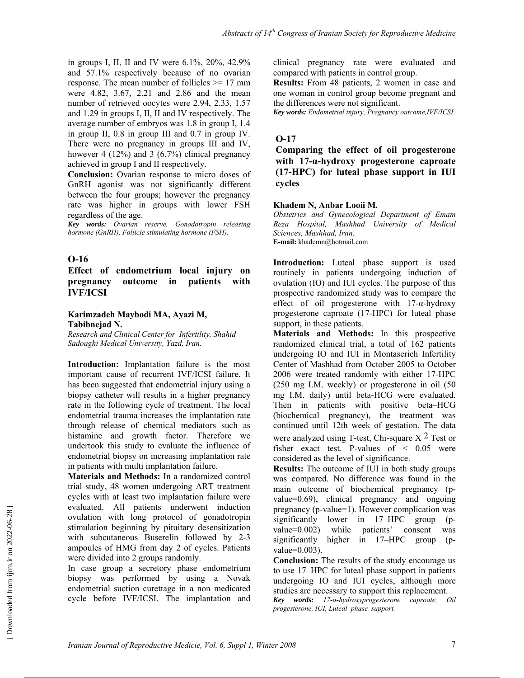in groups I, II, II and IV were 6.1%, 20%, 42.9% and 57.1% respectively because of no ovarian response. The mean number of follicles >= 17 mm were 4.82, 3.67, 2.21 and 2.86 and the mean number of retrieved oocytes were 2.94, 2.33, 1.57 and 1.29 in groups I, II, II and IV respectively. The average number of embryos was 1.8 in group I, 1.4 in group II, 0.8 in group III and 0.7 in group IV. There were no pregnancy in groups III and IV, however 4 (12%) and 3 (6.7%) clinical pregnancy achieved in group I and II respectively.

**Conclusion:** Ovarian response to micro doses of GnRH agonist was not significantly different between the four groups; however the pregnancy rate was higher in groups with lower FSH regardless of the age.

*Key words: Ovarian reserve, Gonadotropin releasing hormone (GnRH), Follicle stimulating hormone (FSH).* 

#### **O-16**

### **Effect of endometrium local injury on pregnancy outcome in patients with IVF/ICSI**

#### **Karimzadeh Maybodi MA, Ayazi M, Tabibnejad N.**

*Research and Clinical Center for Infertility, Shahid Sadoughi Medical University, Yazd, Iran.* 

**Introduction:** Implantation failure is the most important cause of recurrent IVF/ICSI failure. It has been suggested that endometrial injury using a biopsy catheter will results in a higher pregnancy rate in the following cycle of treatment. The local endometrial trauma increases the implantation rate through release of chemical mediators such as histamine and growth factor. Therefore we undertook this study to evaluate the influence of endometrial biopsy on increasing implantation rate in patients with multi implantation failure.

**Materials and Methods:** In a randomized control trial study, 48 women undergoing ART treatment cycles with at least two implantation failure were evaluated. All patients underwent induction ovulation with long protocol of gonadotropin stimulation beginning by pituitary desensitization with subcutaneous Buserelin followed by 2-3 ampoules of HMG from day 2 of cycles. Patients were divided into 2 groups randomly.

In case group a secretory phase endometrium biopsy was performed by using a Novak endometrial suction curettage in a non medicated cycle before IVF/ICSI. The implantation and clinical pregnancy rate were evaluated and compared with patients in control group.

**Results:** From 48 patients, 2 women in case and one woman in control group become pregnant and the differences were not significant.

*Key words: Endometrial injury, Pregnancy outcome,IVF/ICSI.* 

#### **O-17**

**Comparing the effect of oil progesterone with 17-α-hydroxy progesterone caproate (17-HPC) for luteal phase support in IUI cycles**

#### **Khadem N, Anbar Looii M***.*

*Obstetrics and Gynecological Department of Emam Reza Hospital, Mashhad University of Medical Sciences, Mashhad, Iran.*  **E-mail:** khademn@hotmail.com

**Introduction:** Luteal phase support is used routinely in patients undergoing induction of ovulation (IO) and IUI cycles. The purpose of this prospective randomized study was to compare the effect of oil progesterone with  $17$ -α-hydroxy progesterone caproate (17-HPC) for luteal phase support, in these patients.

**Materials and Methods:** In this prospective randomized clinical trial, a total of 162 patients undergoing IO and IUI in Montaserieh Infertility Center of Mashhad from October 2005 to October 2006 were treated randomly with either 17-HPC (250 mg I.M. weekly) or progesterone in oil (50 mg I.M. daily) until beta-HCG were evaluated. Then in patients with positive beta–HCG (biochemical pregnancy), the treatment was continued until 12th week of gestation. The data were analyzed using T-test, Chi-square  $X<sup>2</sup>$  Test or fisher exact test. P-values of < 0.05 were considered as the level of significance.

**Results:** The outcome of IUI in both study groups was compared. No difference was found in the main outcome of biochemical pregnancy (pvalue=0.69), clinical pregnancy and ongoing pregnancy (p-value=1). However complication was significantly lower in 17–HPC group (pvalue=0.002) while patients' consent was significantly higher in 17–HPC group (pvalue=0.003).

**Conclusion:** The results of the study encourage us to use 17–HPC for luteal phase support in patients undergoing IO and IUI cycles, although more studies are necessary to support this replacement.

*Key words: 17-α-hydroxyprogesterone caproate, Oil progesterone, IUI, Luteal phase support.*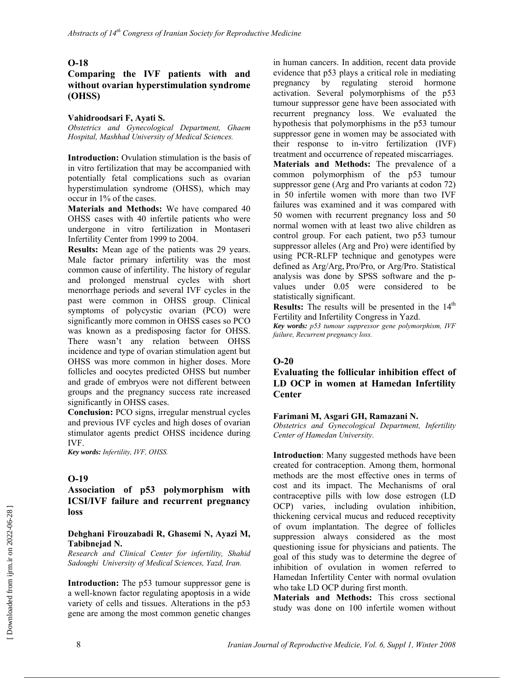### **Comparing the IVF patients with and without ovarian hyperstimulation syndrome (OHSS)**

#### **Vahidroodsari F, Ayati S.**

*Obstetrics and Gynecological Department, Ghaem Hospital, Mashhad University of Medical Sciences.* 

**Introduction:** Ovulation stimulation is the basis of in vitro fertilization that may be accompanied with potentially fetal complications such as ovarian hyperstimulation syndrome (OHSS), which may occur in 1% of the cases.

**Materials and Methods:** We have compared 40 OHSS cases with 40 infertile patients who were undergone in vitro fertilization in Montaseri Infertility Center from 1999 to 2004.

**Results:** Mean age of the patients was 29 years. Male factor primary infertility was the most common cause of infertility. The history of regular and prolonged menstrual cycles with short menorrhage periods and several IVF cycles in the past were common in OHSS group. Clinical symptoms of polycystic ovarian (PCO) were significantly more common in OHSS cases so PCO was known as a predisposing factor for OHSS. There wasn't any relation between OHSS incidence and type of ovarian stimulation agent but OHSS was more common in higher doses. More follicles and oocytes predicted OHSS but number and grade of embryos were not different between groups and the pregnancy success rate increased significantly in OHSS cases.

**Conclusion:** PCO signs, irregular menstrual cycles and previous IVF cycles and high doses of ovarian stimulator agents predict OHSS incidence during IVF.

*Key words: Infertility, IVF, OHSS.* 

#### **O-19**

#### **Association of p53 polymorphism with ICSI/IVF failure and recurrent pregnancy loss**

#### **Dehghani Firouzabadi R, Ghasemi N, Ayazi M, Tabibnejad N.**

*Research and Clinical Center for infertility, Shahid Sadoughi University of Medical Sciences, Yazd, Iran.* 

**Introduction:** The p53 tumour suppressor gene is a well-known factor regulating apoptosis in a wide variety of cells and tissues. Alterations in the p53 gene are among the most common genetic changes in human cancers. In addition, recent data provide evidence that p53 plays a critical role in mediating pregnancy by regulating steroid hormone activation. Several polymorphisms of the p53 tumour suppressor gene have been associated with recurrent pregnancy loss. We evaluated the hypothesis that polymorphisms in the p53 tumour suppressor gene in women may be associated with their response to in-vitro fertilization (IVF) treatment and occurrence of repeated miscarriages. **Materials and Methods:** The prevalence of a common polymorphism of the p53 tumour suppressor gene (Arg and Pro variants at codon 72) in 50 infertile women with more than two IVF failures was examined and it was compared with 50 women with recurrent pregnancy loss and 50 normal women with at least two alive children as control group. For each patient, two p53 tumour suppressor alleles (Arg and Pro) were identified by using PCR-RLFP technique and genotypes were defined as Arg/Arg, Pro/Pro, or Arg/Pro. Statistical analysis was done by SPSS software and the pvalues under 0.05 were considered to be statistically significant.

**Results:** The results will be presented in the 14<sup>th</sup> Fertility and Infertility Congress in Yazd.

*Key words: p53 tumour suppressor gene polymorphism, IVF failure, Recurrent pregnancy loss.* 

### **O-20**

**Evaluating the follicular inhibition effect of LD OCP in women at Hamedan Infertility Center** 

#### **Farimani M, Asgari GH, Ramazani N.**

*Obstetrics and Gynecological Department, Infertility Center of Hamedan University.* 

**Introduction**: Many suggested methods have been created for contraception. Among them, hormonal methods are the most effective ones in terms of cost and its impact. The Mechanisms of oral contraceptive pills with low dose estrogen (LD OCP) varies, including ovulation inhibition, thickening cervical mucus and reduced receptivity of ovum implantation. The degree of follicles suppression always considered as the most questioning issue for physicians and patients. The goal of this study was to determine the degree of inhibition of ovulation in women referred to Hamedan Infertility Center with normal ovulation who take LD OCP during first month.

**Materials and Methods:** This cross sectional study was done on 100 infertile women without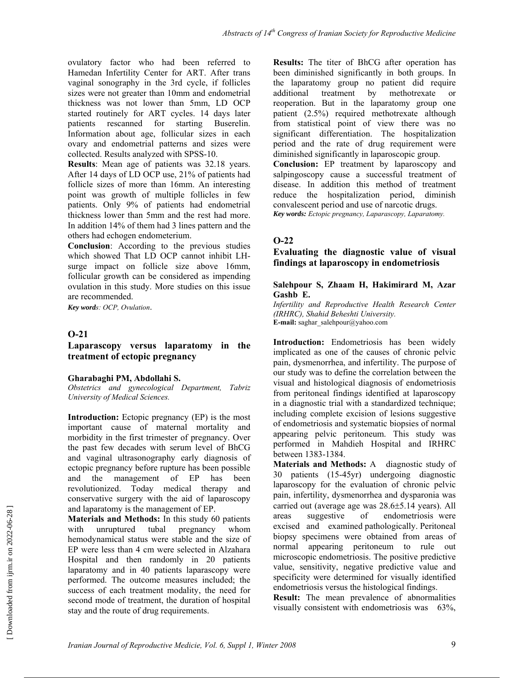ovulatory factor who had been referred to Hamedan Infertility Center for ART. After trans vaginal sonography in the 3rd cycle, if follicles sizes were not greater than 10mm and endometrial thickness was not lower than 5mm, LD OCP started routinely for ART cycles. 14 days later patients rescanned for starting Buserelin. Information about age, follicular sizes in each ovary and endometrial patterns and sizes were collected. Results analyzed with SPSS-10.

**Results**: Mean age of patients was 32.18 years. After 14 days of LD OCP use, 21% of patients had follicle sizes of more than 16mm. An interesting point was growth of multiple follicles in few patients. Only 9% of patients had endometrial thickness lower than 5mm and the rest had more. In addition 14% of them had 3 lines pattern and the others had echogen endometerium.

**Conclusion**: According to the previous studies which showed That LD OCP cannot inhibit LHsurge impact on follicle size above 16mm, follicular growth can be considered as impending ovulation in this study. More studies on this issue are recommended.

*Key words: OCP, Ovulation*.

### **O-21**

### **Laparascopy versus laparatomy in the treatment of ectopic pregnancy**

#### **Gharabaghi PM, Abdollahi S.**

*Obstetrics and gynecological Department, Tabriz University of Medical Sciences.* 

**Introduction:** Ectopic pregnancy (EP) is the most important cause of maternal mortality and morbidity in the first trimester of pregnancy. Over the past few decades with serum level of BhCG and vaginal ultrasonography early diagnosis of ectopic pregnancy before rupture has been possible and the management of EP has been revolutionized. Today medical therapy and conservative surgery with the aid of laparoscopy and laparatomy is the management of EP.

**Materials and Methods:** In this study 60 patients with unruptured tubal pregnancy whom hemodynamical status were stable and the size of EP were less than 4 cm were selected in Alzahara Hospital and then randomly in 20 patients laparatomy and in 40 patients laparascopy were performed. The outcome measures included; the success of each treatment modality, the need for second mode of treatment, the duration of hospital stay and the route of drug requirements.

**Results:** The titer of BhCG after operation has been diminished significantly in both groups. In the laparatomy group no patient did require additional treatment by methotrexate or reoperation. But in the laparatomy group one patient (2.5%) required methotrexate although from statistical point of view there was no significant differentiation. The hospitalization period and the rate of drug requirement were diminished significantly in laparoscopic group. **Conclusion:** EP treatment by laparoscopy and salpingoscopy cause a successful treatment of disease. In addition this method of treatment reduce the hospitalization period, diminish convalescent period and use of narcotic drugs. *Key words: Ectopic pregnancy, Laparascopy, Laparatomy.*

### **O-22**

### **Evaluating the diagnostic value of visual findings at laparoscopy in endometriosis**

#### **Salehpour S, Zhaam H, Hakimirard M, Azar Gashb E.**

*Infertility and Reproductive Health Research Center (IRHRC), Shahid Beheshti University.*  **E-mail:** saghar\_salehpour@yahoo.com

**Introduction:** Endometriosis has been widely implicated as one of the causes of chronic pelvic pain, dysmenorrhea, and infertility. The purpose of our study was to define the correlation between the visual and histological diagnosis of endometriosis from peritoneal findings identified at laparoscopy in a diagnostic trial with a standardized technique; including complete excision of lesions suggestive of endometriosis and systematic biopsies of normal appearing pelvic peritoneum. This study was performed in Mahdieh Hospital and IRHRC between 1383-1384.

**Materials and Methods:** A diagnostic study of 30 patients (15-45yr) undergoing diagnostic laparoscopy for the evaluation of chronic pelvic pain, infertility, dysmenorrhea and dysparonia was carried out (average age was 28.6±5.14 years). All areas suggestive of endometriosis were excised and examined pathologically. Peritoneal biopsy specimens were obtained from areas of normal appearing peritoneum to rule out microscopic endometriosis. The positive predictive value, sensitivity, negative predictive value and specificity were determined for visually identified endometriosis versus the histological findings.

**Result:** The mean prevalence of abnormalities visually consistent with endometriosis was 63%,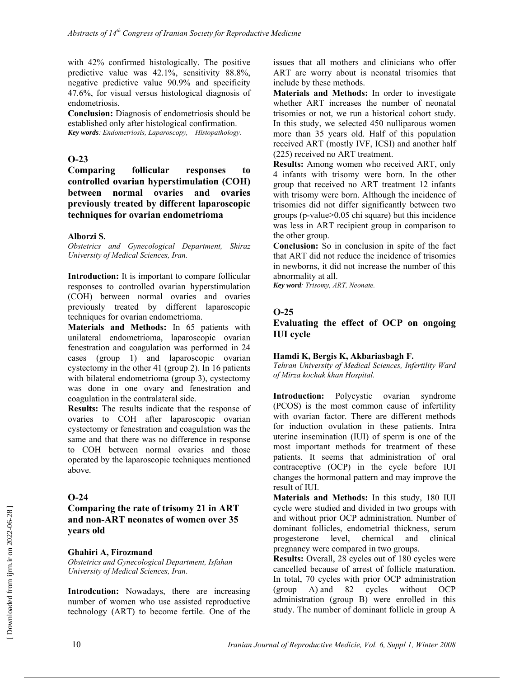with 42% confirmed histologically. The positive predictive value was 42.1%, sensitivity 88.8%, negative predictive value 90.9% and specificity 47.6%, for visual versus histological diagnosis of endometriosis.

**Conclusion:** Diagnosis of endometriosis should be established only after histological confirmation. *Key words: Endometriosis, Laparoscopy, Histopathology.* 

### **O-23**

**Comparing follicular responses to controlled ovarian hyperstimulation (COH) between normal ovaries and ovaries previously treated by different laparoscopic techniques for ovarian endometrioma** 

### **Alborzi S.**

*Obstetrics and Gynecological Department, Shiraz University of Medical Sciences, Iran.*

**Introduction:** It is important to compare follicular responses to controlled ovarian hyperstimulation (COH) between normal ovaries and ovaries previously treated by different laparoscopic techniques for ovarian endometrioma.

**Materials and Methods:** In 65 patients with unilateral endometrioma, laparoscopic ovarian fenestration and coagulation was performed in 24 cases (group 1) and laparoscopic ovarian cystectomy in the other 41 (group 2). In 16 patients with bilateral endometrioma (group 3), cystectomy was done in one ovary and fenestration and coagulation in the contralateral side.

**Results:** The results indicate that the response of ovaries to COH after laparoscopic ovarian cystectomy or fenestration and coagulation was the same and that there was no difference in response to COH between normal ovaries and those operated by the laparoscopic techniques mentioned above.

### **O-24**

**Comparing the rate of trisomy 21 in ART and non-ART neonates of women over 35 years old** 

#### **Ghahiri A, Firozmand**

*Obstetrics and Gynecological Department, Isfahan University of Medical Sciences, Iran*.

**Introdcution:** Nowadays, there are increasing number of women who use assisted reproductive technology (ART) to become fertile. One of the issues that all mothers and clinicians who offer ART are worry about is neonatal trisomies that include by these methods.

**Materials and Methods:** In order to investigate whether ART increases the number of neonatal trisomies or not, we run a historical cohort study. In this study, we selected 450 nulliparous women more than 35 years old. Half of this population received ART (mostly IVF, ICSI) and another half (225) received no ART treatment.

**Results:** Among women who received ART, only 4 infants with trisomy were born. In the other group that received no ART treatment 12 infants with trisomy were born. Although the incidence of trisomies did not differ significantly between two groups (p-value>0.05 chi square) but this incidence was less in ART recipient group in comparison to the other group.

**Conclusion:** So in conclusion in spite of the fact that ART did not reduce the incidence of trisomies in newborns, it did not increase the number of this abnormality at all.

*Key word: Trisomy, ART, Neonate.* 

### **O-25**

**Evaluating the effect of OCP on ongoing IUI cycle** 

### **Hamdi K, Bergis K, Akbariasbagh F.**

*Tehran University of Medical Sciences, Infertility Ward of Mirza kochak khan Hospital.* 

**Introduction:** Polycystic ovarian syndrome (PCOS) is the most common cause of infertility with ovarian factor. There are different methods for induction ovulation in these patients. Intra uterine insemination (IUI) of sperm is one of the most important methods for treatment of these patients. It seems that administration of oral contraceptive (OCP) in the cycle before IUI changes the hormonal pattern and may improve the result of IUI.

**Materials and Methods:** In this study, 180 IUI cycle were studied and divided in two groups with and without prior OCP administration. Number of dominant follicles, endometrial thickness, serum progesterone level, chemical and clinical pregnancy were compared in two groups.

**Results:** Overall, 28 cycles out of 180 cycles were cancelled because of arrest of follicle maturation. In total, 70 cycles with prior OCP administration (group A) and 82 cycles without OCP administration (group B) were enrolled in this study. The number of dominant follicle in group A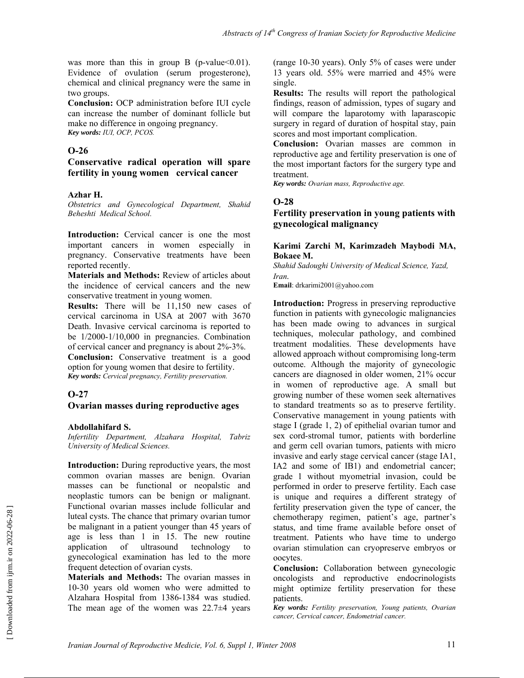was more than this in group B (p-value  $0.01$ ). Evidence of ovulation (serum progesterone), chemical and clinical pregnancy were the same in two groups.

**Conclusion:** OCP administration before IUI cycle can increase the number of dominant follicle but make no difference in ongoing pregnancy. *Key words: IUI, OCP, PCOS.* 

### **O-26**

#### **Conservative radical operation will spare fertility in young women cervical cancer**

#### **Azhar H.**

*Obstetrics and Gynecological Department, Shahid Beheshti Medical School.*

**Introduction:** Cervical cancer is one the most important cancers in women especially in pregnancy. Conservative treatments have been reported recently.

**Materials and Methods:** Review of articles about the incidence of cervical cancers and the new conservative treatment in young women.

**Results:** There will be 11,150 new cases of cervical carcinoma in USA at 2007 with 3670 Death. Invasive cervical carcinoma is reported to be 1/2000-1/10,000 in pregnancies. Combination of cervical cancer and pregnancy is about 2%-3%. **Conclusion:** Conservative treatment is a good option for young women that desire to fertility. *Key words: Cervical pregnancy, Fertility preservation.* 

### **O-27**

#### **Ovarian masses during reproductive ages**

#### **Abdollahifard S.**

*Infertility Department, Alzahara Hospital, Tabriz University of Medical Sciences.* 

**Introduction:** During reproductive years, the most common ovarian masses are benign. Ovarian masses can be functional or neopalstic and neoplastic tumors can be benign or malignant. Functional ovarian masses include follicular and luteal cysts. The chance that primary ovarian tumor be malignant in a patient younger than 45 years of age is less than 1 in 15. The new routine application of ultrasound technology to gynecological examination has led to the more frequent detection of ovarian cysts.

**Materials and Methods:** The ovarian masses in 10-30 years old women who were admitted to Alzahara Hospital from 1386-1384 was studied. The mean age of the women was  $22.7\pm4$  years (range 10-30 years). Only 5% of cases were under 13 years old. 55% were married and 45% were single.

**Results:** The results will report the pathological findings, reason of admission, types of sugary and will compare the laparotomy with laparascopic surgery in regard of duration of hospital stay, pain scores and most important complication.

**Conclusion:** Ovarian masses are common in reproductive age and fertility preservation is one of the most important factors for the surgery type and treatment.

*Key words: Ovarian mass, Reproductive age.* 

### **O-28**

### **Fertility preservation in young patients with gynecological malignancy**

#### **Karimi Zarchi M, Karimzadeh Maybodi MA, Bokaee M.**

*Shahid Sadoughi University of Medical Science, Yazd, Iran.* 

**Email**: drkarimi2001@yahoo.com

**Introduction:** Progress in preserving reproductive function in patients with gynecologic malignancies has been made owing to advances in surgical techniques, molecular pathology, and combined treatment modalities. These developments have allowed approach without compromising long-term outcome. Although the majority of gynecologic cancers are diagnosed in older women, 21% occur in women of reproductive age. A small but growing number of these women seek alternatives to standard treatments so as to preserve fertility. Conservative management in young patients with stage I (grade 1, 2) of epithelial ovarian tumor and sex cord-stromal tumor, patients with borderline and germ cell ovarian tumors, patients with micro invasive and early stage cervical cancer (stage IA1, IA2 and some of IB1) and endometrial cancer; grade 1 without myometrial invasion, could be performed in order to preserve fertility. Each case is unique and requires a different strategy of fertility preservation given the type of cancer, the chemotherapy regimen, patient's age, partner's status, and time frame available before onset of treatment. Patients who have time to undergo ovarian stimulation can cryopreserve embryos or oocytes.

**Conclusion:** Collaboration between gynecologic oncologists and reproductive endocrinologists might optimize fertility preservation for these patients.

*Key words: Fertility preservation, Young patients, Ovarian cancer, Cervical cancer, Endometrial cancer.*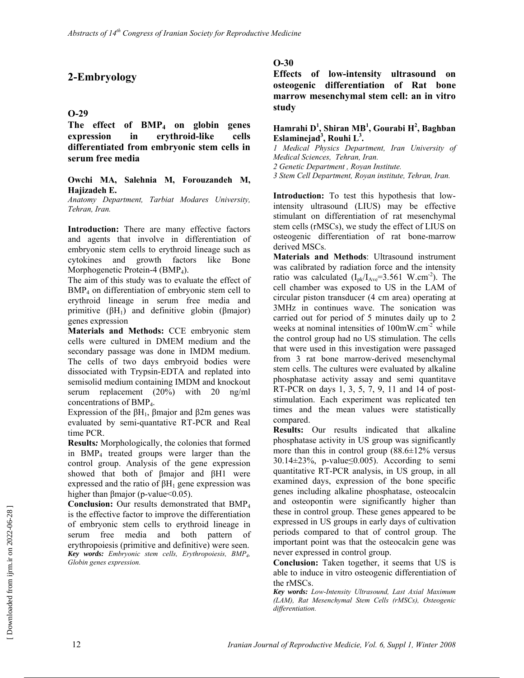# **2-Embryology**

### **O-29**

**The effect of BMP4 on globin genes expression in erythroid-like cells differentiated from embryonic stem cells in serum free media** 

#### **Owchi MA, Salehnia M, Forouzandeh M, Hajizadeh E.**

*Anatomy Department, Tarbiat Modares University, Tehran, Iran.* 

**Introduction:** There are many effective factors and agents that involve in differentiation of embryonic stem cells to erythroid lineage such as cytokines and growth factors like Bone Morphogenetic Protein-4 (BMP<sub>4</sub>).

The aim of this study was to evaluate the effect of BMP<sub>4</sub> on differentiation of embryonic stem cell to erythroid lineage in serum free media and primitive  $(\beta H_1)$  and definitive globin (βmajor) genes expression

**Materials and Methods:** CCE embryonic stem cells were cultured in DMEM medium and the secondary passage was done in IMDM medium. The cells of two days embryoid bodies were dissociated with Trypsin-EDTA and replated into semisolid medium containing IMDM and knockout serum replacement (20%) with 20 ng/ml concentrations of BMP<sub>4</sub>.

Expression of the  $βH_1$ , βmajor and  $β2m$  genes was evaluated by semi-quantative RT-PCR and Real time PCR.

**Results***:* Morphologically, the colonies that formed in BMP4 treated groups were larger than the control group. Analysis of the gene expression showed that both of βmajor and βH1 were expressed and the ratio of  $\beta$ H<sub>1</sub> gene expression was higher than βmajor (p-value<0.05).

**Conclusion:** Our results demonstrated that BMP4 is the effective factor to improve the differentiation of embryonic stem cells to erythroid lineage in serum free media and both pattern of erythropoiesis (primitive and definitive) were seen. *Key words: Embryonic stem cells, Erythropoiesis, BMP4, Globin genes expression.* 

### **O-30**

**Effects of low-intensity ultrasound on osteogenic differentiation of Rat bone marrow mesenchymal stem cell: an in vitro study** 

#### **Hamrahi D<sup>1</sup> , Shiran MB<sup>1</sup> , Gourabi H<sup>2</sup> , Baghban Eslaminejad<sup>3</sup> , Rouhi L3 .**

*1 Medical Physics Department, Iran University of Medical Sciences, Tehran, Iran.* 

*2 Genetic Department , Royan Institute.* 

*3 Stem Cell Department, Royan institute, Tehran, Iran.* 

**Introduction:** To test this hypothesis that lowintensity ultrasound (LIUS) may be effective stimulant on differentiation of rat mesenchymal stem cells (rMSCs), we study the effect of LIUS on osteogenic differentiation of rat bone-marrow derived MSCs.

**Materials and Methods**: Ultrasound instrument was calibrated by radiation force and the intensity ratio was calculated  $(I_{\text{pk}}/I_{\text{Ave}}=3.561 \text{ W.cm}^2)$ . The cell chamber was exposed to US in the LAM of circular piston transducer (4 cm area) operating at 3MHz in continues wave. The sonication was carried out for period of 5 minutes daily up to 2 weeks at nominal intensities of 100mW.cm<sup>-2</sup> while the control group had no US stimulation. The cells that were used in this investigation were passaged from 3 rat bone marrow-derived mesenchymal stem cells. The cultures were evaluated by alkaline phosphatase activity assay and semi quantitave RT-PCR on days 1, 3, 5, 7, 9, 11 and 14 of poststimulation. Each experiment was replicated ten times and the mean values were statistically compared.

**Results:** Our results indicated that alkaline phosphatase activity in US group was significantly more than this in control group  $(88.6 \pm 12\%)$  versus  $30.14\pm23\%$ , p-value≤0.005). According to semi quantitative RT-PCR analysis, in US group, in all examined days, expression of the bone specific genes including alkaline phosphatase, osteocalcin and osteopontin were significantly higher than these in control group. These genes appeared to be expressed in US groups in early days of cultivation periods compared to that of control group. The important point was that the osteocalcin gene was never expressed in control group.

**Conclusion:** Taken together, it seems that US is able to induce in vitro osteogenic differentiation of the rMSCs.

*Key words: Low-Intensity Ultrasound, Last Axial Maximum (LAM), Rat Mesenchymal Stem Cells (rMSCs), Osteogenic differentiation.*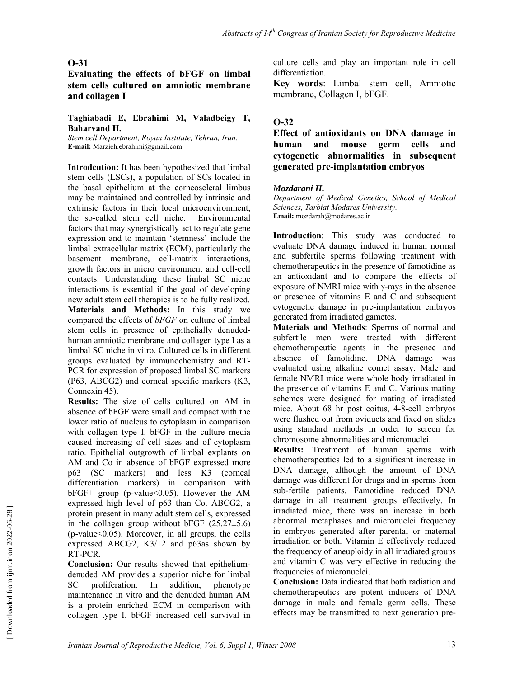**Evaluating the effects of bFGF on limbal stem cells cultured on amniotic membrane and collagen Ι**

#### **Taghiabadi E, Ebrahimi M, Valadbeigy T, Baharvand H.**

*Stem cell Department, Royan Institute, Tehran, Iran.*  **E-mail:** Marzieh.ebrahimi@gmail.com

**Introdcution:** It has been hypothesized that limbal stem cells (LSCs), a population of SCs located in the basal epithelium at the corneoscleral limbus may be maintained and controlled by intrinsic and extrinsic factors in their local microenvironment, the so-called stem cell niche. Environmental factors that may synergistically act to regulate gene expression and to maintain 'stemness' include the limbal extracellular matrix (ECM), particularly the basement membrane, cell-matrix interactions, growth factors in micro environment and cell-cell contacts. Understanding these limbal SC niche interactions is essential if the goal of developing new adult stem cell therapies is to be fully realized. **Materials and Methods:** In this study we compared the effects of *bFGF* on culture of limbal stem cells in presence of epithelially denudedhuman amniotic membrane and collagen type I as a limbal SC niche in vitro. Cultured cells in different groups evaluated by immunochemistry and RT-PCR for expression of proposed limbal SC markers (P63, ABCG2) and corneal specific markers (K3, Connexin 45).

**Results:** The size of cells cultured on AM in absence of bFGF were small and compact with the lower ratio of nucleus to cytoplasm in comparison with collagen type I. bFGF in the culture media caused increasing of cell sizes and of cytoplasm ratio. Epithelial outgrowth of limbal explants on AM and Co in absence of bFGF expressed more p63 (SC markers) and less K3 (corneal differentiation markers) in comparison with bFGF+ group (p-value<0.05). However the AM expressed high level of p63 than Co. ABCG2, a protein present in many adult stem cells, expressed in the collagen group without bFGF  $(25.27\pm5.6)$  $(p-value<0.05)$ . Moreover, in all groups, the cells expressed ABCG2, K3/12 and p63as shown by RT-PCR.

**Conclusion:** Our results showed that epitheliumdenuded AM provides a superior niche for limbal SC proliferation. In addition, phenotype maintenance in vitro and the denuded human AM is a protein enriched ECM in comparison with collagen type I. bFGF increased cell survival in culture cells and play an important role in cell differentiation.

**Key words**: Limbal stem cell, Amniotic membrane, Collagen Ι, bFGF.

### **O-32**

**Effect of antioxidants on DNA damage in human and mouse germ cells and cytogenetic abnormalities in subsequent generated pre-implantation embryos** 

### *Mozdarani H.*

*Department of Medical Genetics, School of Medical Sciences, Tarbiat Modares University.*  **Email:** mozdarah@modares.ac.ir

**Introduction**: This study was conducted to evaluate DNA damage induced in human normal and subfertile sperms following treatment with chemotherapeutics in the presence of famotidine as an antioxidant and to compare the effects of exposure of NMRI mice with γ-rays in the absence or presence of vitamins E and C and subsequent cytogenetic damage in pre-implantation embryos generated from irradiated gametes.

**Materials and Methods**: Sperms of normal and subfertile men were treated with different chemotherapeutic agents in the presence and absence of famotidine. DNA damage was evaluated using alkaline comet assay. Male and female NMRI mice were whole body irradiated in the presence of vitamins E and C. Various mating schemes were designed for mating of irradiated mice. About 68 hr post coitus, 4-8-cell embryos were flushed out from oviducts and fixed on slides using standard methods in order to screen for chromosome abnormalities and micronuclei.

**Results:** Treatment of human sperms with chemotherapeutics led to a significant increase in DNA damage, although the amount of DNA damage was different for drugs and in sperms from sub-fertile patients. Famotidine reduced DNA damage in all treatment groups effectively. In irradiated mice, there was an increase in both abnormal metaphases and micronuclei frequency in embryos generated after parental or maternal irradiation or both. Vitamin E effectively reduced the frequency of aneuploidy in all irradiated groups and vitamin C was very effective in reducing the frequencies of micronuclei.

**Conclusion:** Data indicated that both radiation and chemotherapeutics are potent inducers of DNA damage in male and female germ cells. These effects may be transmitted to next generation pre-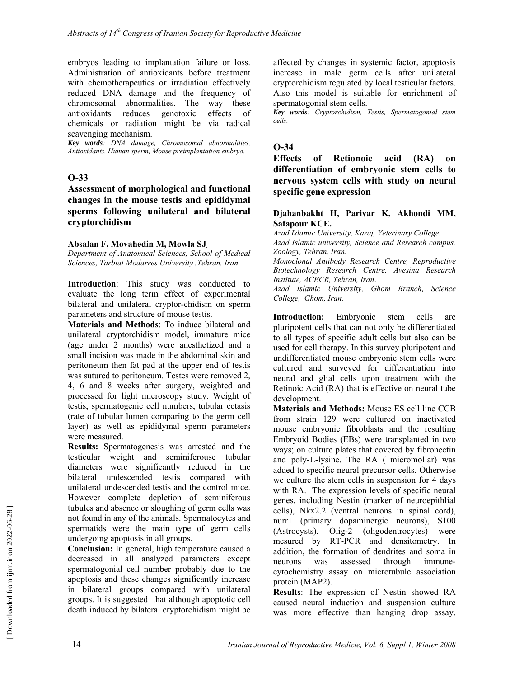embryos leading to implantation failure or loss. Administration of antioxidants before treatment with chemotherapeutics or irradiation effectively reduced DNA damage and the frequency of chromosomal abnormalities. The way these antioxidants reduces genotoxic effects of chemicals or radiation might be via radical scavenging mechanism.

*Key words: DNA damage, Chromosomal abnormalities, Antioxidants, Human sperm, Mouse preimplantation embryo.* 

#### **O-33**

**Assessment of morphological and functional changes in the mouse testis and epididymal sperms following unilateral and bilateral cryptorchidism** 

#### **Absalan F, Movahedin M, Mowla SJ.**

*Department of Anatomical Sciences, School of Medical Sciences, Tarbiat Modarres University ,Tehran, Iran.*

**Introduction**: This study was conducted to evaluate the long term effect of experimental bilateral and unilateral cryptor-chidism on sperm parameters and structure of mouse testis.

**Materials and Methods**: To induce bilateral and unilateral cryptorchidism model, immature mice (age under 2 months) were anesthetized and a small incision was made in the abdominal skin and peritoneum then fat pad at the upper end of testis was sutured to peritoneum. Testes were removed 2, 4, 6 and 8 weeks after surgery, weighted and processed for light microscopy study. Weight of testis, spermatogenic cell numbers, tubular ectasis (rate of tubular lumen comparing to the germ cell layer) as well as epididymal sperm parameters were measured.

**Results:** Spermatogenesis was arrested and the testicular weight and seminiferouse tubular diameters were significantly reduced in the bilateral undescended testis compared with unilateral undescended testis and the control mice. However complete depletion of seminiferous tubules and absence or sloughing of germ cells was not found in any of the animals. Spermatocytes and spermatids were the main type of germ cells undergoing apoptosis in all groups.

**Conclusion:** In general, high temperature caused a decreased in all analyzed parameters except spermatogonial cell number probably due to the apoptosis and these changes significantly increase in bilateral groups compared with unilateral groups. It is suggested that although apoptotic cell death induced by bilateral cryptorchidism might be affected by changes in systemic factor, apoptosis increase in male germ cells after unilateral cryptorchidism regulated by local testicular factors. Also this model is suitable for enrichment of spermatogonial stem cells.

*Key words: Cryptorchidism, Testis, Spermatogonial stem cells.* 

### **O-34**

**Effects of Retionoic acid (RA) on differentiation of embryonic stem cells to nervous system cells with study on neural specific gene expression** 

#### **Djahanbakht H, Parivar K, Akhondi MM, Safapour KCE.**

*Azad Islamic University, Karaj, Veterinary College.* 

*Azad Islamic university, Science and Research campus, Zoology, Tehran, Iran.* 

*Monoclonal Antibody Research Centre, Reproductive Biotechnology Research Centre, Avesina Research Institute, ACECR, Tehran, Iran*.

*Azad Islamic University, Ghom Branch, Science College, Ghom, Iran.* 

**Introduction:** Embryonic stem cells are pluripotent cells that can not only be differentiated to all types of specific adult cells but also can be used for cell therapy. In this survey pluripotent and undifferentiated mouse embryonic stem cells were cultured and surveyed for differentiation into neural and glial cells upon treatment with the Retinoic Acid (RA) that is effective on neural tube development.

**Materials and Methods:** Mouse ES cell line CCB from strain 129 were cultured on inactivated mouse embryonic fibroblasts and the resulting Embryoid Bodies (EBs) were transplanted in two ways; on culture plates that covered by fibronectin and poly-L-lysine. The RA (1micromollar) was added to specific neural precursor cells. Otherwise we culture the stem cells in suspension for 4 days with RA. The expression levels of specific neural genes, including Nestin (marker of neuroepithlial cells), Nkx2.2 (ventral neurons in spinal cord), nurr1 (primary dopaminergic neurons), S100 (Astrocysts), Olig-2 (oligodentrocytes) were mesured by RT-PCR and densitometry. In addition, the formation of dendrites and soma in neurons was assessed through immunecytochemistry assay on microtubule association protein (MAP2).

**Results**: The expression of Nestin showed RA caused neural induction and suspension culture was more effective than hanging drop assay.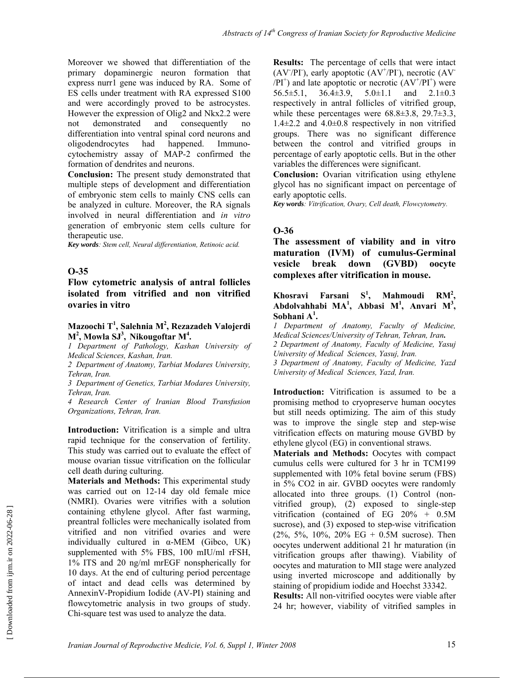Moreover we showed that differentiation of the primary dopaminergic neuron formation that express nurr1 gene was induced by RA. Some of ES cells under treatment with RA expressed S100 and were accordingly proved to be astrocystes. However the expression of Olig2 and Nkx2.2 were not demonstrated and consequently no differentiation into ventral spinal cord neurons and oligodendrocytes had happened. Immunocytochemistry assay of MAP-2 confirmed the formation of dendrites and neurons.

**Conclusion:** The present study demonstrated that multiple steps of development and differentiation of embryonic stem cells to mainly CNS cells can be analyzed in culture. Moreover, the RA signals involved in neural differentiation and *in vitro* generation of embryonic stem cells culture for therapeutic use.

*Key words: Stem cell, Neural differentiation, Retinoic acid.* 

#### **O-35**

**Flow cytometric analysis of antral follicles isolated from vitrified and non vitrified ovaries in vitro** 

#### **Mazoochi T<sup>1</sup> , Salehnia M<sup>2</sup> , Rezazadeh Valojerdi**   $M^2$ , Mowla SJ<sup>3</sup>, Nikougoftar M<sup>4</sup>.

*1 Department of Pathology, Kashan University of Medical Sciences, Kashan, Iran.* 

*2 Department of Anatomy, Tarbiat Modares University, Tehran, Iran.* 

*3 Department of Genetics, Tarbiat Modares University, Tehran, Iran.* 

*4 Research Center of Iranian Blood Transfusion Organizations, Tehran, Iran.* 

**Introduction:** Vitrification is a simple and ultra rapid technique for the conservation of fertility. This study was carried out to evaluate the effect of mouse ovarian tissue vitrification on the follicular cell death during culturing.

**Materials and Methods:** This experimental study was carried out on 12-14 day old female mice (NMRI). Ovaries were vitrifies with a solution containing ethylene glycol. After fast warming, preantral follicles were mechanically isolated from vitrified and non vitrified ovaries and were individually cultured in α-MEM (Gibco, UK) supplemented with 5% FBS, 100 mIU/ml rFSH, 1% ITS and 20 ng/ml mrEGF nonspherically for 10 days. At the end of culturing period percentage of intact and dead cells was determined by AnnexinV-Propidium Iodide (AV-PI) staining and flowcytometric analysis in two groups of study. Chi-square test was used to analyze the data.

**Results:** The percentage of cells that were intact  $(AV/PI)$ , early apoptotic  $(AV^{+}/PI)$ , necrotic  $(AV^{-})$  $(AY^{+}/PI^{+})$  and late apoptotic or necrotic  $(AV^{+}/PI^{+})$  were 56.5±5.1, 36.4±3.9, 5.0±1.1 and 2.1±0.3 respectively in antral follicles of vitrified group, while these percentages were 68.8±3.8, 29.7±3.3,  $1.4\pm2.2$  and  $4.0\pm0.8$  respectively in non vitrified groups. There was no significant difference between the control and vitrified groups in percentage of early apoptotic cells. But in the other variables the differences were significant.

**Conclusion:** Ovarian vitrification using ethylene glycol has no significant impact on percentage of early apoptotic cells.

*Key words: Vitrification, Ovary, Cell death, Flowcytometry.* 

#### **O-36**

**The assessment of viability and in vitro maturation (IVM) of cumulus-Germinal vesicle break down (GVBD) oocyte complexes after vitrification in mouse.** 

**Khosravi Farsani , Mahmoudi RM2 , Abdolvahhabi MA1 , Abbasi M<sup>1</sup> , Anvari M<sup>3</sup> , Sobhani A<sup>1</sup> .** 

*1 Department of Anatomy, Faculty of Medicine, Medical Sciences/University of Tehran, Tehran, Iran. 2 Department of Anatomy, Faculty of Medicine, Yasuj University of Medical Sciences, Yasuj, Iran.* 

*3 Department of Anatomy, Faculty of Medicine, Yazd University of Medical Sciences, Yazd, Iran.* 

**Introduction:** Vitrification is assumed to be a promising method to cryopreserve human oocytes but still needs optimizing. The aim of this study was to improve the single step and step-wise vitrification effects on maturing mouse GVBD by ethylene glycol (EG) in conventional straws.

**Materials and Methods:** Oocytes with compact cumulus cells were cultured for 3 hr in TCM199 supplemented with 10% fetal bovine serum (FBS) in 5% CO2 in air. GVBD oocytes were randomly allocated into three groups. (1) Control (nonvitrified group), (2) exposed to single-step vitrification (contained of EG 20% + 0.5M sucrose), and (3) exposed to step-wise vitrification  $(2\%, 5\%, 10\%, 20\% \text{ EG} + 0.5\text{M} \text{ sucrose})$ . Then oocytes underwent additional 21 hr maturation (in vitrification groups after thawing). Viability of oocytes and maturation to MII stage were analyzed using inverted microscope and additionally by staining of propidium iodide and Hoechst 33342.

**Results:** All non-vitrified oocytes were viable after 24 hr; however, viability of vitrified samples in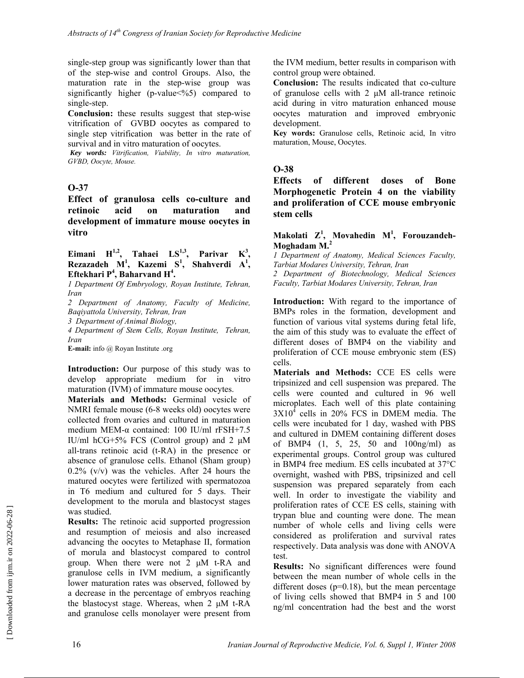single-step group was significantly lower than that of the step-wise and control Groups. Also, the maturation rate in the step-wise group was significantly higher (p-value $\leq$ %5) compared to single-step.

**Conclusion:** these results suggest that step-wise vitrification of GVBD oocytes as compared to single step vitrification was better in the rate of survival and in vitro maturation of oocytes.

*Key words: Vitrification, Viability, In vitro maturation, GVBD, Oocyte, Mouse.* 

### **O-37**

**Effect of granulosa cells co-culture and retinoic acid on maturation and development of immature mouse oocytes in vitro** 

#### Eimani  $H^{1,2}$ , Tahaei  $LS^{1,3}$ , Parivar  $K^3$ , **Rezazadeh M1 , Kazemi S<sup>1</sup> , Shahverdi A<sup>1</sup> ,**  Eftekhari P<sup>4</sup>, Baharvand H<sup>4</sup>.

*1 Department Of Embryology, Royan Institute, Tehran, Iran* 

*2 Department of Anatomy, Faculty of Medicine, Baqiyattola University, Tehran, Iran* 

*3 Department of Animal Biology,* 

*4 Department of Stem Cells, Royan Institute, Tehran, Iran* 

**E-mail:** info @ Royan Institute .org

**Introduction:** Our purpose of this study was to develop appropriate medium for in vitro maturation (IVM) of immature mouse oocytes.

**Materials and Methods:** Germinal vesicle of NMRI female mouse (6-8 weeks old) oocytes were collected from ovaries and cultured in maturation medium MEM-α contained: 100 IU/ml rFSH+7.5 IU/ml hCG+5% FCS (Control group) and 2 μM all-trans retinoic acid (t-RA) in the presence or absence of granulose cells. Ethanol (Sham group)  $0.2\%$  (v/v) was the vehicles. After 24 hours the matured oocytes were fertilized with spermatozoa in T6 medium and cultured for 5 days. Their development to the morula and blastocyst stages was studied.

**Results:** The retinoic acid supported progression and resumption of meiosis and also increased advancing the oocytes to Metaphase II, formation of morula and blastocyst compared to control group. When there were not 2 μM t-RA and granulose cells in IVM medium, a significantly lower maturation rates was observed, followed by a decrease in the percentage of embryos reaching the blastocyst stage. Whereas, when 2 μM t-RA and granulose cells monolayer were present from the IVM medium, better results in comparison with control group were obtained.

**Conclusion:** The results indicated that co-culture of granulose cells with  $2 \mu M$  all-trance retinoic acid during in vitro maturation enhanced mouse oocytes maturation and improved embryonic development.

**Key words:** Granulose cells, Retinoic acid, In vitro maturation, Mouse, Oocytes.

### **O-38**

**Effects of different doses of Bone Morphogenetic Protein 4 on the viability and proliferation of CCE mouse embryonic stem cells** 

#### **Makolati Z<sup>1</sup> , Movahedin M<sup>1</sup> , Forouzandeh-Moghadam M.<sup>2</sup>**

*1 Department of Anatomy, Medical Sciences Faculty, Tarbiat Modares University, Tehran, Iran* 

*2 Department of Biotechnology, Medical Sciences Faculty, Tarbiat Modares University, Tehran, Iran* 

**Introduction:** With regard to the importance of BMPs roles in the formation, development and function of various vital systems during fetal life, the aim of this study was to evaluate the effect of different doses of BMP4 on the viability and proliferation of CCE mouse embryonic stem (ES) cells.

**Materials and Methods:** CCE ES cells were tripsinized and cell suspension was prepared. The cells were counted and cultured in 96 well microplates. Each well of this plate containing  $3X10<sup>4</sup>$  cells in 20% FCS in DMEM media. The cells were incubated for 1 day, washed with PBS and cultured in DMEM containing different doses of BMP4 (1, 5, 25, 50 and 100ng/ml) as experimental groups. Control group was cultured in BMP4 free medium. ES cells incubated at 37°C overnight, washed with PBS, tripsinized and cell suspension was prepared separately from each well. In order to investigate the viability and proliferation rates of CCE ES cells, staining with trypan blue and counting were done. The mean number of whole cells and living cells were considered as proliferation and survival rates respectively. Data analysis was done with ANOVA test.

**Results:** No significant differences were found between the mean number of whole cells in the different doses  $(p=0.18)$ , but the mean percentage of living cells showed that BMP4 in 5 and 100 ng/ml concentration had the best and the worst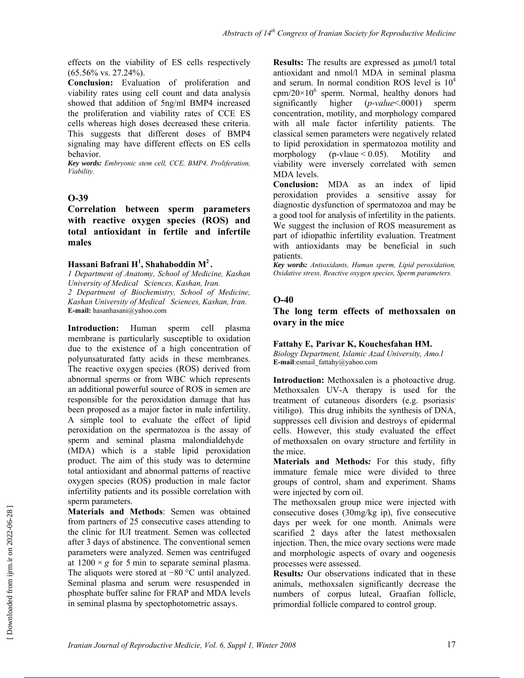effects on the viability of ES cells respectively (65.56% vs. 27.24%).

**Conclusion:** Evaluation of proliferation and viability rates using cell count and data analysis showed that addition of 5ng/ml BMP4 increased the proliferation and viability rates of CCE ES cells whereas high doses decreased these criteria. This suggests that different doses of BMP4 signaling may have different effects on ES cells behavior.

*Key words: Embryonic stem cell, CCE, BMP4, Proliferation, Viability.* 

### **O-39**

**Correlation between sperm parameters with reactive oxygen species (ROS) and total antioxidant in fertile and infertile males** 

### **Hassani Bafrani H<sup>1</sup> , Shahaboddin M2 .**

*1 Department of Anatomy, School of Medicine, Kashan University of Medical Sciences, Kashan, Iran. 2 Department of Biochemistry, School of Medicine, Kashan University of Medical Sciences, Kashan, Iran.*  **E-mail:** hasanhasani@yahoo.com

**Introduction:** Human sperm cell plasma membrane is particularly susceptible to oxidation due to the existence of a high concentration of polyunsaturated fatty acids in these membranes. The reactive oxygen species (ROS) derived from abnormal sperms or from WBC which represents an additional powerful source of ROS in semen are responsible for the peroxidation damage that has been proposed as a major factor in male infertility. A simple tool to evaluate the effect of lipid peroxidation on the spermatozoa is the assay of sperm and seminal plasma malondialdehyde (MDA) which is a stable lipid peroxidation product. The aim of this study was to determine total antioxidant and abnormal patterns of reactive oxygen species (ROS) production in male factor infertility patients and its possible correlation with sperm parameters.

**Materials and Methods**: Semen was obtained from partners of 25 consecutive cases attending to the clinic for IUI treatment. Semen was collected after 3 days of abstinence. The conventional semen parameters were analyzed. Semen was centrifuged at  $1200 \times g$  for 5 min to separate seminal plasma. The aliquots were stored at −80 °C until analyzed. Seminal plasma and serum were resuspended in phosphate buffer saline for FRAP and MDA levels in seminal plasma by spectophotometric assays.

**Results:** The results are expressed as  $\mu$ mol/l total antioxidant and nmol/l MDA in seminal plasma and serum. In normal condition ROS level is  $10<sup>4</sup>$  $cpm/20\times10^6$  sperm. Normal, healthy donors had significantly higher (*p-value*<.0001) sperm concentration, motility, and morphology compared with all male factor infertility patients. The classical semen parameters were negatively related to lipid peroxidation in spermatozoa motility and morphology (p-vlaue  $< 0.05$ ). Motility and viability were inversely correlated with semen MDA levels.

**Conclusion:** MDA as an index of lipid peroxidation provides a sensitive assay for diagnostic dysfunction of spermatozoa and may be a good tool for analysis of infertility in the patients. We suggest the inclusion of ROS measurement as part of idiopathic infertility evaluation. Treatment with antioxidants may be beneficial in such patients.

*Key words: Antioxidants, Human sperm, Lipid peroxidation, Oxidative stress, Reactive oxygen species, Sperm parameters.* 

### **O-40**

### **The long term effects of methoxsalen on ovary in the mice**

#### **Fattahy E, Parivar K, Kouchesfahan HM.**

*Biology Department, Islamic Azad University, Amo.l* **E-mail**:esmail\_fattahy@yahoo.com

**Introduction:** Methoxsalen is a photoactive drug. Methoxsalen UV-A therapy is used for the treatment of cutaneous disorders (e.g. psoriasis) vitiligo). This drug inhibits the synthesis of DNA, suppresses cell division and destroys of epidermal cells. However, this study evaluated the effect of methoxsalen on ovary structure and fertility in the mice.

**Materials and Methods***:* For this study, fifty immature female mice were divided to three groups of control, sham and experiment. Shams were injected by corn oil.

The methoxsalen group mice were injected with consecutive doses (30mg/kg ip), five consecutive days per week for one month. Animals were scarified 2 days after the latest methoxsalen injection. Then, the mice ovary sections were made and morphologic aspects of ovary and oogenesis processes were assessed.

**Results***:* Our observations indicated that in these animals, methoxsalen significantly decrease the numbers of corpus luteal, Graafian follicle, primordial follicle compared to control group.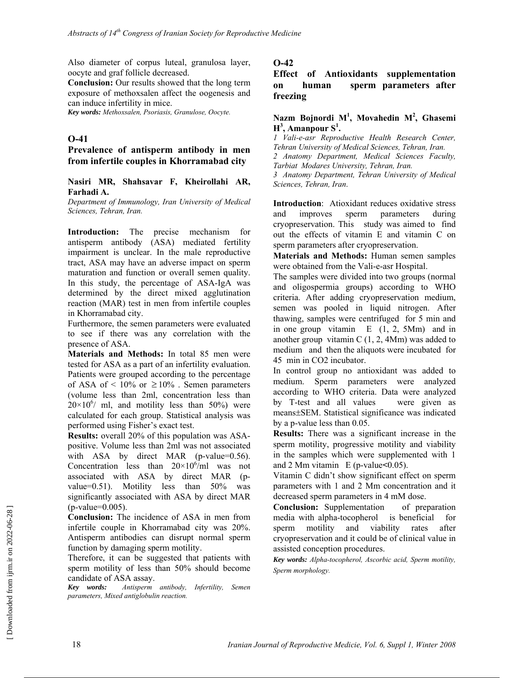Also diameter of corpus luteal, granulosa layer, oocyte and graf follicle decreased.

**Conclusion:** Our results showed that the long term exposure of methoxsalen affect the oogenesis and can induce infertility in mice.

*Key words: Methoxsalen, Psoriasis, Granulose, Oocyte.* 

### **O-41**

### **Prevalence of antisperm antibody in men from infertile couples in Khorramabad city**

#### **Nasiri MR, Shahsavar F, Kheirollahi AR, Farhadi A.**

*Department of Immunology, Iran University of Medical Sciences, Tehran, Iran.*

**Introduction:** The precise mechanism for antisperm antibody (ASA) mediated fertility impairment is unclear. In the male reproductive tract, ASA may have an adverse impact on sperm maturation and function or overall semen quality. In this study, the percentage of ASA-IgA was determined by the direct mixed agglutination reaction (MAR) test in men from infertile couples in Khorramabad city.

Furthermore, the semen parameters were evaluated to see if there was any correlation with the presence of ASA.

**Materials and Methods:** In total 85 men were tested for ASA as a part of an infertility evaluation. Patients were grouped according to the percentage of ASA of < 10% or  $\geq 10\%$ . Semen parameters (volume less than 2ml, concentration less than  $20 \times 10^{6}$  ml, and motility less than 50%) were calculated for each group. Statistical analysis was performed using Fisher's exact test.

**Results:** overall 20% of this population was ASApositive. Volume less than 2ml was not associated with ASA by direct MAR (p-value= $0.56$ ). Concentration less than  $20 \times 10^{6}$  ml was not associated with ASA by direct MAR (pvalue=0.51). Motility less than 50% was significantly associated with ASA by direct MAR (p-value=0.005).

**Conclusion:** The incidence of ASA in men from infertile couple in Khorramabad city was 20%. Antisperm antibodies can disrupt normal sperm function by damaging sperm motility.

Therefore, it can be suggested that patients with sperm motility of less than 50% should become candidate of ASA assay.

*Key words: Antisperm antibody, Infertility, Semen parameters, Mixed antiglobulin reaction.* 

### **O-42**

**Effect of Antioxidants supplementation on human sperm parameters after freezing** 

#### **Nazm Bojnordi M1 , Movahedin M<sup>2</sup> , Ghasemi H3 , Amanpour S<sup>1</sup> .**

*1 Vali-e-asr Reproductive Health Research Center, Tehran University of Medical Sciences, Tehran, Iran. 2 Anatomy Department, Medical Sciences Faculty, Tarbiat Modares University, Tehran, Iran. 3 Anatomy Department, Tehran University of Medical Sciences, Tehran, Iran*.

**Introduction**: Atioxidant reduces oxidative stress and improves sperm parameters during cryopreservation. This study was aimed to find out the effects of vitamin E and vitamin C on sperm parameters after cryopreservation.

**Materials and Methods:** Human semen samples were obtained from the Vali-e-asr Hospital.

The samples were divided into two groups (normal and oligospermia groups) according to WHO criteria. After adding cryopreservation medium, semen was pooled in liquid nitrogen. After thawing, samples were centrifuged for 5 min and in one group vitamin E (1, 2, 5Mm) and in another group vitamin C  $(1, 2, 4Mm)$  was added to medium and then the aliquots were incubated for 45 min in CO2 incubator.

In control group no antioxidant was added to medium. Sperm parameters were analyzed according to WHO criteria. Data were analyzed by T-test and all values were given as means±SEM. Statistical significance was indicated by a p-value less than 0.05.

**Results:** There was a significant increase in the sperm motility, progressive motility and viability in the samples which were supplemented with 1 and 2 Mm vitamin E (p-value**<**0.05).

Vitamin C didn't show significant effect on sperm parameters with 1 and 2 Mm concentration and it decreased sperm parameters in 4 mM dose.

**Conclusion:** Supplementation of preparation media with alpha-tocopherol is beneficial for sperm motility and viability rates after cryopreservation and it could be of clinical value in assisted conception procedures.

*Key words: Alpha-tocopherol, Ascorbic acid, Sperm motility, Sperm morphology.*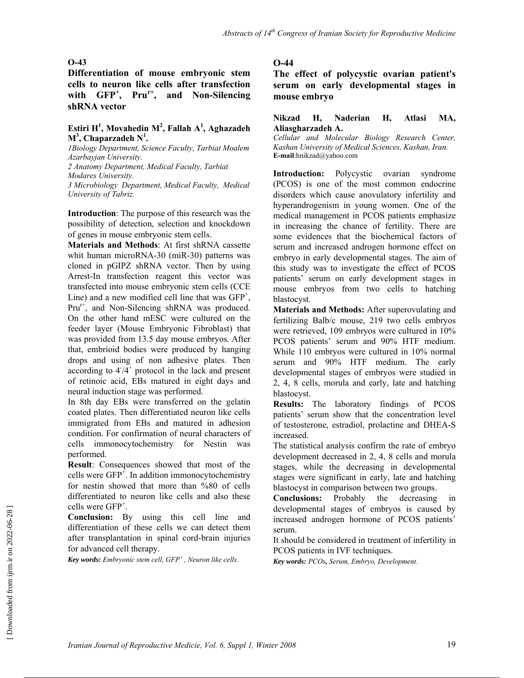**Differentiation of mouse embryonic stem cells to neuron like cells after transfection**  with GFP<sup>+</sup>, Pru<sup>r+</sup>, and Non-Silencing **shRNA vector** 

#### **Estiri H1 , Movahedin M2 , Fallah A1 , Aghazadeh M3 , Chaparzadeh N<sup>1</sup> .**

*1Biology Department, Science Faculty, Tarbiat Moalem Azarbayjan University.* 

*2 Anatomy Department, Medical Faculty, Tarbiat Modares University.* 

*3 Microbiology Department, Medical Faculty, Medical University of Tabriz.* 

**Introduction**: The purpose of this research was the possibility of detection, selection and knockdown of genes in mouse embryonic stem cells.

**Materials and Methods**: At first shRNA cassette whit human microRNA-30 (miR-30) patterns was cloned in pGIPZ shRNA vector. Then by using Arrest-In transfection reagent this vector was transfected into mouse embryonic stem cells (CCE Line) and a new modified cell line that was  $GFP^+$ ,  $Pru^{r+}$ , and Non-Silencing shRNA was produced. On the other hand mESC were cultured on the feeder layer (Mouse Embryonic Fibroblast) that was provided from 13.5 day mouse embryos. After that, embrioid bodies were produced by hanging drops and using of non adhesive plates. Then according to  $4/4^+$  protocol in the lack and present of retinoic acid, EBs matured in eight days and neural induction stage was performed.

In 8th day EBs were transferred on the gelatin coated plates. Then differentiated neuron like cells immigrated from EBs and matured in adhesion condition. For confirmation of neural characters of cells immonocytochemistry for Nestin was performed.

**Result**: Consequences showed that most of the cells were  $GFP^+$ . In addition immonocytochemistry for nestin showed that more than %80 of cells differentiated to neuron like cells and also these cells were GFP<sup>+</sup> .

**Conclusion:** By using this cell line and differentiation of these cells we can detect them after transplantation in spinal cord-brain injuries for advanced cell therapy.

*Key words: Embryonic stem cell, GFP+ , Neuron like cells.* 

#### **O-44**

**The effect of polycystic ovarian patient's serum on early developmental stages in mouse embryo** 

#### **Nikzad H, Naderian H, Atlasi MA, Aliasgharzadeh A.**

*Cellular and Molecular Biology Research Center, Kashan University of Medical Sciences, Kashan, Iran.*  **E-mail**:hnikzad@yahoo.com

**Introduction:** Polycystic ovarian syndrome (PCOS) is one of the most common endocrine disorders which cause anovulatory infertility and hyperandrogenism in young women. One of the medical management in PCOS patients emphasize in increasing the chance of fertility. There are some evidences that the biochemical factors of serum and increased androgen hormone effect on embryo in early developmental stages. The aim of this study was to investigate the effect of PCOS patients' serum on early development stages in mouse embryos from two cells to hatching blastocyst.

**Materials and Methods:** After superovulating and fertilizing Balb/c mouse, 219 two cells embryos were retrieved, 109 embryos were cultured in 10% PCOS patients' serum and 90% HTF medium. While 110 embryos were cultured in 10% normal serum and 90% HTF medium. The early developmental stages of embryos were studied in 2, 4, 8 cells, morula and early, late and hatching blastocyst.

**Results:** The laboratory findings of PCOS patients' serum show that the concentration level of testosterone, estradiol, prolactine and DHEA-S increased.

The statistical analysis confirm the rate of embryo development decreased in 2, 4, 8 cells and morula stages, while the decreasing in developmental stages were significant in early, late and hatching blastocyst in comparison between two groups.

**Conclusions:** Probably the decreasing in developmental stages of embryos is caused by increased androgen hormone of PCOS patients' serum.

It should be considered in treatment of infertility in PCOS patients in IVF techniques.

*Key words: PCOs, Serum, Embryo, Development.*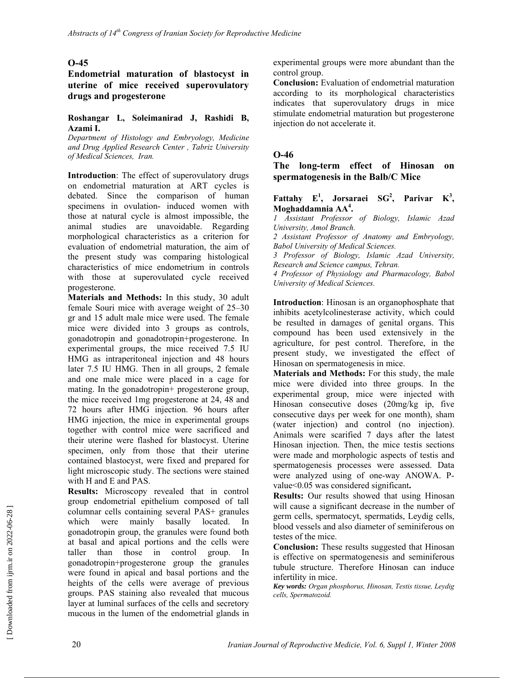### **Endometrial maturation of blastocyst in uterine of mice received superovulatory drugs and progesterone**

#### **Roshangar L, Soleimanirad J, Rashidi B, Azami I.**

*Department of Histology and Embryology, Medicine and Drug Applied Research Center , Tabriz University of Medical Sciences, Iran.* 

**Introduction**: The effect of superovulatory drugs on endometrial maturation at ART cycles is debated. Since the comparison of human specimens in ovulation- induced women with those at natural cycle is almost impossible, the animal studies are unavoidable. Regarding morphological characteristics as a criterion for evaluation of endometrial maturation, the aim of the present study was comparing histological characteristics of mice endometrium in controls with those at superovulated cycle received progesterone.

**Materials and Methods:** In this study, 30 adult female Souri mice with average weight of 25–30 gr and 15 adult male mice were used. The female mice were divided into 3 groups as controls, gonadotropin and gonadotropin+progesterone. In experimental groups, the mice received 7.5 IU HMG as intraperitoneal injection and 48 hours later 7.5 IU HMG. Then in all groups, 2 female and one male mice were placed in a cage for mating. In the gonadotropin+ progesterone group, the mice received 1mg progesterone at 24, 48 and 72 hours after HMG injection. 96 hours after HMG injection, the mice in experimental groups together with control mice were sacrificed and their uterine were flashed for blastocyst. Uterine specimen, only from those that their uterine contained blastocyst, were fixed and prepared for light microscopic study. The sections were stained with H and E and PAS.

**Results:** Microscopy revealed that in control group endometrial epithelium composed of tall columnar cells containing several PAS+ granules which were mainly basally located. In gonadotropin group, the granules were found both at basal and apical portions and the cells were taller than those in control group. In gonadotropin+progesterone group the granules were found in apical and basal portions and the heights of the cells were average of previous groups. PAS staining also revealed that mucous layer at luminal surfaces of the cells and secretory mucous in the lumen of the endometrial glands in experimental groups were more abundant than the control group.

**Conclusion:** Evaluation of endometrial maturation according to its morphological characteristics indicates that superovulatory drugs in mice stimulate endometrial maturation but progesterone injection do not accelerate it.

### **O-46**

**The long-term effect of Hinosan on spermatogenesis in the Balb/C Mice** 

#### **Fattahy**  $E^1$ , Jorsaraei  $SG^2$ , Parivar  $K^3$ , **Moghaddamnia AA<sup>4</sup> .**

*1 Assistant Professor of Biology, Islamic Azad University, Amol Branch.* 

*2 Assistant Professor of Anatomy and Embryology, Babol University of Medical Sciences.* 

*3 Professor of Biology, Islamic Azad University, Research and Science campus, Tehran.* 

*4 Professor of Physiology and Pharmacology, Babol University of Medical Sciences.* 

**Introduction**: Hinosan is an organophosphate that inhibits acetylcolinesterase activity, which could be resulted in damages of genital organs. This compound has been used extensively in the agriculture, for pest control. Therefore, in the present study, we investigated the effect of Hinosan on spermatogenesis in mice.

**Materials and Methods:** For this study, the male mice were divided into three groups. In the experimental group, mice were injected with Hinosan consecutive doses (20mg/kg ip, five consecutive days per week for one month), sham (water injection) and control (no injection). Animals were scarified 7 days after the latest Hinosan injection. Then, the mice testis sections were made and morphologic aspects of testis and spermatogenesis processes were assessed. Data were analyzed using of one-way ANOWA. Pvalue<0.05 was considered significant**.** 

**Results:** Our results showed that using Hinosan will cause a significant decrease in the number of germ cells, spermatocyt, spermatids, Leydig cells, blood vessels and also diameter of seminiferous on testes of the mice.

**Conclusion:** These results suggested that Hinosan is effective on spermatogenesis and seminiferous tubule structure. Therefore Hinosan can induce infertility in mice.

*Key words: Organ phosphorus, Hinosan, Testis tissue, Leydig cells, Spermatozoid.*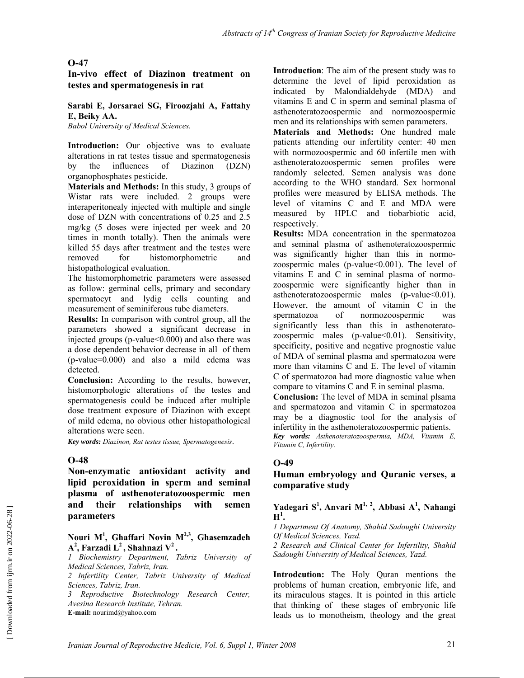**In-vivo effect of Diazinon treatment on testes and spermatogenesis in rat** 

**Sarabi E, Jorsaraei SG, Firoozjahi A, Fattahy E, Beiky AA.** 

*Babol University of Medical Sciences.* 

**Introduction:** Our objective was to evaluate alterations in rat testes tissue and spermatogenesis by the influences of Diazinon (DZN) organophosphates pesticide.

**Materials and Methods:** In this study, 3 groups of Wistar rats were included. 2 groups were interaperitonealy injected with multiple and single dose of DZN with concentrations of 0.25 and 2.5 mg/kg (5 doses were injected per week and 20 times in month totally). Then the animals were killed 55 days after treatment and the testes were removed for histomorphometric and histopathological evaluation.

The histomorphometric parameters were assessed as follow: germinal cells, primary and secondary spermatocyt and lydig cells counting and measurement of seminiferous tube diameters.

**Results:** In comparison with control group, all the parameters showed a significant decrease in injected groups (p-value<0.000) and also there was a dose dependent behavior decrease in all of them (p-value=0.000) and also a mild edema was detected.

**Conclusion:** According to the results, however, histomorphologic alterations of the testes and spermatogenesis could be induced after multiple dose treatment exposure of Diazinon with except of mild edema, no obvious other histopathological alterations were seen.

*Key words: Diazinon, Rat testes tissue, Spermatogenesis*.

#### **O-48**

**Non-enzymatic antioxidant activity and lipid peroxidation in sperm and seminal plasma of asthenoteratozoospermic men and their relationships with semen parameters** 

#### **Nouri M1 , Ghaffari Novin M2,3, Ghasemzadeh**  A<sup>2</sup>, Farzadi L<sup>2</sup>, Shahnazi V<sup>2</sup>.

*1 Biochemistry Department, Tabriz University of Medical Sciences, Tabriz, Iran.* 

*2 Infertility Center, Tabriz University of Medical Sciences, Tabriz, Iran.* 

*3 Reproductive Biotechnology Research Center, Avesina Research Institute, Tehran.*  **E-mail:** nourimd@yahoo.com

**Introduction**: The aim of the present study was to determine the level of lipid peroxidation as indicated by Malondialdehyde (MDA) and vitamins E and C in sperm and seminal plasma of asthenoteratozoospermic and normozoospermic men and its relationships with semen parameters.

**Materials and Methods:** One hundred male patients attending our infertility center: 40 men with normozoospermic and 60 infertile men with asthenoteratozoospermic semen profiles were randomly selected. Semen analysis was done according to the WHO standard. Sex hormonal profiles were measured by ELISA methods. The level of vitamins C and E and MDA were measured by HPLC and tiobarbiotic acid, respectively.

**Results:** MDA concentration in the spermatozoa and seminal plasma of asthenoteratozoospermic was significantly higher than this in normozoospermic males (p-value $<0.001$ ). The level of vitamins E and C in seminal plasma of normozoospermic were significantly higher than in asthenoteratozoospermic males (p-value < 0.01). However, the amount of vitamin C in the spermatozoa of normozoospermic was significantly less than this in asthenoteratozoospermic males  $(p-value<0.01)$ . Sensitivity, specificity, positive and negative prognostic value of MDA of seminal plasma and spermatozoa were more than vitamins C and E. The level of vitamin C of spermatozoa had more diagnostic value when compare to vitamins C and E in seminal plasma.

**Conclusion:** The level of MDA in seminal plsama and spermatozoa and vitamin C in spermatozoa may be a diagnostic tool for the analysis of infertility in the asthenoteratozoospermic patients. *Key words: Asthenoteratozoospermia, MDA, Vitamin E, Vitamin C, Infertility.* 

#### **O-49**

**Human embryology and Quranic verses, a comparative study** 

#### **Yadegari S<sup>1</sup> , Anvari M1, 2, Abbasi A1 , Nahangi**   $\mathbf{H}^1$ .

*1 Department Of Anatomy, Shahid Sadoughi University Of Medical Sciences, Yazd.* 

*2 Research and Clinical Center for Infertility, Shahid Sadoughi University of Medical Sciences, Yazd.* 

**Introdcution:** The Holy Quran mentions the problems of human creation, embryonic life, and its miraculous stages. It is pointed in this article that thinking of these stages of embryonic life leads us to monotheism, theology and the great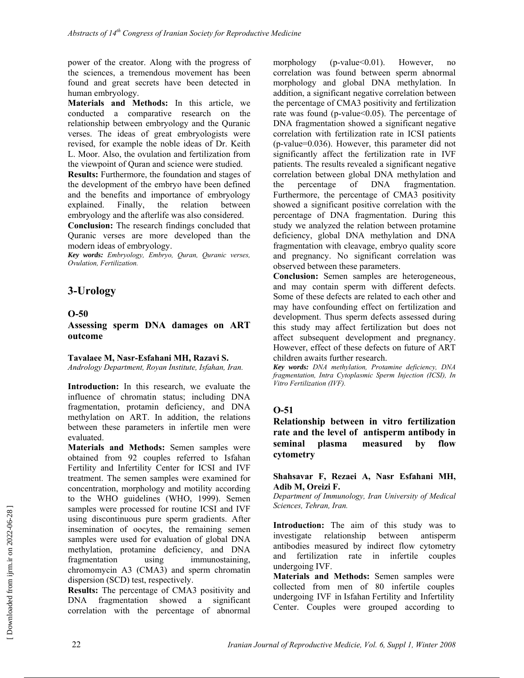power of the creator. Along with the progress of the sciences, a tremendous movement has been found and great secrets have been detected in human embryology.

**Materials and Methods:** In this article, we conducted a comparative research on the relationship between embryology and the Quranic verses. The ideas of great embryologists were revised, for example the noble ideas of Dr. Keith L. Moor. Also, the ovulation and fertilization from the viewpoint of Quran and science were studied.

**Results:** Furthermore, the foundation and stages of the development of the embryo have been defined and the benefits and importance of embryology explained. Finally, the relation between embryology and the afterlife was also considered.

**Conclusion:** The research findings concluded that Quranic verses are more developed than the modern ideas of embryology.

*Key words: Embryology, Embryo, Quran, Quranic verses, Ovulation, Fertilization.* 

# **3-Urology**

#### **O-50**

**Assessing sperm DNA damages on ART outcome** 

#### **Tavalaee M, Nasr-Esfahani MH, Razavi S.**

*Andrology Department, Royan Institute, Isfahan, Iran.* 

**Introduction:** In this research, we evaluate the influence of chromatin status; including DNA fragmentation, protamin deficiency, and DNA methylation on ART. In addition, the relations between these parameters in infertile men were evaluated.

**Materials and Methods:** Semen samples were obtained from 92 couples referred to Isfahan Fertility and Infertility Center for ICSI and IVF treatment. The semen samples were examined for concentration, morphology and motility according to the WHO guidelines (WHO, 1999). Semen samples were processed for routine ICSI and IVF using discontinuous pure sperm gradients. After insemination of oocytes, the remaining semen samples were used for evaluation of global DNA methylation, protamine deficiency, and DNA fragmentation using immunostaining, chromomycin A3 (CMA3) and sperm chromatin dispersion (SCD) test, respectively.

**Results:** The percentage of CMA3 positivity and DNA fragmentation showed a significant correlation with the percentage of abnormal morphology (p-value<0.01). However, no correlation was found between sperm abnormal morphology and global DNA methylation. In addition, a significant negative correlation between the percentage of CMA3 positivity and fertilization rate was found (p-value<0.05). The percentage of DNA fragmentation showed a significant negative correlation with fertilization rate in ICSI patients (p-value=0.036). However, this parameter did not significantly affect the fertilization rate in IVF patients. The results revealed a significant negative correlation between global DNA methylation and the percentage of DNA fragmentation. Furthermore, the percentage of CMA3 positivity showed a significant positive correlation with the percentage of DNA fragmentation. During this study we analyzed the relation between protamine deficiency, global DNA methylation and DNA fragmentation with cleavage, embryo quality score and pregnancy. No significant correlation was observed between these parameters.

**Conclusion:** Semen samples are heterogeneous, and may contain sperm with different defects. Some of these defects are related to each other and may have confounding effect on fertilization and development. Thus sperm defects assessed during this study may affect fertilization but does not affect subsequent development and pregnancy. However, effect of these defects on future of ART children awaits further research.

*Key words: DNA methylation, Protamine deficiency, DNA fragmentation, Intra Cytoplasmic Sperm Injection (ICSI), In Vitro Fertilization (IVF).* 

### **O-51**

**Relationship between in vitro fertilization rate and the level of antisperm antibody in seminal plasma measured by flow cytometry** 

#### **Shahsavar F, Rezaei A, Nasr Esfahani MH, Adib M, Oreizi F.**

*Department of Immunology, Iran University of Medical Sciences, Tehran, Iran.* 

**Introduction:** The aim of this study was to investigate relationship between antisperm antibodies measured by indirect flow cytometry and fertilization rate in infertile couples undergoing IVF.

**Materials and Methods:** Semen samples were collected from men of 80 infertile couples undergoing IVF in Isfahan Fertility and Infertility Center. Couples were grouped according to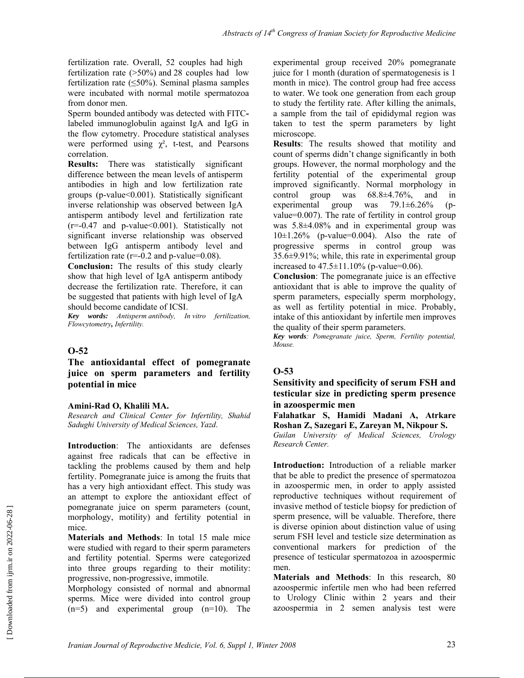fertilization rate. Overall, 52 couples had high fertilization rate (>50%) and 28 couples had low fertilization rate  $(\leq 50\%)$ . Seminal plasma samples were incubated with normal motile spermatozoa from donor men.

Sperm bounded antibody was detected with FITClabeled immunoglobulin against IgA and IgG in the flow cytometry. Procedure statistical analyses were performed using  $\chi^2$ , t-test, and Pearsons correlation.

**Results:** There was statistically significant difference between the mean levels of antisperm antibodies in high and low fertilization rate groups (p-value<0.001). Statistically significant inverse relationship was observed between IgA antisperm antibody level and fertilization rate  $(r=-0.47$  and p-value < 0.001). Statistically not significant inverse relationship was observed between IgG antisperm antibody level and fertilization rate  $(r=0.2$  and p-value= $0.08$ ).

**Conclusion:** The results of this study clearly show that high level of IgA antisperm antibody decrease the fertilization rate. Therefore, it can be suggested that patients with high level of IgA should become candidate of ICSI.

*Key words: Antisperm antibody, In vitro fertilization, Flowcytometry, Infertility.* 

#### **O-52**

#### **The antioxidantal effect of pomegranate juice on sperm parameters and fertility potential in mice**

#### **Amini-Rad O, Khalili MA.**

*Research and Clinical Center for Infertility, Shahid Sadughi University of Medical Sciences, Yazd*.

**Introduction**: The antioxidants are defenses against free radicals that can be effective in tackling the problems caused by them and help fertility. Pomegranate juice is among the fruits that has a very high antioxidant effect. This study was an attempt to explore the antioxidant effect of pomegranate juice on sperm parameters (count, morphology, motility) and fertility potential in mice.

**Materials and Methods**: In total 15 male mice were studied with regard to their sperm parameters and fertility potential. Sperms were categorized into three groups regarding to their motility: progressive, non-progressive, immotile.

Morphology consisted of normal and abnormal sperms. Mice were divided into control group (n=5) and experimental group (n=10). The experimental group received 20% pomegranate juice for 1 month (duration of spermatogenesis is 1 month in mice). The control group had free access to water. We took one generation from each group to study the fertility rate. After killing the animals, a sample from the tail of epididymal region was taken to test the sperm parameters by light microscope.

**Results**: The results showed that motility and count of sperms didn't change significantly in both groups. However, the normal morphology and the fertility potential of the experimental group improved significantly. Normal morphology in control group was 68.8±4.76%, and in experimental group was 79.1±6.26% (pvalue=0.007). The rate of fertility in control group was 5.8±4.08% and in experimental group was  $10\pm1.26\%$  (p-value=0.004). Also the rate of progressive sperms in control group was 35.6±9.91%; while, this rate in experimental group increased to  $47.5 \pm 11.10\%$  (p-value=0.06).

**Conclusion**: The pomegranate juice is an effective antioxidant that is able to improve the quality of sperm parameters, especially sperm morphology, as well as fertility potential in mice. Probably, intake of this antioxidant by infertile men improves the quality of their sperm parameters.

*Key words: Pomegranate juice, Sperm, Fertility potential, Mouse.* 

### **O-53**

#### **Sensitivity and specificity of serum FSH and testicular size in predicting sperm presence in azoospermic men**

**Falahatkar S, Hamidi Madani A, Atrkare Roshan Z, Sazegari E, Zareyan M, Nikpour S.** 

*Guilan University of Medical Sciences, Urology Research Center.* 

**Introduction:** Introduction of a reliable marker that be able to predict the presence of spermatozoa in azoospermic men, in order to apply assisted reproductive techniques without requirement of invasive method of testicle biopsy for prediction of sperm presence, will be valuable. Therefore, there is diverse opinion about distinction value of using serum FSH level and testicle size determination as conventional markers for prediction of the presence of testicular spermatozoa in azoospermic men.

**Materials and Methods**: In this research, 80 azoospermic infertile men who had been referred to Urology Clinic within 2 years and their azoospermia in 2 semen analysis test were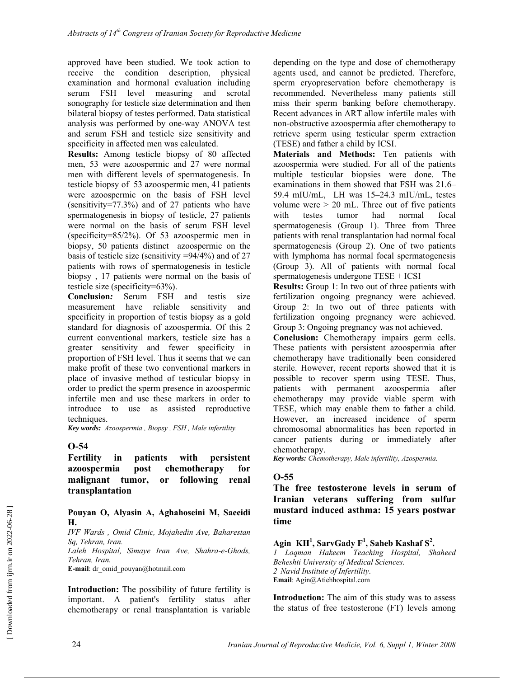approved have been studied. We took action to receive the condition description, physical examination and hormonal evaluation including serum FSH level measuring and scrotal sonography for testicle size determination and then bilateral biopsy of testes performed. Data statistical analysis was performed by one-way ANOVA test and serum FSH and testicle size sensitivity and specificity in affected men was calculated.

**Results:** Among testicle biopsy of 80 affected men, 53 were azoospermic and 27 were normal men with different levels of spermatogenesis. In testicle biopsy of 53 azoospermic men, 41 patients were azoospermic on the basis of FSH level (sensitivity=77.3%) and of 27 patients who have spermatogenesis in biopsy of testicle, 27 patients were normal on the basis of serum FSH level (specificity=85/2%). Of 53 azoospermic men in biopsy, 50 patients distinct azoospermic on the basis of testicle size (sensitivity =94/4%) and of 27 patients with rows of spermatogenesis in testicle biopsy , 17 patients were normal on the basis of testicle size (specificity=63%).

**Conclusion***:* Serum FSH and testis size measurement have reliable sensitivity and specificity in proportion of testis biopsy as a gold standard for diagnosis of azoospermia. Of this 2 current conventional markers, testicle size has a greater sensitivity and fewer specificity in proportion of FSH level. Thus it seems that we can make profit of these two conventional markers in place of invasive method of testicular biopsy in order to predict the sperm presence in azoospermic infertile men and use these markers in order to introduce to use as assisted reproductive techniques.

*Key words: Azoospermia , Biopsy , FSH , Male infertility.* 

### **O-54**

**Fertility in patients with persistent azoospermia post chemotherapy for malignant tumor, or following renal transplantation** 

#### **Pouyan O, Alyasin A, Aghahoseini M, Saeeidi H.**

*IVF Wards , Omid Clinic, Mojahedin Ave, Baharestan Sq, Tehran, Iran.* 

*Laleh Hospital, Simaye Iran Ave, Shahra-e-Ghods, Tehran, Iran.* 

**E-mail**: dr\_omid\_pouyan@hotmail.com

**Introduction:** The possibility of future fertility is important. A patient's fertility status after chemotherapy or renal transplantation is variable depending on the type and dose of chemotherapy agents used, and cannot be predicted. Therefore, sperm cryopreservation before chemotherapy is recommended. Nevertheless many patients still miss their sperm banking before chemotherapy. Recent advances in ART allow infertile males with non-obstructive azoospermia after chemotherapy to retrieve sperm using testicular sperm extraction (TESE) and father a child by ICSI.

**Materials and Methods:** Ten patients with azoospermia were studied. For all of the patients multiple testicular biopsies were done. The examinations in them showed that FSH was 21.6– 59.4 mIU/mL, LH was 15–24.3 mIU/mL, testes volume were  $> 20$  mL. Three out of five patients with testes tumor had normal focal spermatogenesis (Group 1). Three from Three patients with renal transplantation had normal focal spermatogenesis (Group 2). One of two patients with lymphoma has normal focal spermatogenesis (Group 3). All of patients with normal focal spermatogenesis undergone TESE + ICSI

**Results:** Group 1: In two out of three patients with fertilization ongoing pregnancy were achieved. Group 2: In two out of three patients with fertilization ongoing pregnancy were achieved. Group 3: Ongoing pregnancy was not achieved.

**Conclusion:** Chemotherapy impairs germ cells. These patients with persistent azoospermia after chemotherapy have traditionally been considered sterile. However, recent reports showed that it is possible to recover sperm using TESE. Thus, patients with permanent azoospermia after chemotherapy may provide viable sperm with TESE, which may enable them to father a child. However, an increased incidence of sperm chromosomal abnormalities has been reported in cancer patients during or immediately after chemotherapy.

*Key words: Chemotherapy, Male infertility, Azospermia.* 

### **O-55**

**The free testosterone levels in serum of Iranian veterans suffering from sulfur mustard induced asthma: 15 years postwar time** 

### **Agin KH1 , SarvGady F<sup>1</sup> , Saheb Kashaf S<sup>2</sup> .**

*1 Loqman Hakeem Teaching Hospital, Shaheed Beheshti University of Medical Sciences. 2 Navid Institute of Infertility*. **Email**: Agin@Atiehhospital.com

**Introduction:** The aim of this study was to assess the status of free testosterone (FT) levels among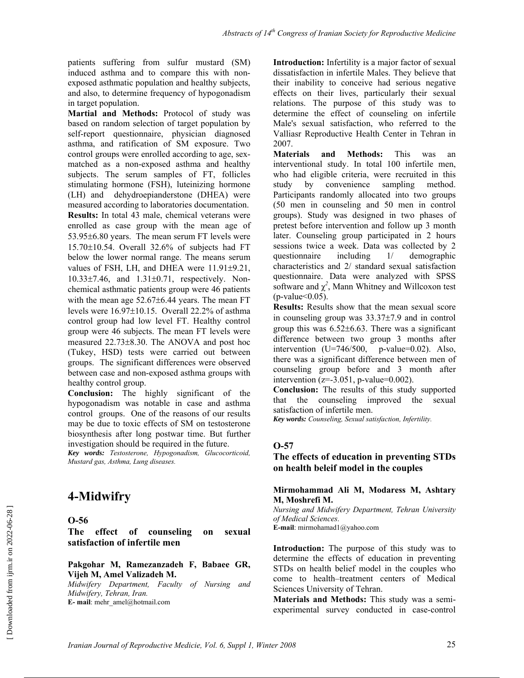patients suffering from sulfur mustard (SM) induced asthma and to compare this with nonexposed asthmatic population and healthy subjects, and also, to determine frequency of hypogonadism in target population.

**Martial and Methods:** Protocol of study was based on random selection of target population by self-report questionnaire, physician diagnosed asthma, and ratification of SM exposure. Two control groups were enrolled according to age, sexmatched as a non-exposed asthma and healthy subjects. The serum samples of FT, follicles stimulating hormone (FSH), luteinizing hormone (LH) and dehydroepianderstone (DHEA) were measured according to laboratories documentation. **Results:** In total 43 male, chemical veterans were enrolled as case group with the mean age of 53.95±6.80 years. The mean serum FT levels were 15.70±10.54. Overall 32.6% of subjects had FT below the lower normal range. The means serum values of FSH, LH, and DHEA were 11.91±9.21, 10.33±7.46, and 1.31±0.71, respectively. Nonchemical asthmatic patients group were 46 patients with the mean age  $52.67\pm6.44$  years. The mean FT levels were 16.97±10.15. Overall 22.2% of asthma control group had low level FT. Healthy control group were 46 subjects. The mean FT levels were measured 22.73±8.30. The ANOVA and post hoc (Tukey, HSD) tests were carried out between groups. The significant differences were observed between case and non-exposed asthma groups with healthy control group.

**Conclusion:** The highly significant of the hypogonadism was notable in case and asthma control groups. One of the reasons of our results may be due to toxic effects of SM on testosterone biosynthesis after long postwar time. But further investigation should be required in the future.

*Key words: Testosterone, Hypogonadism, Glucocorticoid, Mustard gas, Asthma, Lung diseases.* 

# **4-Midwifry**

**O-56** 

**The effect of counseling on sexual satisfaction of infertile men** 

#### **Pakgohar M, Ramezanzadeh F, Babaee GR, Vijeh M, Amel Valizadeh M.**

*Midwifery Department, Faculty of Nursing and Midwifery, Tehran, Iran.*  **E- mail**: mehr\_amel@hotmail.com

**Introduction:** Infertility is a major factor of sexual dissatisfaction in infertile Males. They believe that their inability to conceive had serious negative effects on their lives, particularly their sexual relations. The purpose of this study was to determine the effect of counseling on infertile Male's sexual satisfaction, who referred to the Valliasr Reproductive Health Center in Tehran in 2007.

**Materials and Methods:** This was an interventional study. In total 100 infertile men, who had eligible criteria, were recruited in this study by convenience sampling method. Participants randomly allocated into two groups (50 men in counseling and 50 men in control groups). Study was designed in two phases of pretest before intervention and follow up 3 month later. Counseling group participated in 2 hours sessions twice a week. Data was collected by 2 questionnaire including 1/ demographic characteristics and 2/ standard sexual satisfaction questionnaire. Data were analyzed with SPSS software and  $\chi^2$ , Mann Whitney and Willcoxon test  $(p$ -value $<0.05)$ .

**Results:** Results show that the mean sexual score in counseling group was 33.37±7.9 and in control group this was  $6.52 \pm 6.63$ . There was a significant difference between two group 3 months after intervention (U=746/500, p-value=0.02). Also, there was a significant difference between men of counseling group before and 3 month after intervention ( $z=-3.051$ , p-value=0.002).

**Conclusion:** The results of this study supported that the counseling improved the sexual satisfaction of infertile men.

*Key words: Counseling, Sexual satisfaction, Infertility.* 

### **O-57**

### **The effects of education in preventing STDs on health beleif model in the couples**

**Mirmohammad Ali M, Modaress M, Ashtary M, Moshrefi M.** 

*Nursing and Midwifery Department, Tehran University of Medical Sciences.* **E-mail**: mirmohamad1@yahoo.com

**Introduction:** The purpose of this study was to determine the effects of education in preventing STDs on health belief model in the couples who come to health–treatment centers of Medical Sciences University of Tehran.

**Materials and Methods:** This study was a semiexperimental survey conducted in case-control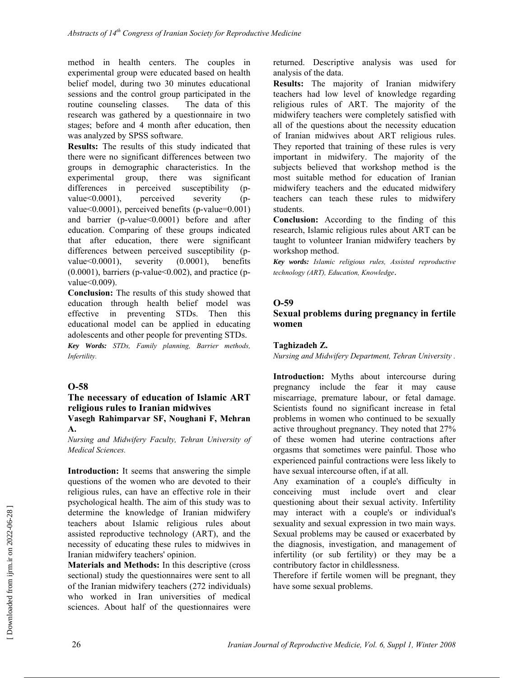method in health centers. The couples in experimental group were educated based on health belief model, during two 30 minutes educational sessions and the control group participated in the routine counseling classes. The data of this research was gathered by a questionnaire in two stages; before and 4 month after education, then was analyzed by SPSS software.

**Results:** The results of this study indicated that there were no significant differences between two groups in demographic characteristics. In the experimental group, there was significant<br>differences in perceived susceptibility (pdifferences in perceived susceptibility (pvalue<0.0001), perceived severity (pvalue<0.0001), perceived benefits (p-value=0.001) and barrier (p-value<0.0001) before and after education. Comparing of these groups indicated that after education, there were significant differences between perceived susceptibility (pvalue<0.0001), severity (0.0001), benefits  $(0.0001)$ , barriers (p-value  $(0.002)$ , and practice (pvalue<0.009).

**Conclusion:** The results of this study showed that education through health belief model was effective in preventing STDs. Then this educational model can be applied in educating adolescents and other people for preventing STDs. *Key Words: STDs, Family planning, Barrier methods, Infertility.* 

### **O-58**

**A.** 

### **The necessary of education of Islamic ART religious rules to Iranian midwives Vasegh Rahimparvar SF, Noughani F, Mehran**

*Nursing and Midwifery Faculty, Tehran University of Medical Sciences.* 

**Introduction:** It seems that answering the simple questions of the women who are devoted to their religious rules, can have an effective role in their psychological health. The aim of this study was to determine the knowledge of Iranian midwifery teachers about Islamic religious rules about assisted reproductive technology (ART), and the necessity of educating these rules to midwives in Iranian midwifery teachers' opinion.

**Materials and Methods:** In this descriptive (cross sectional) study the questionnaires were sent to all of the Iranian midwifery teachers (272 individuals) who worked in Iran universities of medical sciences. About half of the questionnaires were returned. Descriptive analysis was used for analysis of the data.

**Results:** The majority of Iranian midwifery teachers had low level of knowledge regarding religious rules of ART. The majority of the midwifery teachers were completely satisfied with all of the questions about the necessity education of Iranian midwives about ART religious rules. They reported that training of these rules is very important in midwifery. The majority of the subjects believed that workshop method is the most suitable method for education of Iranian midwifery teachers and the educated midwifery teachers can teach these rules to midwifery students.

**Conclusion:** According to the finding of this research, Islamic religious rules about ART can be taught to volunteer Iranian midwifery teachers by workshop method.

*Key words: Islamic religious rules, Assisted reproductive technology (ART), Education, Knowledge*.

### **O-59**

### **Sexual problems during pregnancy in fertile women**

### **Taghizadeh Z.**

*Nursing and Midwifery Department, Tehran University .* 

**Introduction:** Myths about intercourse during pregnancy include the fear it may cause miscarriage, premature labour, or fetal damage. Scientists found no significant increase in fetal problems in women who continued to be sexually active throughout pregnancy. They noted that 27% of these women had uterine contractions after orgasms that sometimes were painful. Those who experienced painful contractions were less likely to have sexual intercourse often, if at all.

Any examination of a couple's difficulty in conceiving must include overt and clear questioning about their sexual activity. Infertility may interact with a couple's or individual's sexuality and sexual expression in two main ways. Sexual problems may be caused or exacerbated by the diagnosis, investigation, and management of infertility (or sub fertility) or they may be a contributory factor in childlessness.

Therefore if fertile women will be pregnant, they have some sexual problems.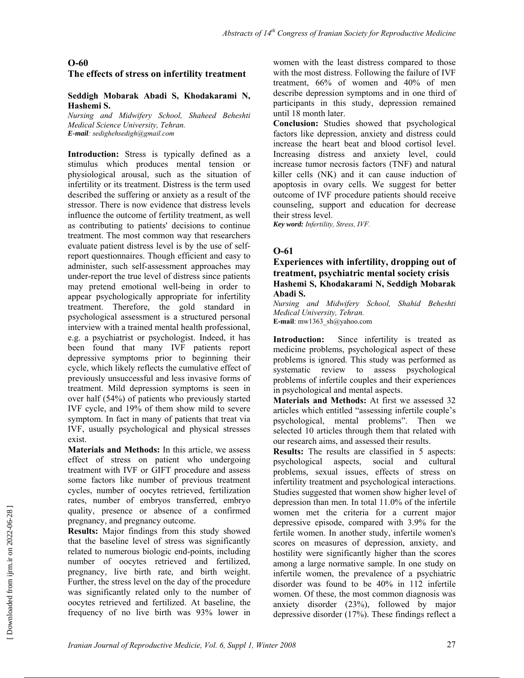### **The effects of stress on infertility treatment**

#### **Seddigh Mobarak Abadi S, Khodakarami N, Hashemi S.**

*Nursing and Midwifery School, Shaheed Beheshti Medical Science University, Tehran. E-mail: sedighehsedigh@gmail.com* 

**Introduction:** Stress is typically defined as a stimulus which produces mental tension or physiological arousal, such as the situation of infertility or its treatment. Distress is the term used described the suffering or anxiety as a result of the stressor. There is now evidence that distress levels influence the outcome of fertility treatment, as well as contributing to patients' decisions to continue treatment. The most common way that researchers evaluate patient distress level is by the use of selfreport questionnaires. Though efficient and easy to administer, such self-assessment approaches may under-report the true level of distress since patients may pretend emotional well-being in order to appear psychologically appropriate for infertility treatment. Therefore, the gold standard in psychological assessment is a structured personal interview with a trained mental health professional, e.g. a psychiatrist or psychologist. Indeed, it has been found that many IVF patients report depressive symptoms prior to beginning their cycle, which likely reflects the cumulative effect of previously unsuccessful and less invasive forms of treatment. Mild depression symptoms is seen in over half (54%) of patients who previously started IVF cycle, and 19% of them show mild to severe symptom. In fact in many of patients that treat via IVF, usually psychological and physical stresses exist.

**Materials and Methods:** In this article, we assess effect of stress on patient who undergoing treatment with IVF or GIFT procedure and assess some factors like number of previous treatment cycles, number of oocytes retrieved, fertilization rates, number of embryos transferred, embryo quality, presence or absence of a confirmed pregnancy, and pregnancy outcome.

**Results:** Major findings from this study showed that the baseline level of stress was significantly related to numerous biologic end-points, including number of oocytes retrieved and fertilized, pregnancy, live birth rate, and birth weight. Further, the stress level on the day of the procedure was significantly related only to the number of oocytes retrieved and fertilized. At baseline, the frequency of no live birth was 93% lower in women with the least distress compared to those with the most distress. Following the failure of IVF treatment, 66% of women and 40% of men describe depression symptoms and in one third of participants in this study, depression remained until 18 month later.

**Conclusion:** Studies showed that psychological factors like depression, anxiety and distress could increase the heart beat and blood cortisol level. Increasing distress and anxiety level, could increase tumor necrosis factors (TNF) and natural killer cells (NK) and it can cause induction of apoptosis in ovary cells. We suggest for better outcome of IVF procedure patients should receive counseling, support and education for decrease their stress level.

*Key word: Infertility, Stress, IVF.* 

### **O-61**

#### **Experiences with infertility, dropping out of treatment, psychiatric mental society crisis Hashemi S, Khodakarami N, Seddigh Mobarak Abadi S.**

*Nursing and Midwifery School, Shahid Beheshti Medical University, Tehran.*  **E-mail**: mw1363\_sh@yahoo.com

**Introduction:** Since infertility is treated as medicine problems, psychological aspect of these problems is ignored. This study was performed as systematic review to assess psychological problems of infertile couples and their experiences in psychological and mental aspects.

**Materials and Methods:** At first we assessed 32 articles which entitled "assessing infertile couple's psychological, mental problems". Then we selected 10 articles through them that related with our research aims, and assessed their results.

**Results:** The results are classified in 5 aspects: psychological aspects, social and cultural problems, sexual issues, effects of stress on infertility treatment and psychological interactions. Studies suggested that women show higher level of depression than men. In total 11.0% of the infertile women met the criteria for a current major depressive episode, compared with 3.9% for the fertile women. In another study, infertile women's scores on measures of depression, anxiety, and hostility were significantly higher than the scores among a large normative sample. In one study on infertile women, the prevalence of a psychiatric disorder was found to be 40% in 112 infertile women. Of these, the most common diagnosis was anxiety disorder (23%), followed by major depressive disorder (17%). These findings reflect a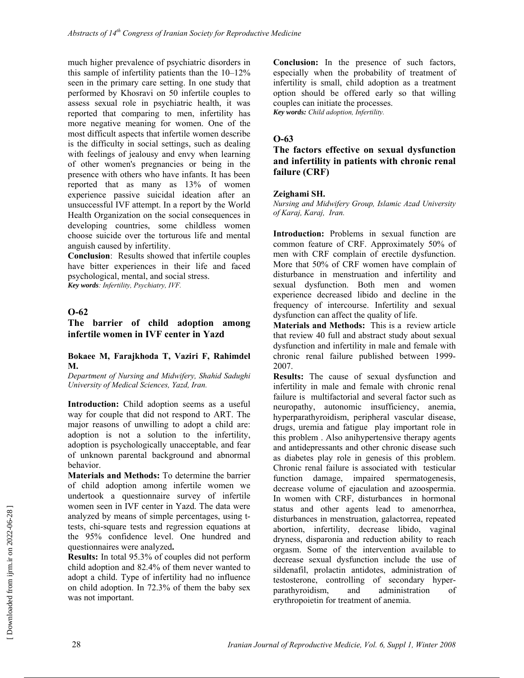much higher prevalence of psychiatric disorders in this sample of infertility patients than the 10–12% seen in the primary care setting. In one study that performed by Khosravi on 50 infertile couples to assess sexual role in psychiatric health, it was reported that comparing to men, infertility has more negative meaning for women. One of the most difficult aspects that infertile women describe is the difficulty in social settings, such as dealing with feelings of jealousy and envy when learning of other women's pregnancies or being in the presence with others who have infants. It has been reported that as many as 13% of women experience passive suicidal ideation after an unsuccessful IVF attempt. In a report by the World Health Organization on the social consequences in developing countries, some childless women choose suicide over the torturous life and mental anguish caused by infertility.

**Conclusion**: Results showed that infertile couples have bitter experiences in their life and faced psychological, mental, and social stress.

*Key words: Infertility, Psychiatry, IVF.* 

#### **O-62**

### **The barrier of child adoption among infertile women in IVF center in Yazd**

#### **Bokaee M, Farajkhoda T, Vaziri F, Rahimdel M.**

*Department of Nursing and Midwifery, Shahid Sadughi University of Medical Sciences, Yazd, Iran.* 

**Introduction:** Child adoption seems as a useful way for couple that did not respond to ART. The major reasons of unwilling to adopt a child are: adoption is not a solution to the infertility, adoption is psychologically unacceptable, and fear of unknown parental background and abnormal behavior.

**Materials and Methods:** To determine the barrier of child adoption among infertile women we undertook a questionnaire survey of infertile women seen in IVF center in Yazd. The data were analyzed by means of simple percentages, using ttests, chi-square tests and regression equations at the 95% confidence level. One hundred and questionnaires were analyzed**.** 

**Results:** In total 95.3% of couples did not perform child adoption and 82.4% of them never wanted to adopt a child. Type of infertility had no influence on child adoption. In 72.3% of them the baby sex was not important.

**Conclusion:** In the presence of such factors, especially when the probability of treatment of infertility is small, child adoption as a treatment option should be offered early so that willing couples can initiate the processes. *Key words: Child adoption, Infertility.* 

### **O-63**

### **The factors effective on sexual dysfunction and infertility in patients with chronic renal failure (CRF)**

#### **Zeighami SH.**

*Nursing and Midwifery Group, Islamic Azad University of Karaj, Karaj, Iran.* 

**Introduction:** Problems in sexual function are common feature of CRF. Approximately 50% of men with CRF complain of erectile dysfunction. More that 50% of CRF women have complain of disturbance in menstruation and infertility and sexual dysfunction. Both men and women experience decreased libido and decline in the frequency of intercourse. Infertility and sexual dysfunction can affect the quality of life.

**Materials and Methods:** This is a review article that review 40 full and abstract study about sexual dysfunction and infertility in male and female with chronic renal failure published between 1999- 2007.

**Results:** The cause of sexual dysfunction and infertility in male and female with chronic renal failure is multifactorial and several factor such as neuropathy, autonomic insufficiency, anemia, hyperparathyroidism, peripheral vascular disease, drugs, uremia and fatigue play important role in this problem . Also anihypertensive therapy agents and antidepressants and other chronic disease such as diabetes play role in genesis of this problem. Chronic renal failure is associated with testicular function damage, impaired spermatogenesis, decrease volume of ejaculation and azoospermia. In women with CRF, disturbances in hormonal status and other agents lead to amenorrhea, disturbances in menstruation, galactorrea, repeated abortion, infertility, decrease libido, vaginal dryness, disparonia and reduction ability to reach orgasm. Some of the intervention available to decrease sexual dysfunction include the use of sildenafil, prolactin antidotes, administration of testosterone, controlling of secondary hyperparathyroidism, and administration of erythropoietin for treatment of anemia.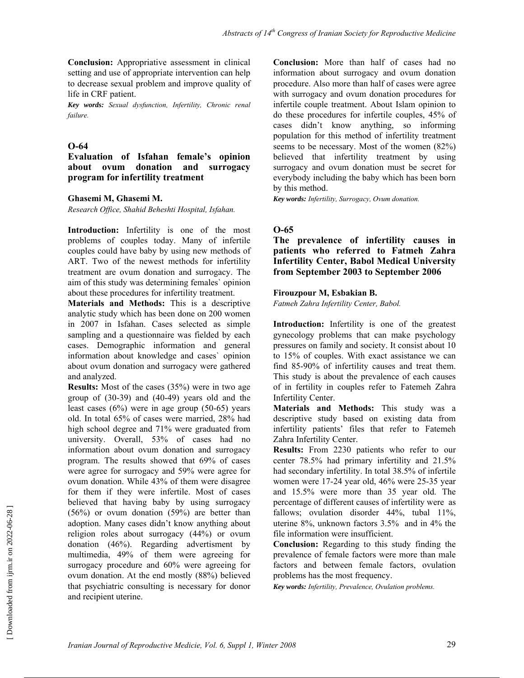**Conclusion:** Appropriative assessment in clinical setting and use of appropriate intervention can help to decrease sexual problem and improve quality of life in CRF patient.

*Key words: Sexual dysfunction, Infertility, Chronic renal failure.* 

### **O-64**

#### **Evaluation of Isfahan female's opinion about ovum donation and surrogacy program for infertility treatment**

#### **Ghasemi M, Ghasemi M.**

*Research Office, Shahid Beheshti Hospital, Isfahan.* 

**Introduction:** Infertility is one of the most problems of couples today. Many of infertile couples could have baby by using new methods of ART. Two of the newest methods for infertility treatment are ovum donation and surrogacy. The aim of this study was determining females` opinion about these procedures for infertility treatment.

**Materials and Methods:** This is a descriptive analytic study which has been done on 200 women in 2007 in Isfahan. Cases selected as simple sampling and a questionnaire was fielded by each cases. Demographic information and general information about knowledge and cases` opinion about ovum donation and surrogacy were gathered and analyzed.

**Results:** Most of the cases (35%) were in two age group of (30-39) and (40-49) years old and the least cases (6%) were in age group (50-65) years old. In total 65% of cases were married, 28% had high school degree and 71% were graduated from university. Overall, 53% of cases had no information about ovum donation and surrogacy program. The results showed that 69% of cases were agree for surrogacy and 59% were agree for ovum donation. While 43% of them were disagree for them if they were infertile. Most of cases believed that having baby by using surrogacy (56%) or ovum donation (59%) are better than adoption. Many cases didn't know anything about religion roles about surrogacy (44%) or ovum donation (46%). Regarding advertisment by multimedia, 49% of them were agreeing for surrogacy procedure and 60% were agreeing for ovum donation. At the end mostly (88%) believed that psychiatric consulting is necessary for donor and recipient uterine.

**Conclusion:** More than half of cases had no information about surrogacy and ovum donation procedure. Also more than half of cases were agree with surrogacy and ovum donation procedures for infertile couple treatment. About Islam opinion to do these procedures for infertile couples, 45% of cases didn't know anything, so informing population for this method of infertility treatment seems to be necessary. Most of the women (82%) believed that infertility treatment by using surrogacy and ovum donation must be secret for everybody including the baby which has been born by this method.

*Key words: Infertility, Surrogacy, Ovum donation.*

### **O-65**

**The prevalence of infertility causes in patients who referred to Fatmeh Zahra Infertility Center, Babol Medical University from September 2003 to September 2006** 

#### **Firouzpour M, Esbakian B.**

*Fatmeh Zahra Infertility Center, Babol.* 

**Introduction:** Infertility is one of the greatest gynecology problems that can make psychology pressures on family and society. It consist about 10 to 15% of couples. With exact assistance we can find 85-90% of infertility causes and treat them. This study is about the prevalence of each causes of in fertility in couples refer to Fatemeh Zahra Infertility Center.

**Materials and Methods:** This study was a descriptive study based on existing data from infertility patients' files that refer to Fatemeh Zahra Infertility Center.

**Results:** From 2230 patients who refer to our center 78.5% had primary infertility and 21.5% had secondary infertility. In total 38.5% of infertile women were 17-24 year old, 46% were 25-35 year and 15.5% were more than 35 year old. The percentage of different causes of infertility were as fallows; ovulation disorder 44%, tubal 11%, uterine 8%, unknown factors 3.5% and in 4% the file information were insufficient.

**Conclusion:** Regarding to this study finding the prevalence of female factors were more than male factors and between female factors, ovulation problems has the most frequency.

*Key words: Infertility, Prevalence, Ovulation problems.*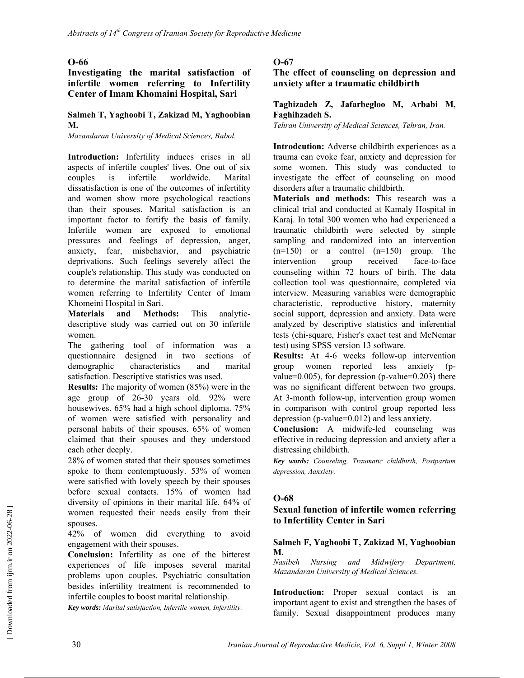**Investigating the marital satisfaction of infertile women referring to Infertility Center of Imam Khomaini Hospital, Sari** 

### **Salmeh T, Yaghoobi T, Zakizad M, Yaghoobian M.**

*Mazandaran University of Medical Sciences, Babol.* 

**Introduction:** Infertility induces crises in all aspects of infertile couples' lives. One out of six couples is infertile worldwide. Marital dissatisfaction is one of the outcomes of infertility and women show more psychological reactions than their spouses. Marital satisfaction is an important factor to fortify the basis of family. Infertile women are exposed to emotional pressures and feelings of depression, anger, anxiety, fear, misbehavior, and psychiatric deprivations. Such feelings severely affect the couple's relationship. This study was conducted on to determine the marital satisfaction of infertile women referring to Infertility Center of Imam Khomeini Hospital in Sari.

**Materials and Methods:** This analyticdescriptive study was carried out on 30 infertile women.

The gathering tool of information was a questionnaire designed in two sections of demographic characteristics and marital satisfaction. Descriptive statistics was used.

**Results:** The majority of women (85%) were in the age group of 26-30 years old. 92% were housewives. 65% had a high school diploma. 75% of women were satisfied with personality and personal habits of their spouses. 65% of women claimed that their spouses and they understood each other deeply.

28% of women stated that their spouses sometimes spoke to them contemptuously. 53% of women were satisfied with lovely speech by their spouses before sexual contacts. 15% of women had diversity of opinions in their marital life. 64% of women requested their needs easily from their spouses.

42% of women did everything to avoid engagement with their spouses.

**Conclusion:** Infertility as one of the bitterest experiences of life imposes several marital problems upon couples. Psychiatric consultation besides infertility treatment is recommended to infertile couples to boost marital relationship.

*Key words: Marital satisfaction, Infertile women, Infertility.* 

### **O-67**

**The effect of counseling on depression and anxiety after a traumatic childbirth** 

#### **Taghizadeh Z, Jafarbegloo M, Arbabi M, Faghihzadeh S.**

*Tehran University of Medical Sciences, Tehran, Iran.* 

**Introdcution:** Adverse childbirth experiences as a trauma can evoke fear, anxiety and depression for some women. This study was conducted to investigate the effect of counseling on mood disorders after a traumatic childbirth.

**Materials and methods:** This research was a clinical trial and conducted at Kamaly Hospital in Karaj. In total 300 women who had experienced a traumatic childbirth were selected by simple sampling and randomized into an intervention  $(n=150)$  or a control  $(n=150)$  group. The intervention group received face-to-face counseling within 72 hours of birth. The data collection tool was questionnaire, completed via interview. Measuring variables were demographic characteristic, reproductive history, maternity social support, depression and anxiety. Data were analyzed by descriptive statistics and inferential tests (chi-square, Fisher's exact test and McNemar test) using SPSS version 13 software.

**Results:** At 4-6 weeks follow-up intervention group women reported less anxiety (pvalue= $0.005$ ), for depression (p-value= $0.203$ ) there was no significant different between two groups. At 3-month follow-up, intervention group women in comparison with control group reported less depression (p-value=0.012) and less anxiety.

**Conclusion:** A midwife-led counseling was effective in reducing depression and anxiety after a distressing childbirth.

*Key words: Counseling, Traumatic childbirth, Postpartum depression, Aanxiety.*

### **O-68**

### **Sexual function of infertile women referring to Infertility Center in Sari**

#### **Salmeh F, Yaghoobi T, Zakizad M, Yaghoobian M.**

*Nasibeh Nursing and Midwifery Department, Mazandaran University of Medical Sciences.* 

**Introduction:** Proper sexual contact is an important agent to exist and strengthen the bases of family. Sexual disappointment produces many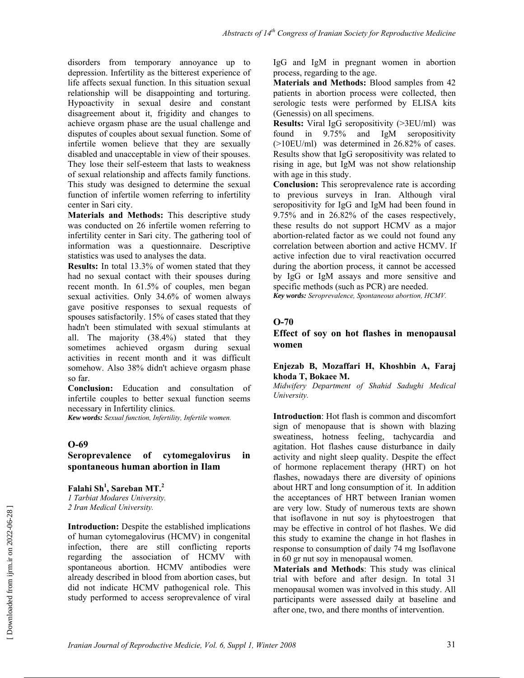disorders from temporary annoyance up to depression. Infertility as the bitterest experience of life affects sexual function. In this situation sexual relationship will be disappointing and torturing. Hypoactivity in sexual desire and constant disagreement about it, frigidity and changes to achieve orgasm phase are the usual challenge and disputes of couples about sexual function. Some of infertile women believe that they are sexually disabled and unacceptable in view of their spouses. They lose their self-esteem that lasts to weakness of sexual relationship and affects family functions. This study was designed to determine the sexual function of infertile women referring to infertility center in Sari city.

**Materials and Methods:** This descriptive study was conducted on 26 infertile women referring to infertility center in Sari city. The gathering tool of information was a questionnaire. Descriptive statistics was used to analyses the data.

**Results:** In total 13.3% of women stated that they had no sexual contact with their spouses during recent month. In 61.5% of couples, men began sexual activities. Only 34.6% of women always gave positive responses to sexual requests of spouses satisfactorily. 15% of cases stated that they hadn't been stimulated with sexual stimulants at all. The majority (38.4%) stated that they sometimes achieved orgasm during sexual activities in recent month and it was difficult somehow. Also 38% didn't achieve orgasm phase so far.

**Conclusion:** Education and consultation of infertile couples to better sexual function seems necessary in Infertility clinics.

*Kew words: Sexual function, Infertility, Infertile women.* 

#### **O-69**

#### **Seroprevalence of cytomegalovirus in spontaneous human abortion in Ilam**

**Falahi Sh<sup>1</sup> , Sareban MT.<sup>2</sup>** *1 Tarbiat Modares University. 2 Iran Medical University.* 

**Introduction:** Despite the established implications of human cytomegalovirus (HCMV) in congenital infection, there are still conflicting reports regarding the association of HCMV with spontaneous abortion. HCMV antibodies were already described in blood from abortion cases, but did not indicate HCMV pathogenical role. This study performed to access seroprevalence of viral IgG and IgM in pregnant women in abortion process, regarding to the age.

**Materials and Methods:** Blood samples from 42 patients in abortion process were collected, then serologic tests were performed by ELISA kits (Genessis) on all specimens.

**Results:** Viral IgG seropositivity (>3EU/ml) was found in 9.75% and IgM seropositivity (>10EU/ml) was determined in 26.82% of cases. Results show that IgG seropositivity was related to rising in age, but IgM was not show relationship with age in this study.

**Conclusion:** This seroprevalence rate is according to previous surveys in Iran. Although viral seropositivity for IgG and IgM had been found in 9.75% and in 26.82% of the cases respectively, these results do not support HCMV as a major abortion-related factor as we could not found any correlation between abortion and active HCMV. If active infection due to viral reactivation occurred during the abortion process, it cannot be accessed by IgG or IgM assays and more sensitive and specific methods (such as PCR) are needed.

*Key words: Seroprevalence, Spontaneous abortion, HCMV.* 

#### **O-70**

#### **Effect of soy on hot flashes in menopausal women**

#### **Enjezab B, Mozaffari H, Khoshbin A, Faraj khoda T, Bokaee M.**

*Midwifery Department of Shahid Sadughi Medical University.* 

**Introduction**: Hot flash is common and discomfort sign of menopause that is shown with blazing sweatiness, hotness feeling, tachycardia and agitation. Hot flashes cause disturbance in daily activity and night sleep quality. Despite the effect of hormone replacement therapy (HRT) on hot flashes, nowadays there are diversity of opinions about HRT and long consumption of it. In addition the acceptances of HRT between Iranian women are very low. Study of numerous texts are shown that isoflavone in nut soy is phytoestrogen that may be effective in control of hot flashes. We did this study to examine the change in hot flashes in response to consumption of daily 74 mg Isoflavone in 60 gr nut soy in menopausal women.

**Materials and Methods**: This study was clinical trial with before and after design. In total 31 menopausal women was involved in this study. All participants were assessed daily at baseline and after one, two, and there months of intervention.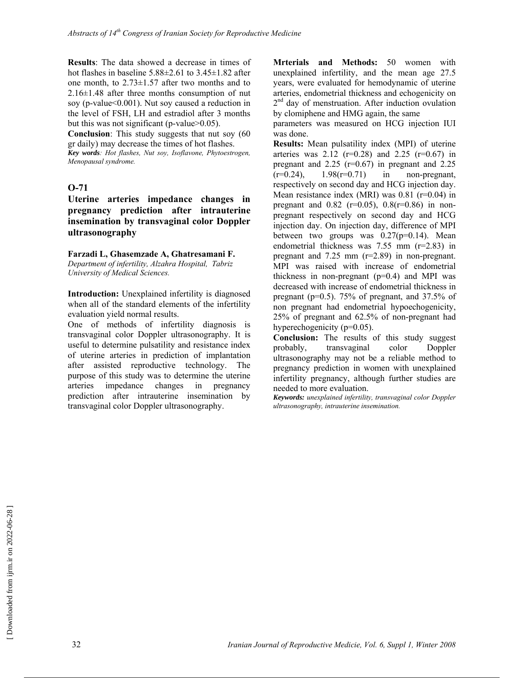**Results**: The data showed a decrease in times of hot flashes in baseline  $5.88\pm2.61$  to  $3.45\pm1.82$  after one month, to 2.73±1.57 after two months and to 2.16±1.48 after three months consumption of nut soy (p-value<0.001). Nut soy caused a reduction in the level of FSH, LH and estradiol after 3 months but this was not significant (p-value>0.05).

**Conclusion**: This study suggests that nut soy (60 gr daily) may decrease the times of hot flashes.

*Key words: Hot flashes, Nut soy, Isoflavone, Phytoestrogen, Menopausal syndrome.* 

#### **O-71**

**Uterine arteries impedance changes in pregnancy prediction after intrauterine insemination by transvaginal color Doppler ultrasonography** 

#### **Farzadi L, Ghasemzade A, Ghatresamani F.**

*Department of infertility, Alzahra Hospital, Tabriz University of Medical Sciences.* 

**Introduction:** Unexplained infertility is diagnosed when all of the standard elements of the infertility evaluation yield normal results.

One of methods of infertility diagnosis is transvaginal color Doppler ultrasonography. It is useful to determine pulsatility and resistance index of uterine arteries in prediction of implantation after assisted reproductive technology. The purpose of this study was to determine the uterine arteries impedance changes in pregnancy prediction after intrauterine insemination by transvaginal color Doppler ultrasonography.

**Mrterials and Methods:** 50 women with unexplained infertility, and the mean age 27.5 years, were evaluated for hemodynamic of uterine arteries, endometrial thickness and echogenicity on  $2<sup>nd</sup>$  day of menstruation. After induction ovulation by clomiphene and HMG again, the same

parameters was measured on HCG injection IUI was done.

**Results:** Mean pulsatility index (MPI) of uterine arteries was  $2.12$  (r=0.28) and  $2.25$  (r=0.67) in pregnant and  $2.25$  (r=0.67) in pregnant and  $2.25$  $(r=0.24)$ ,  $1.98(r=0.71)$  in non-pregnant, respectively on second day and HCG injection day. Mean resistance index (MRI) was  $0.81$  (r=0.04) in pregnant and  $0.82$  (r=0.05),  $0.8(r=0.86)$  in nonpregnant respectively on second day and HCG injection day. On injection day, difference of MPI between two groups was  $0.27(p=0.14)$ . Mean endometrial thickness was 7.55 mm (r=2.83) in pregnant and 7.25 mm (r=2.89) in non-pregnant. MPI was raised with increase of endometrial thickness in non-pregnant  $(p=0.4)$  and MPI was decreased with increase of endometrial thickness in pregnant (p=0.5). 75% of pregnant, and 37.5% of non pregnant had endometrial hypoechogenicity, 25% of pregnant and 62.5% of non-pregnant had hyperechogenicity (p=0.05).

**Conclusion:** The results of this study suggest probably, transvaginal color Doppler ultrasonography may not be a reliable method to pregnancy prediction in women with unexplained infertility pregnancy, although further studies are needed to more evaluation.

*Keywords: unexplained infertility, transvaginal color Doppler ultrasonography, intrauterine insemination.*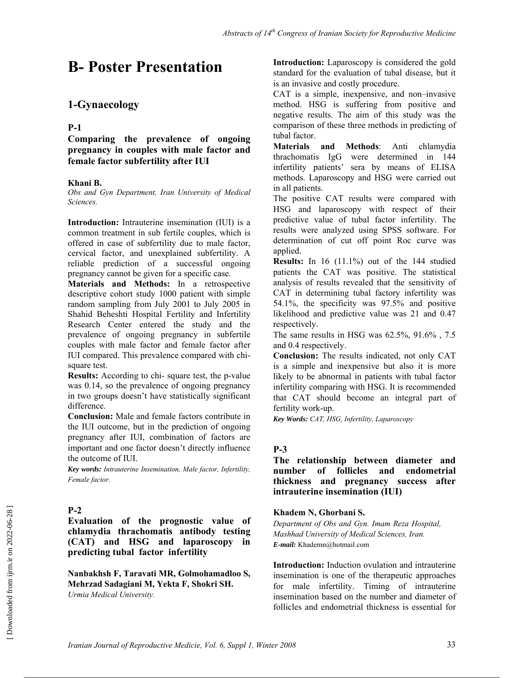# **B- Poster Presentation**

# **1-Gynaecology**

### **P-1**

**Comparing the prevalence of ongoing pregnancy in couples with male factor and female factor subfertility after IUI** 

### **Khani B.**

*Obs and Gyn Department, Iran University of Medical Sciences.*

**Introduction:** Intrauterine insemination (IUI) is a common treatment in sub fertile couples, which is offered in case of subfertility due to male factor, cervical factor, and unexplained subfertility. A reliable prediction of a successful ongoing pregnancy cannot be given for a specific case.

**Materials and Methods:** In a retrospective descriptive cohort study 1000 patient with simple random sampling from July 2001 to July 2005 in Shahid Beheshti Hospital Fertility and Infertility Research Center entered the study and the prevalence of ongoing pregnancy in subfertile couples with male factor and female factor after IUI compared. This prevalence compared with chisquare test.

**Results:** According to chi- square test, the p-value was 0.14, so the prevalence of ongoing pregnancy in two groups doesn't have statistically significant difference.

**Conclusion:** Male and female factors contribute in the IUI outcome, but in the prediction of ongoing pregnancy after IUI, combination of factors are important and one factor doesn't directly influence the outcome of IUI.

*Key words: Intrauterine Insemination, Male factor, Infertility, Female factor.* 

## **P-2**

**Evaluation of the prognostic value of chlamydia thrachomatis antibody testing (CAT) and HSG and laparoscopy in predicting tubal factor infertility** 

**Nanbakhsh F, Taravati MR, Golmohamadloo S, Mehrzad Sadagiani M, Yekta F, Shokri SH.**  *Urmia Medical University.*

**Introduction:** Laparoscopy is considered the gold standard for the evaluation of tubal disease, but it is an invasive and costly procedure.

CAT is a simple, inexpensive, and non–invasive method. HSG is suffering from positive and negative results. The aim of this study was the comparison of these three methods in predicting of tubal factor.

**Materials and Methods**: Anti chlamydia thrachomatis IgG were determined in 144 infertility patients' sera by means of ELISA methods. Laparoscopy and HSG were carried out in all patients.

The positive CAT results were compared with HSG and laparoscopy with respect of their predictive value of tubal factor infertility. The results were analyzed using SPSS software. For determination of cut off point Roc curve was applied.

**Results:** In 16 (11.1%) out of the 144 studied patients the CAT was positive. The statistical analysis of results revealed that the sensitivity of CAT in determining tubal factory infertility was 54.1%, the specificity was 97.5% and positive likelihood and predictive value was 21 and 0.47 respectively.

The same results in HSG was 62.5%, 91.6% , 7.5 and 0.4 respectively.

**Conclusion:** The results indicated, not only CAT is a simple and inexpensive but also it is more likely to be abnormal in patients with tubal factor infertility comparing with HSG. It is recommended that CAT should become an integral part of fertility work-up.

*Key Words: CAT, HSG, Infertility, Laparoscopy* 

## **P-3**

### **The relationship between diameter and number of follicles and endometrial thickness and pregnancy success after intrauterine insemination (IUI)**

### **Khadem N, Ghorbani S.**

*Department of Obs and Gyn. Imam Reza Hospital, Mashhad University of Medical Sciences, Iran. E-mail:* Khademn@hotmail.com

**Introduction:** Induction ovulation and intrauterine insemination is one of the therapeutic approaches for male infertility. Timing of intrauterine insemination based on the number and diameter of follicles and endometrial thickness is essential for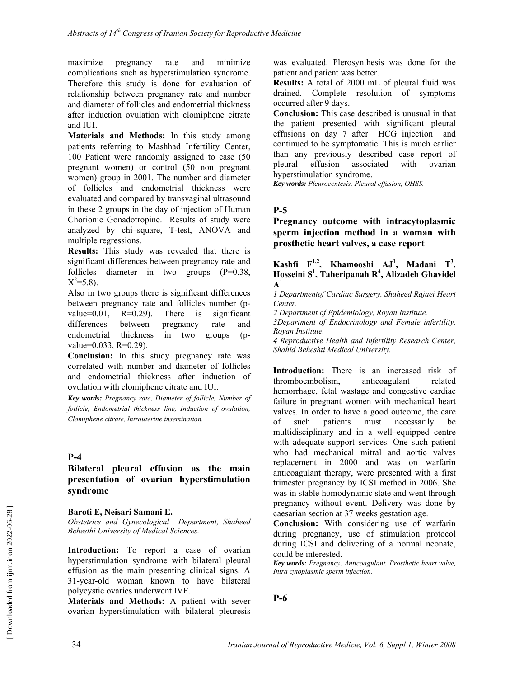maximize pregnancy rate and minimize complications such as hyperstimulation syndrome. Therefore this study is done for evaluation of relationship between pregnancy rate and number and diameter of follicles and endometrial thickness after induction ovulation with clomiphene citrate and IUI.

**Materials and Methods:** In this study among patients referring to Mashhad Infertility Center, 100 Patient were randomly assigned to case (50 pregnant women) or control (50 non pregnant women) group in 2001. The number and diameter of follicles and endometrial thickness were evaluated and compared by transvaginal ultrasound in these 2 groups in the day of injection of Human Chorionic Gonadotropine. Results of study were analyzed by chi–square, T-test, ANOVA and multiple regressions.

**Results:** This study was revealed that there is significant differences between pregnancy rate and follicles diameter in two groups (P=0.38,  $X^2 = 5.8$ ).

Also in two groups there is significant differences between pregnancy rate and follicles number (pvalue= $0.01$ , R= $0.29$ ). There is significant differences between pregnancy rate and endometrial thickness in two groups (pvalue=0.033, R=0.29).

**Conclusion:** In this study pregnancy rate was correlated with number and diameter of follicles and endometrial thickness after induction of ovulation with clomiphene citrate and IUI.

*Key words: Pregnancy rate, Diameter of follicle, Number of follicle, Endometrial thickness line, Induction of ovulation, Clomiphene citrate, Intrauterine insemination.* 

### **P-4**

### **Bilateral pleural effusion as the main presentation of ovarian hyperstimulation syndrome**

#### **Baroti E, Neisari Samani E.**

*Obstetrics and Gynecological Department, Shaheed Behesthi University of Medical Sciences.* 

**Introduction:** To report a case of ovarian hyperstimulation syndrome with bilateral pleural effusion as the main presenting clinical signs. A 31-year-old woman known to have bilateral polycystic ovaries underwent IVF.

**Materials and Methods:** A patient with sever ovarian hyperstimulation with bilateral pleuresis was evaluated. Plerosynthesis was done for the patient and patient was better.

**Results:** A total of 2000 mL of pleural fluid was drained. Complete resolution of symptoms occurred after 9 days.

**Conclusion:** This case described is unusual in that the patient presented with significant pleural effusions on day 7 after HCG injection and continued to be symptomatic. This is much earlier than any previously described case report of pleural effusion associated with ovarian hyperstimulation syndrome.

*Key words: Pleurocentesis, Pleural effusion, OHSS.* 

### **P-5**

**Pregnancy outcome with intracytoplasmic sperm injection method in a woman with prosthetic heart valves, a case report** 

**Kashfi**  $F^{1,2}$ , **Khamooshi**  $AJ<sup>1</sup>$ , **Madani**  $T<sup>3</sup>$ , **Hosseini S<sup>1</sup> , Taheripanah R4 , Alizadeh Ghavidel A1** 

*1 Departmentof Cardiac Surgery, Shaheed Rajaei Heart Center.* 

*2 Department of Epidemiology, Royan Institute.* 

*3Department of Endocrinology and Female infertility, Royan Institute.* 

*4 Reproductive Health and Infertility Research Center, Shahid Beheshti Medical University.* 

**Introduction:** There is an increased risk of thromboembolism, anticoagulant related hemorrhage, fetal wastage and congestive cardiac failure in pregnant women with mechanical heart valves. In order to have a good outcome, the care of such patients must necessarily be multidisciplinary and in a well–equipped centre with adequate support services. One such patient who had mechanical mitral and aortic valves replacement in 2000 and was on warfarin anticoagulant therapy, were presented with a first trimester pregnancy by ICSI method in 2006. She was in stable homodynamic state and went through pregnancy without event. Delivery was done by caesarian section at 37 weeks gestation age.

**Conclusion:** With considering use of warfarin during pregnancy, use of stimulation protocol during ICSI and delivering of a normal neonate, could be interested.

*Key words: Pregnancy, Anticoagulant, Prosthetic heart valve, Intra cytoplasmic sperm injection.* 

**P-6**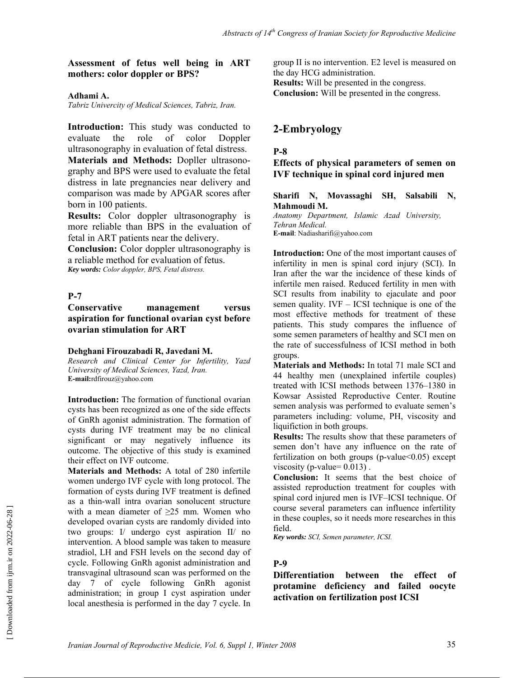#### **Assessment of fetus well being in ART mothers: color doppler or BPS?**

#### **Adhami A.**

*Tabriz Univercity of Medical Sciences, Tabriz, Iran.* 

**Introduction:** This study was conducted to evaluate the role of color Doppler ultrasonography in evaluation of fetal distress. **Materials and Methods:** Dopller ultrasonography and BPS were used to evaluate the fetal distress in late pregnancies near delivery and comparison was made by APGAR scores after born in 100 patients.

**Results:** Color doppler ultrasonography is more reliable than BPS in the evaluation of fetal in ART patients near the delivery.

**Conclusion:** Color doppler ultrasonography is a reliable method for evaluation of fetus. *Key words: Color doppler, BPS, Fetal distress.* 

#### **P-7**

#### **Conservative management versus aspiration for functional ovarian cyst before ovarian stimulation for ART**

#### **Dehghani Firouzabadi R, Javedani M.**

*Research and Clinical Center for Infertility, Yazd University of Medical Sciences, Yazd, Iran.*  **E-mail:**rdfirouz@yahoo.com

**Introduction:** The formation of functional ovarian cysts has been recognized as one of the side effects of GnRh agonist administration. The formation of cysts during IVF treatment may be no clinical significant or may negatively influence its outcome. The objective of this study is examined their effect on IVF outcome.

**Materials and Methods:** A total of 280 infertile women undergo IVF cycle with long protocol. The formation of cysts during IVF treatment is defined as a thin-wall intra ovarian sonolucent structure with a mean diameter of  $\geq$ 25 mm. Women who developed ovarian cysts are randomly divided into two groups: I/ undergo cyst aspiration II/ no intervention. A blood sample was taken to measure stradiol, LH and FSH levels on the second day of cycle. Following GnRh agonist administration and transvaginal ultrasound scan was performed on the day 7 of cycle following GnRh agonist administration; in group I cyst aspiration under local anesthesia is performed in the day 7 cycle. In group II is no intervention. E2 level is measured on the day HCG administration. **Results:** Will be presented in the congress. **Conclusion:** Will be presented in the congress.

### **2-Embryology**

#### **P-8**

### **Effects of physical parameters of semen on IVF technique in spinal cord injured men**

#### **Sharifi N, Movassaghi SH, Salsabili N, Mahmoudi M.**

*Anatomy Department, Islamic Azad University, Tehran Medical.*  **E-mail**: Nadiasharifi@yahoo.com

**Introduction:** One of the most important causes of infertility in men is spinal cord injury (SCI). In Iran after the war the incidence of these kinds of infertile men raised. Reduced fertility in men with SCI results from inability to ejaculate and poor semen quality. IVF – ICSI technique is one of the most effective methods for treatment of these patients. This study compares the influence of some semen parameters of healthy and SCI men on the rate of successfulness of ICSI method in both groups.

**Materials and Methods:** In total 71 male SCI and 44 healthy men (unexplained infertile couples) treated with ICSI methods between 1376–1380 in Kowsar Assisted Reproductive Center. Routine semen analysis was performed to evaluate semen's parameters including: volume, PH, viscosity and liquifiction in both groups.

**Results:** The results show that these parameters of semen don't have any influence on the rate of fertilization on both groups (p-value<0.05) except viscosity (p-value=  $0.013$ ).

**Conclusion:** It seems that the best choice of assisted reproduction treatment for couples with spinal cord injured men is IVF–ICSI technique. Of course several parameters can influence infertility in these couples, so it needs more researches in this field.

*Key words: SCI, Semen parameter, ICSI.* 

#### **P-9**

**Differentiation between the effect of protamine deficiency and failed oocyte activation on fertilization post ICSI**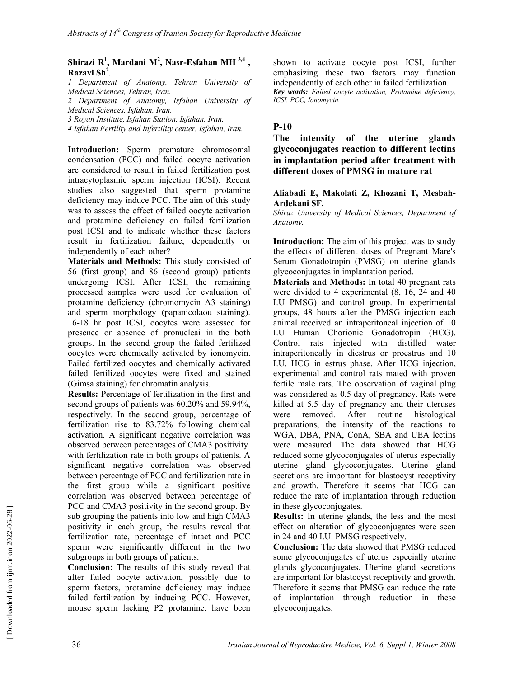#### Shirazi R<sup>1</sup>, Mardani M<sup>2</sup>, Nasr-Esfahan MH<sup>3,4</sup>, **Razavi Sh2** *.*

*1 Department of Anatomy, Tehran University of Medical Sciences, Tehran, Iran.* 

*2 Department of Anatomy, Isfahan University of Medical Sciences, Isfahan, Iran.* 

*3 Royan Institute, Isfahan Station, Isfahan, Iran.* 

*4 Isfahan Fertility and Infertility center, Isfahan, Iran.* 

**Introduction:** Sperm premature chromosomal condensation (PCC) and failed oocyte activation are considered to result in failed fertilization post intracytoplasmic sperm injection (ICSI). Recent studies also suggested that sperm protamine deficiency may induce PCC. The aim of this study was to assess the effect of failed oocyte activation and protamine deficiency on failed fertilization post ICSI and to indicate whether these factors result in fertilization failure, dependently or independently of each other?

**Materials and Methods:** This study consisted of 56 (first group) and 86 (second group) patients undergoing ICSI. After ICSI, the remaining processed samples were used for evaluation of protamine deficiency (chromomycin A3 staining) and sperm morphology (papanicolaou staining). 16-18 hr post ICSI, oocytes were assessed for presence or absence of pronucleai in the both groups. In the second group the failed fertilized oocytes were chemically activated by ionomycin. Failed fertilized oocytes and chemically activated failed fertilized oocytes were fixed and stained (Gimsa staining) for chromatin analysis.

**Results:** Percentage of fertilization in the first and second groups of patients was 60.20% and 59.94%, respectively. In the second group, percentage of fertilization rise to 83.72% following chemical activation. A significant negative correlation was observed between percentages of CMA3 positivity with fertilization rate in both groups of patients. A significant negative correlation was observed between percentage of PCC and fertilization rate in the first group while a significant positive correlation was observed between percentage of PCC and CMA3 positivity in the second group. By sub grouping the patients into low and high CMA3 positivity in each group, the results reveal that fertilization rate, percentage of intact and PCC sperm were significantly different in the two subgroups in both groups of patients.

**Conclusion:** The results of this study reveal that after failed oocyte activation, possibly due to sperm factors, protamine deficiency may induce failed fertilization by inducing PCC. However, mouse sperm lacking P2 protamine, have been shown to activate oocyte post ICSI, further emphasizing these two factors may function independently of each other in failed fertilization. *Key words: Failed oocyte activation, Protamine deficiency, ICSI, PCC, Ionomycin.* 

### **P-10**

**The intensity of the uterine glands glycoconjugates reaction to different lectins in implantation period after treatment with different doses of PMSG in mature rat** 

#### **Aliabadi E, Makolati Z, Khozani T, Mesbah-Ardekani SF.**

*Shiraz University of Medical Sciences, Department of Anatomy.* 

**Introduction:** The aim of this project was to study the effects of different doses of Pregnant Mare's Serum Gonadotropin (PMSG) on uterine glands glycoconjugates in implantation period.

**Materials and Methods:** In total 40 pregnant rats were divided to 4 experimental (8, 16, 24 and 40 I.U PMSG) and control group. In experimental groups, 48 hours after the PMSG injection each animal received an intraperitoneal injection of 10 I.U Human Chorionic Gonadotropin (HCG). Control rats injected with distilled water intraperitoneally in diestrus or proestrus and 10 I.U. HCG in estrus phase. After HCG injection, experimental and control rats mated with proven fertile male rats. The observation of vaginal plug was considered as 0.5 day of pregnancy. Rats were killed at 5.5 day of pregnancy and their uteruses were removed. After routine histological preparations, the intensity of the reactions to WGA, DBA, PNA, ConA, SBA and UEA lectins were measured. The data showed that HCG reduced some glycoconjugates of uterus especially uterine gland glycoconjugates. Uterine gland secretions are important for blastocyst receptivity and growth. Therefore it seems that HCG can reduce the rate of implantation through reduction in these glycoconjugates.

**Results:** In uterine glands, the less and the most effect on alteration of glycoconjugates were seen in 24 and 40 I.U. PMSG respectively.

**Conclusion:** The data showed that PMSG reduced some glycoconjugates of uterus especially uterine glands glycoconjugates. Uterine gland secretions are important for blastocyst receptivity and growth. Therefore it seems that PMSG can reduce the rate of implantation through reduction in these glycoconjugates.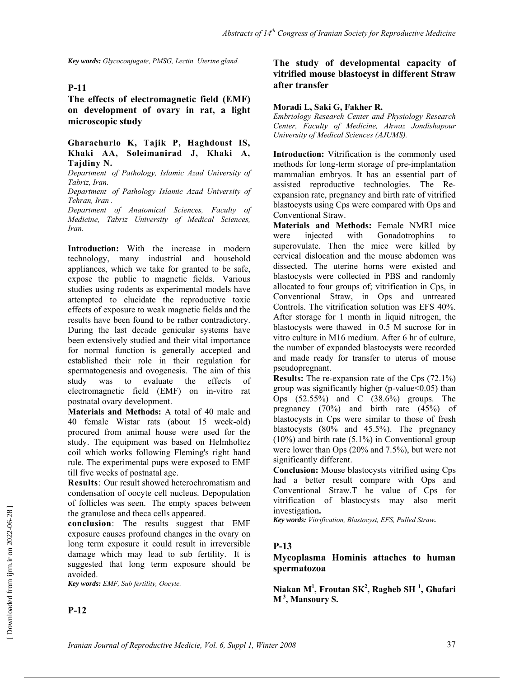*Key words: Glycoconjugate, PMSG, Lectin, Uterine gland.* 

#### **P-11**

**The effects of electromagnetic field (EMF) on development of ovary in rat, a light microscopic study** 

#### **Gharachurlo K, Tajik P, Haghdoust IS, Khaki AA, Soleimanirad J, Khaki A, Tajdiny N.**

*Department of Pathology, Islamic Azad University of Tabriz, Iran.* 

*Department of Pathology Islamic Azad University of Tehran, Iran .* 

*Department of Anatomical Sciences, Faculty of Medicine, Tabriz University of Medical Sciences, Iran.* 

**Introduction:** With the increase in modern technology, many industrial and household appliances, which we take for granted to be safe, expose the public to magnetic fields. Various studies using rodents as experimental models have attempted to elucidate the reproductive toxic effects of exposure to weak magnetic fields and the results have been found to be rather contradictory. During the last decade genicular systems have been extensively studied and their vital importance for normal function is generally accepted and established their role in their regulation for spermatogenesis and ovogenesis. The aim of this study was to evaluate the effects of electromagnetic field (EMF) on in-vitro rat postnatal ovary development.

**Materials and Methods:** A total of 40 male and 40 female Wistar rats (about 15 week-old) procured from animal house were used for the study. The equipment was based on Helmholtez coil which works following Fleming's right hand rule. The experimental pups were exposed to EMF till five weeks of postnatal age.

**Results**: Our result showed heterochromatism and condensation of oocyte cell nucleus. Depopulation of follicles was seen. The empty spaces between the granulose and theca cells appeared.

**conclusion**: The results suggest that EMF exposure causes profound changes in the ovary on long term exposure it could result in irreversible damage which may lead to sub fertility. It is suggested that long term exposure should be avoided.

*Key words: EMF, Sub fertility, Oocyte.* 

**P-12** 

### **The study of developmental capacity of vitrified mouse blastocyst in different Straw after transfer**

#### **Moradi L, Saki G, Fakher R.**

*Embriology Research Center and Physiology Research Center, Faculty of Medicine, Ahwaz Jondishapour University of Medical Sciences (AJUMS).* 

**Introduction:** Vitrification is the commonly used methods for long-term storage of pre-implantation mammalian embryos. It has an essential part of assisted reproductive technologies. The Reexpansion rate, pregnancy and birth rate of vitrified blastocysts using Cps were compared with Ops and Conventional Straw.

**Materials and Methods:** Female NMRI mice were injected with Gonadotrophins to superovulate. Then the mice were killed by cervical dislocation and the mouse abdomen was dissected. The uterine horns were existed and blastocysts were collected in PBS and randomly allocated to four groups of; vitrification in Cps, in Conventional Straw, in Ops and untreated Controls. The vitrification solution was EFS 40%. After storage for 1 month in liquid nitrogen, the blastocysts were thawed in 0.5 M sucrose for in vitro culture in M16 medium. After 6 hr of culture, the number of expanded blastocysts were recorded and made ready for transfer to uterus of mouse pseudopregnant.

**Results:** The re-expansion rate of the Cps (72.1%) group was significantly higher (p-value<0.05) than Ops (52.55%) and C (38.6%) groups. The pregnancy (70%) and birth rate (45%) of blastocysts in Cps were similar to those of fresh blastocysts (80% and 45.5%). The pregnancy  $(10\%)$  and birth rate  $(5.1\%)$  in Conventional group were lower than Ops (20% and 7.5%), but were not significantly different.

**Conclusion:** Mouse blastocysts vitrified using Cps had a better result compare with Ops and Conventional Straw.T he value of Cps for vitrification of blastocysts may also merit investigation**.** 

*Key words: Vitrification, Blastocyst, EFS, Pulled Straw.* 

#### **P-13**

### **Mycoplasma Hominis attaches to human spermatozoa**

**Niakan M1 , Froutan SK<sup>2</sup> , Ragheb SH <sup>1</sup> , Ghafari M 3, Mansoury S.**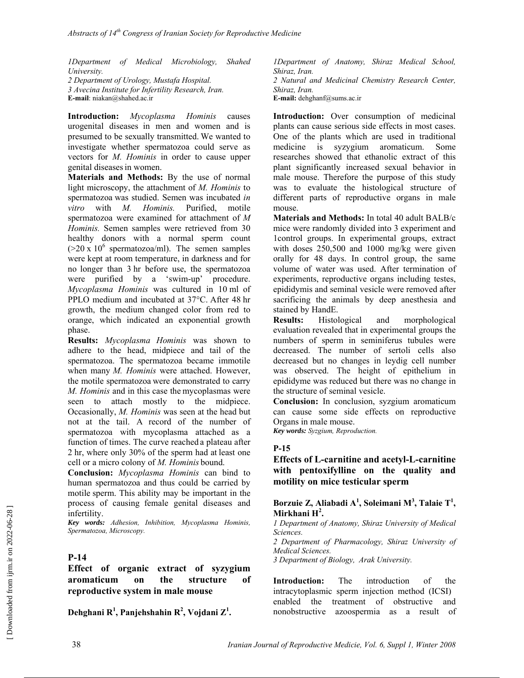*1Department of Medical Microbiology, Shahed University.* 

*2 Department of Urology, Mustafa Hospital. 3 Avecina Institute for Infertility Research, Iran.*  **E-mail**: niakan@shahed.ac.ir

**Introduction:** *Mycoplasma Hominis* causes urogenital diseases in men and women and is presumed to be sexually transmitted. We wanted to investigate whether spermatozoa could serve as vectors for *M. Hominis* in order to cause upper genital diseasesin women.

**Materials and Methods:** By the use of normal light microscopy, the attachment of *M. Hominis* to spermatozoa was studied. Semen was incubated *in vitro* with *M. Hominis.* Purified, motile spermatozoa were examined for attachment of *M Hominis.* Semen samples were retrieved from 30 healthy donors with a normal sperm count  $(20 \times 10^6 \text{ spermatozoa/ml})$ . The semen samples were kept at room temperature, in darkness and for no longer than 3 hr before use, the spermatozoa were purified by a 'swim-up' procedure. *Mycoplasma Hominis* was cultured in 10 ml of PPLO medium and incubated at 37°C. After 48 hr growth, the medium changed color from red to orange, which indicated an exponential growth phase.

**Results:** *Mycoplasma Hominis* was shown to adhere to the head, midpiece and tail of the spermatozoa. The spermatozoa became immotile when many *M. Hominis* were attached. However, the motile spermatozoa were demonstrated to carry *M. Hominis* and in this case the mycoplasmas were seen to attach mostly to the midpiece. Occasionally, *M. Hominis* was seen at the head but not at the tail. A record of the number of spermatozoa with mycoplasma attached as a function of times. The curve reached a plateau after 2 hr, where only 30% of the sperm had at least one cell or a micro colony of *M. Hominis* bound.

**Conclusion:** *Mycoplasma Hominis* can bind to human spermatozoa and thus could be carried by motile sperm. This ability may be important in the process of causing female genital diseases and infertility.

*Key words: Adhesion, Inhibition, Mycoplasma Hominis, Spermatozoa, Microscopy.* 

### **P-14**

**Effect of organic extract of syzygium aromaticum on the structure of reproductive system in male mouse** 

**Dehghani R1 , Panjehshahin R<sup>2</sup> , Vojdani Z1 .**

*1Department of Anatomy, Shiraz Medical School, Shiraz, Iran. 2 Natural and Medicinal Chemistry Research Center, Shiraz, Iran.*  **E-mail:** dehghanf@sums.ac.ir

**Introduction:** Over consumption of medicinal plants can cause serious side effects in most cases. One of the plants which are used in traditional medicine is syzygium aromaticum. Some researches showed that ethanolic extract of this plant significantly increased sexual behavior in male mouse. Therefore the purpose of this study was to evaluate the histological structure of different parts of reproductive organs in male mouse.

**Materials and Methods:** In total 40 adult BALB/c mice were randomly divided into 3 experiment and 1control groups. In experimental groups, extract with doses 250,500 and 1000 mg/kg were given orally for 48 days. In control group, the same volume of water was used. After termination of experiments, reproductive organs including testes, epididymis and seminal vesicle were removed after sacrificing the animals by deep anesthesia and stained by HandE.

**Results:** Histological and morphological evaluation revealed that in experimental groups the numbers of sperm in seminiferus tubules were decreased. The number of sertoli cells also decreased but no changes in leydig cell number was observed. The height of epithelium in epididyme was reduced but there was no change in the structure of seminal vesicle.

**Conclusion:** In conclusion, syzgium aromaticum can cause some side effects on reproductive Organs in male mouse.

*Key words: Syzgium, Reproduction.* 

#### **P-15**

### **Effects of L-carnitine and acetyl-L-carnitine with pentoxifylline on the quality and motility on mice testicular sperm**

#### Borzuie Z, Aliabadi A<sup>1</sup>, Soleimani M<sup>3</sup>, Talaie T<sup>1</sup>, **Mirkhani H<sup>2</sup> .**

*1 Department of Anatomy, Shiraz University of Medical Sciences.* 

*2 Department of Pharmacology, Shiraz University of Medical Sciences.* 

*3 Department of Biology, Arak University.* 

**Introduction:** The introduction of the intracytoplasmic sperm injection method (ICSI) enabled the treatment of obstructive and nonobstructive azoospermia as a result of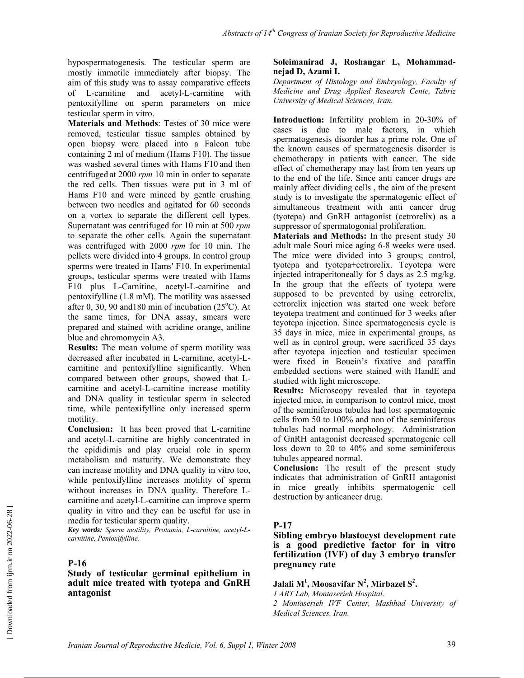hypospermatogenesis. The testicular sperm are mostly immotile immediately after biopsy. The aim of this study was to assay comparative effects of L-carnitine and acetyl-L-carnitine with pentoxifylline on sperm parameters on mice testicular sperm in vitro.

**Materials and Methods**: Testes of 30 mice were removed, testicular tissue samples obtained by open biopsy were placed into a Falcon tube containing 2 ml of medium (Hams F10). The tissue was washed several times with Hams F10 and then centrifuged at 2000 *rpm* 10 min in order to separate the red cells. Then tissues were put in 3 ml of Hams F10 and were minced by gentle crushing between two needles and agitated for 60 seconds on a vortex to separate the different cell types. Supernatant was centrifuged for 10 min at 500 *rpm* to separate the other cells. Again the supernatant was centrifuged with 2000 *rpm* for 10 min. The pellets were divided into 4 groups. In control group sperms were treated in Hams' F10. In experimental groups, testicular sperms were treated with Hams F10 plus L-Carnitine, acetyl-L-carnitine and pentoxifylline (1.8 mM). The motility was assessed after 0, 30, 90 and 180 min of incubation  $(25^{\circ}$ C). At the same times, for DNA assay, smears were prepared and stained with acridine orange, aniline blue and chromomycin A3.

**Results:** The mean volume of sperm motility was decreased after incubated in L-carnitine, acetyl-Lcarnitine and pentoxifylline significantly. When compared between other groups, showed that Lcarnitine and acetyl-L-carnitine increase motility and DNA quality in testicular sperm in selected time, while pentoxifylline only increased sperm motility.

**Conclusion:** It has been proved that L-carnitine and acetyl-L-carnitine are highly concentrated in the epididimis and play crucial role in sperm metabolism and maturity. We demonstrate they can increase motility and DNA quality in vitro too, while pentoxifylline increases motility of sperm without increases in DNA quality. Therefore Lcarnitine and acetyl-L-carnitine can improve sperm quality in vitro and they can be useful for use in media for testicular sperm quality.

*Key words: Sperm motility, Protamin, L-carnitine, acetyl-Lcarnitine, Pentoxifylline.* 

### **P-16**

#### **Study of testicular germinal epithelium in adult mice treated with tyotepa and GnRH antagonist**

#### **Soleimanirad J, Roshangar L, Mohammadnejad D, Azami I.**

*Department of Histology and Embryology, Faculty of Medicine and Drug Applied Research Cente, Tabriz University of Medical Sciences, Iran.*

**Introduction:** Infertility problem in 20-30% of cases is due to male factors, in which spermatogenesis disorder has a prime role. One of the known causes of spermatogenesis disorder is chemotherapy in patients with cancer. The side effect of chemotherapy may last from ten years up to the end of the life. Since anti cancer drugs are mainly affect dividing cells , the aim of the present study is to investigate the spermatogenic effect of simultaneous treatment with anti cancer drug (tyotepa) and GnRH antagonist (cetrorelix) as a suppressor of spermatogonial proliferation.

**Materials and Methods:** In the present study 30 adult male Souri mice aging 6-8 weeks were used. The mice were divided into 3 groups; control, tyotepa and tyotepa+cetrorelix. Teyotepa were injected intraperitoneally for 5 days as 2.5 mg/kg. In the group that the effects of tyotepa were supposed to be prevented by using cetrorelix, cetrorelix injection was started one week before teyotepa treatment and continued for 3 weeks after teyotepa injection. Since spermatogenesis cycle is 35 days in mice, mice in experimental groups, as well as in control group, were sacrificed 35 days after teyotepa injection and testicular specimen were fixed in Bouein's fixative and paraffin embedded sections were stained with HandE and studied with light microscope.

**Results:** Microscopy revealed that in teyotepa injected mice, in comparison to control mice, most of the seminiferous tubules had lost spermatogenic cells from 50 to 100% and non of the seminiferous tubules had normal morphology. Administration of GnRH antagonist decreased spermatogenic cell loss down to 20 to 40% and some seminiferous tubules appeared normal.

**Conclusion:** The result of the present study indicates that administration of GnRH antagonist in mice greatly inhibits spermatogenic cell destruction by anticancer drug.

#### **P-17**

#### **Sibling embryo blastocyst development rate is a good predictive factor for in vitro fertilization (IVF) of day 3 embryo transfer pregnancy rate**

### **Jalali M1 , Moosavifar N<sup>2</sup> , Mirbazel S<sup>2</sup> .**

*1 ART Lab, Montaserieh Hospital. 2 Montaserieh IVF Center, Mashhad University of Medical Sciences, Iran.*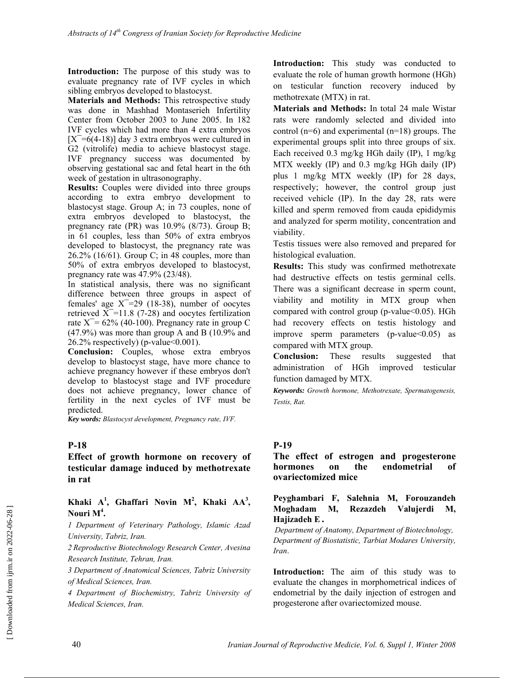**Introduction:** The purpose of this study was to evaluate pregnancy rate of IVF cycles in which sibling embryos developed to blastocyst.

**Materials and Methods:** This retrospective study was done in Mashhad Montaserieh Infertility Center from October 2003 to June 2005. In 182 IVF cycles which had more than 4 extra embryos  $[X=6(4-18)]$  day 3 extra embryos were cultured in G2 (vitrolife) media to achieve blastocyst stage. IVF pregnancy success was documented by observing gestational sac and fetal heart in the 6th week of gestation in ultrasonography.

**Results:** Couples were divided into three groups according to extra embryo development to blastocyst stage. Group A; in 73 couples, none of extra embryos developed to blastocyst, the pregnancy rate (PR) was 10.9% (8/73). Group B; in 61 couples, less than 50% of extra embryos developed to blastocyst, the pregnancy rate was 26.2% (16/61). Group C; in 48 couples, more than 50% of extra embryos developed to blastocyst, pregnancy rate was 47.9% (23/48).

In statistical analysis, there was no significant difference between three groups in aspect of females' age  $X^-$ =29 (18-38), number of oocytes retrieved  $X=11.8$  (7-28) and oocytes fertilization rate  $X^-$ = 62% (40-100). Pregnancy rate in group C (47.9%) was more than group A and B (10.9% and  $26.2\%$  respectively) (p-value  $0.001$ ).

**Conclusion:** Couples, whose extra embryos develop to blastocyst stage, have more chance to achieve pregnancy however if these embryos don't develop to blastocyst stage and IVF procedure does not achieve pregnancy, lower chance of fertility in the next cycles of IVF must be predicted.

*Key words: Blastocyst development, Pregnancy rate, IVF.*

### **P-18**

### **Effect of growth hormone on recovery of testicular damage induced by methotrexate in rat**

**Khaki**  $A^1$ , Ghaffari Novin  $M^2$ , Khaki  $AA^3$ , **Nouri M<sup>4</sup> .** 

*1 Department of Veterinary Pathology, Islamic Azad University, Tabriz, Iran.* 

*2 Reproductive Biotechnology Research Center, Avesina Research Institute, Tehran, Iran.* 

*3 Department of Anatomical Sciences, Tabriz University of Medical Sciences, Iran.* 

*4 Department of Biochemistry, Tabriz University of Medical Sciences, Iran.* 

**Introduction:** This study was conducted to evaluate the role of human growth hormone (HGh) on testicular function recovery induced by methotrexate (MTX) in rat.

**Materials and Methods:** In total 24 male Wistar rats were randomly selected and divided into control (n=6) and experimental (n=18) groups. The experimental groups split into three groups of six. Each received 0.3 mg/kg HGh daily (IP), 1 mg/kg MTX weekly (IP) and 0.3 mg/kg HGh daily (IP) plus 1 mg/kg MTX weekly (IP) for 28 days, respectively; however, the control group just received vehicle (IP). In the day 28, rats were killed and sperm removed from cauda epididymis and analyzed for sperm motility, concentration and viability.

Testis tissues were also removed and prepared for histological evaluation.

**Results:** This study was confirmed methotrexate had destructive effects on testis germinal cells. There was a significant decrease in sperm count, viability and motility in MTX group when compared with control group (p-value<0.05). HGh had recovery effects on testis histology and improve sperm parameters  $(p-value<0.05)$  as compared with MTX group.

**Conclusion:** These results suggested that administration of HGh improved testicular function damaged by MTX.

*Keywords: Growth hormone, Methotrexate, Spermatogenesis, Testis, Rat.* 

#### **P-19**

#### **The effect of estrogen and progesterone hormones on the endometrial of ovariectomized mice**

#### **Peyghambari F, Salehnia M, Forouzandeh Moghadam M, Rezazdeh Valujerdi M, Hajizadeh E .**

*Department of Anatomy, Department of Biotechnology, Department of Biostatistic, Tarbiat Modares University, Iran*.

**Introduction:** The aim of this study was to evaluate the changes in morphometrical indices of endometrial by the daily injection of estrogen and progesterone after ovariectomized mouse.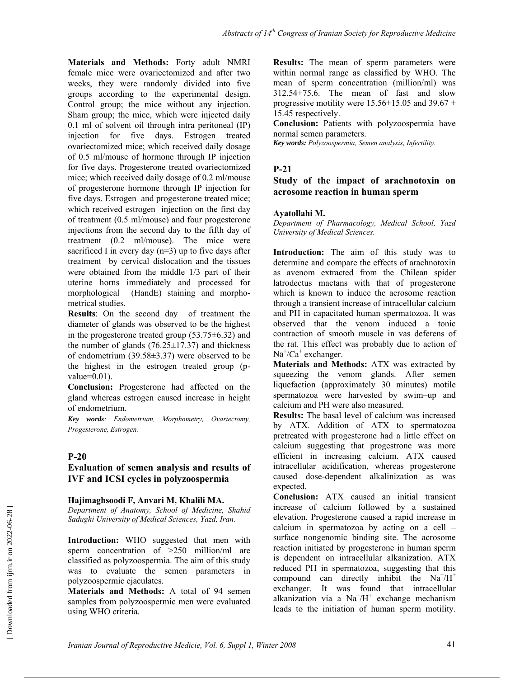**Materials and Methods:** Forty adult NMRI female mice were ovariectomized and after two weeks, they were randomly divided into five groups according to the experimental design. Control group; the mice without any injection. Sham group; the mice, which were injected daily 0.1 ml of solvent oil through intra peritoneal (IP) injection for five days. Estrogen treated ovariectomized mice; which received daily dosage of 0.5 ml/mouse of hormone through IP injection for five days. Progesterone treated ovariectomized mice; which received daily dosage of 0.2 ml/mouse of progesterone hormone through IP injection for five days. Estrogen and progesterone treated mice; which received estrogen injection on the first day of treatment (0.5 ml/mouse) and four progesterone injections from the second day to the fifth day of treatment (0.2 ml/mouse). The mice were sacrificed I in every day  $(n=3)$  up to five days after treatment by cervical dislocation and the tissues were obtained from the middle 1/3 part of their uterine horns immediately and processed for morphological (HandE) staining and morphometrical studies.

**Results**: On the second day of treatment the diameter of glands was observed to be the highest in the progesterone treated group  $(53.75\pm6.32)$  and the number of glands  $(76.25 \pm 17.37)$  and thickness of endometrium (39.58±3.37) were observed to be the highest in the estrogen treated group (pvalue=0.01).

**Conclusion:** Progesterone had affected on the gland whereas estrogen caused increase in height of endometrium.

*Key words: Endometrium, Morphometry, Ovariectomy, Progesterone, Estrogen.* 

### **P-20**

### **Evaluation of semen analysis and results of IVF and ICSI cycles in polyzoospermia**

#### **Hajimaghsoodi F, Anvari M, Khalili MA.**

*Department of Anatomy, School of Medicine, Shahid Sadughi University of Medical Sciences, Yazd, Iran.* 

**Introduction:** WHO suggested that men with sperm concentration of  $>250$  million/ml are classified as polyzoospermia. The aim of this study was to evaluate the semen parameters in polyzoospermic ejaculates.

**Materials and Methods:** A total of 94 semen samples from polyzoospermic men were evaluated using WHO criteria.

**Results:** The mean of sperm parameters were within normal range as classified by WHO. The mean of sperm concentration (million/ml) was 312.54+75.6. The mean of fast and slow progressive motility were  $15.56+15.05$  and  $39.67 +$ 15.45 respectively.

**Conclusion:** Patients with polyzoospermia have normal semen parameters.

*Key words: Polyzoospermia, Semen analysis, Infertility.* 

### **P-21**

#### **Study of the impact of arachnotoxin on acrosome reaction in human sperm**

#### **Ayatollahi M.**

*Department of Pharmacology, Medical School, Yazd University of Medical Sciences.* 

**Introduction:** The aim of this study was to determine and compare the effects of arachnotoxin as avenom extracted from the Chilean spider latrodectus mactans with that of progesterone which is known to induce the acrosome reaction through a transient increase of intracellular calcium and PH in capacitated human spermatozoa. It was observed that the venom induced a tonic contraction of smooth muscle in vas deferens of the rat. This effect was probably due to action of Na<sup>+</sup>/Ca<sup>+</sup> exchanger.

**Materials and Methods:** ATX was extracted by squeezing the venom glands. After semen liquefaction (approximately 30 minutes) motile spermatozoa were harvested by swim–up and calcium and PH were also measured.

**Results:** The basal level of calcium was increased by ATX. Addition of ATX to spermatozoa pretreated with progesterone had a little effect on calcium suggesting that progestrone was more efficient in increasing calcium. ATX caused intracellular acidification, whereas progesterone caused dose-dependent alkalinization as was expected.

**Conclusion:** ATX caused an initial transient increase of calcium followed by a sustained elevation. Progesterone caused a rapid increase in calcium in spermatozoa by acting on a cell – surface nongenomic binding site. The acrosome reaction initiated by progesterone in human sperm is dependent on intracellular alkanization. ATX reduced PH in spermatozoa, suggesting that this compound can directly inhibit the  $Na^+/H^+$ exchanger. It was found that intracellular alkanization via a  $Na^{+}/H^{+}$  exchange mechanism leads to the initiation of human sperm motility.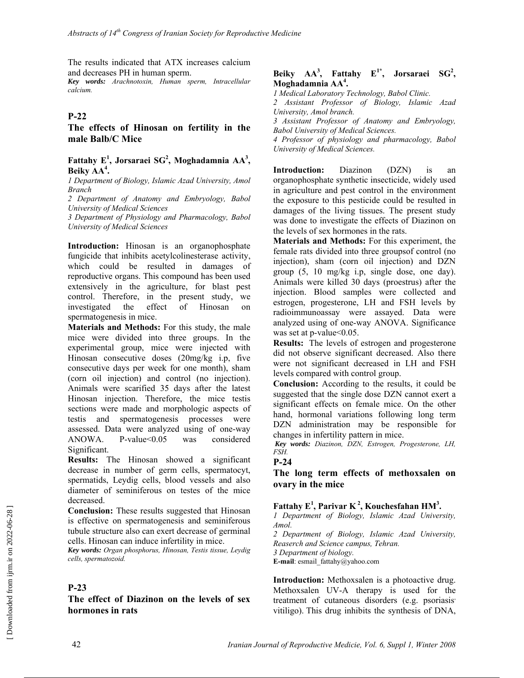The results indicated that ATX increases calcium and decreases PH in human sperm.

*Key words: Arachnotoxin, Human sperm, Intracellular calcium.* 

#### **P-22**

**The effects of Hinosan on fertility in the male Balb/C Mice** 

#### Fattahy E<sup>1</sup>, Jorsaraei SG<sup>2</sup>, Moghadamnia AA<sup>3</sup>, Beiky AA<sup>4</sup>.

*1 Department of Biology, Islamic Azad University, Amol Branch* 

*2 Department of Anatomy and Embryology, Babol University of Medical Sciences* 

*3 Department of Physiology and Pharmacology, Babol University of Medical Sciences* 

**Introduction:** Hinosan is an organophosphate fungicide that inhibits acetylcolinesterase activity, which could be resulted in damages of reproductive organs. This compound has been used extensively in the agriculture, for blast pest control. Therefore, in the present study, we investigated the effect of Hinosan on spermatogenesis in mice.

**Materials and Methods:** For this study, the male mice were divided into three groups. In the experimental group, mice were injected with Hinosan consecutive doses (20mg/kg i.p, five consecutive days per week for one month), sham (corn oil injection) and control (no injection). Animals were scarified 35 days after the latest Hinosan injection. Therefore, the mice testis sections were made and morphologic aspects of testis and spermatogenesis processes were assessed. Data were analyzed using of one-way ANOWA. P-value<0.05 was considered Significant.

**Results:** The Hinosan showed a significant decrease in number of germ cells, spermatocyt, spermatids, Leydig cells, blood vessels and also diameter of seminiferous on testes of the mice decreased.

**Conclusion:** These results suggested that Hinosan is effective on spermatogenesis and seminiferous tubule structure also can exert decrease of germinal cells. Hinosan can induce infertility in mice.

*Key words: Organ phosphorus, Hinosan, Testis tissue, Leydig cells, spermatozoid.* 

#### **P-23**

#### **The effect of Diazinon on the levels of sex hormones in rats**

#### Beiky  $AA^3$ , Fattahy  $E^{1*}$ , Jorsaraei  $SG^2$ , **Moghadamnia AA<sup>4</sup> .**

*1 Medical Laboratory Technology, Babol Clinic.* 

*2 Assistant Professor of Biology, Islamic Azad University, Amol branch.* 

*3 Assistant Professor of Anatomy and Embryology, Babol University of Medical Sciences.*

*4 Professor of physiology and pharmacology, Babol University of Medical Sciences.* 

**Introduction:** Diazinon (DZN) is an organophosphate synthetic insecticide, widely used in agriculture and pest control in the environment the exposure to this pesticide could be resulted in damages of the living tissues. The present study was done to investigate the effects of Diazinon on the levels of sex hormones in the rats.

**Materials and Methods:** For this experiment, the female rats divided into three groupsof control (no injection), sham (corn oil injection) and DZN group (5, 10 mg/kg i.p, single dose, one day). Animals were killed 30 days (proestrus) after the injection. Blood samples were collected and estrogen, progesterone, LH and FSH levels by radioimmunoassay were assayed. Data were analyzed using of one-way ANOVA. Significance was set at p-value < 0.05.

**Results:** The levels of estrogen and progesterone did not observe significant decreased. Also there were not significant decreased in LH and FSH levels compared with control group.

**Conclusion:** According to the results, it could be suggested that the single dose DZN cannot exert a significant effects on female mice. On the other hand, hormonal variations following long term DZN administration may be responsible for changes in infertility pattern in mice.

*Key words: Diazinon, DZN, Estrogen, Progesterone, LH, FSH.* 

### **P-24**

**The long term effects of methoxsalen on ovary in the mice** 

#### **Fattahy E<sup>1</sup> , Parivar K 2, Kouchesfahan HM3 .**

*1 Department of Biology, Islamic Azad University, Amol.* 

*2 Department of Biology, Islamic Azad University, Reaserch and Science campus, Tehran.* 

*3 Department of biology.* 

**E-mail**: esmail\_fattahy@yahoo.com

**Introduction:** Methoxsalen is a photoactive drug. Methoxsalen UV-A therapy is used for the treatment of cutaneous disorders (e.g. psoriasis) vitiligo). This drug inhibits the synthesis of DNA,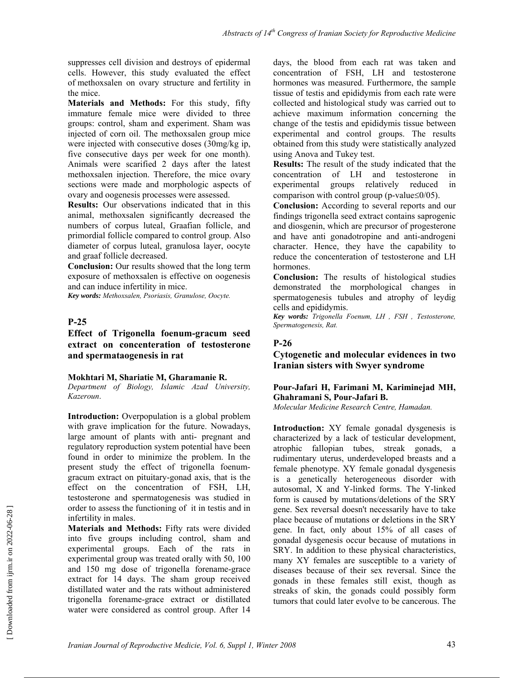suppresses cell division and destroys of epidermal cells. However, this study evaluated the effect of methoxsalen on ovary structure and fertility in the mice.

**Materials and Methods:** For this study, fifty immature female mice were divided to three groups: control, sham and experiment. Sham was injected of corn oil. The methoxsalen group mice were injected with consecutive doses (30mg/kg ip, five consecutive days per week for one month). Animals were scarified 2 days after the latest methoxsalen injection. Therefore, the mice ovary sections were made and morphologic aspects of ovary and oogenesis processes were assessed.

**Results:** Our observations indicated that in this animal, methoxsalen significantly decreased the numbers of corpus luteal, Graafian follicle, and primordial follicle compared to control group. Also diameter of corpus luteal, granulosa layer, oocyte and graaf follicle decreased.

**Conclusion:** Our results showed that the long term exposure of methoxsalen is effective on oogenesis and can induce infertility in mice.

*Key words: Methoxsalen, Psoriasis, Granulose, Oocyte.* 

#### **P-25**

**Effect of Trigonella foenum-gracum seed extract on concenteration of testosterone and spermataogenesis in rat** 

#### **Mokhtari M, Shariatie M, Gharamanie R.**

*Department of Biology, Islamic Azad University, Kazeroun*.

**Introduction:** Overpopulation is a global problem with grave implication for the future. Nowadays, large amount of plants with anti- pregnant and regulatory reproduction system potential have been found in order to minimize the problem. In the present study the effect of trigonella foenumgracum extract on pituitary-gonad axis, that is the effect on the concentration of FSH, LH, testosterone and spermatogenesis was studied in order to assess the functioning of it in testis and in infertility in males.

**Materials and Methods:** Fifty rats were divided into five groups including control, sham and experimental groups. Each of the rats in experimental group was treated orally with 50, 100 and 150 mg dose of trigonella forename-grace extract for 14 days. The sham group received distillated water and the rats without administered trigonella forename-grace extract or distillated water were considered as control group. After 14 days, the blood from each rat was taken and concentration of FSH, LH and testosterone hormones was measured. Furthermore, the sample tissue of testis and epididymis from each rate were collected and histological study was carried out to achieve maximum information concerning the change of the testis and epididymis tissue between experimental and control groups. The results obtained from this study were statistically analyzed using Anova and Tukey test.

**Results:** The result of the study indicated that the concentration of LH and testosterone in experimental groups relatively reduced in comparison with control group (p-value≤0/05).

**Conclusion:** According to several reports and our findings trigonella seed extract contains saprogenic and diosgenin, which are precursor of progesterone and have anti gonadotropine and anti-androgeni character. Hence, they have the capability to reduce the concenteration of testosterone and LH hormones.

**Conclusion:** The results of histological studies demonstrated the morphological changes in spermatogenesis tubules and atrophy of leydig cells and epididymis.

*Key words: Trigonella Foenum, LH , FSH , Testosterone, Spermatogenesis, Rat.* 

#### **P-26**

**Cytogenetic and molecular evidences in two Iranian sisters with Swyer syndrome** 

#### **Pour-Jafari H, Farimani M, Kariminejad MH, Ghahramani S, Pour-Jafari B.**

*Molecular Medicine Research Centre, Hamadan.*

**Introduction:** XY female gonadal dysgenesis is characterized by a lack of testicular development, atrophic fallopian tubes, streak gonads, a rudimentary uterus, underdeveloped breasts and a female phenotype. XY female gonadal dysgenesis is a genetically heterogeneous disorder with autosomal, X and Y-linked forms. The Y-linked form is caused by mutations/deletions of the SRY gene. Sex reversal doesn't necessarily have to take place because of mutations or deletions in the SRY gene. In fact, only about 15% of all cases of gonadal dysgenesis occur because of mutations in SRY. In addition to these physical characteristics, many XY females are susceptible to a variety of diseases because of their sex reversal. Since the gonads in these females still exist, though as streaks of skin, the gonads could possibly form tumors that could later evolve to be cancerous. The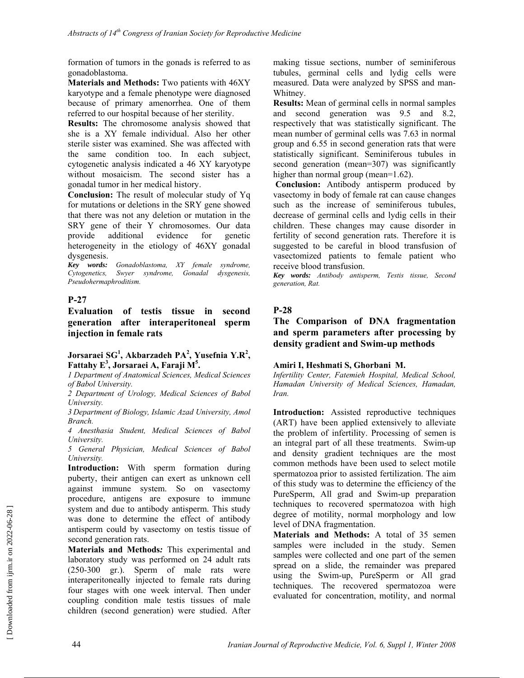formation of tumors in the gonads is referred to as gonadoblastoma.

**Materials and Methods:** Two patients with 46XY karyotype and a female phenotype were diagnosed because of primary amenorrhea. One of them referred to our hospital because of her sterility.

**Results:** The chromosome analysis showed that she is a XY female individual. Also her other sterile sister was examined. She was affected with the same condition too. In each subject, cytogenetic analysis indicated a 46 XY karyotype without mosaicism. The second sister has a gonadal tumor in her medical history.

**Conclusion:** The result of molecular study of Yq for mutations or deletions in the SRY gene showed that there was not any deletion or mutation in the SRY gene of their Y chromosomes. Our data provide additional evidence for genetic heterogeneity in the etiology of 46XY gonadal dysgenesis.

*Key words: Gonadoblastoma, XY female syndrome, Cytogenetics, Swyer syndrome, Gonadal dysgenesis, Pseudohermaphroditism.* 

### **P-27**

**Evaluation of testis tissue in second generation after interaperitoneal sperm injection in female rats** 

### **Jorsaraei SG1 , Akbarzadeh PA<sup>2</sup> , Yusefnia Y.R<sup>2</sup> , Fattahy E<sup>3</sup> , Jorsaraei A, Faraji M5 .**

*1 Department of Anatomical Sciences, Medical Sciences of Babol University.* 

*2 Department of Urology, Medical Sciences of Babol University.* 

*3 Department of Biology, Islamic Azad University, Amol Branch.* 

*4 Anesthasia Student, Medical Sciences of Babol University.* 

*5 General Physician, Medical Sciences of Babol University.* 

**Introduction:** With sperm formation during puberty, their antigen can exert as unknown cell against immune system. So on vasectomy procedure, antigens are exposure to immune system and due to antibody antisperm. This study was done to determine the effect of antibody antisperm could by vasectomy on testis tissue of second generation rats.

**Materials and Methods***:* This experimental and laboratory study was performed on 24 adult rats (250-300 gr.). Sperm of male rats were interaperitoneally injected to female rats during four stages with one week interval. Then under coupling condition male testis tissues of male children (second generation) were studied. After making tissue sections, number of seminiferous tubules, germinal cells and lydig cells were measured. Data were analyzed by SPSS and man-Whitney.

**Results:** Mean of germinal cells in normal samples and second generation was 9.5 and 8.2, respectively that was statistically significant. The mean number of germinal cells was 7.63 in normal group and 6.55 in second generation rats that were statistically significant. Seminiferous tubules in second generation (mean=307) was significantly higher than normal group (mean=1.62).

**Conclusion:** Antibody antisperm produced by vasectomy in body of female rat can cause changes such as the increase of seminiferous tubules, decrease of germinal cells and lydig cells in their children. These changes may cause disorder in fertility of second generation rats. Therefore it is suggested to be careful in blood transfusion of vasectomized patients to female patient who receive blood transfusion.

*Key words: Antibody antisperm, Testis tissue, Second generation, Rat.*

### **P-28**

### **The Comparison of DNA fragmentation and sperm parameters after processing by density gradient and Swim-up methods**

#### **Amiri I, Heshmati S, Ghorbani M.**

*Infertility Center, Fatemieh Hospital, Medical School, Hamadan University of Medical Sciences, Hamadan, Iran.* 

**Introduction:** Assisted reproductive techniques (ART) have been applied extensively to alleviate the problem of infertility. Processing of semen is an integral part of all these treatments. Swim-up and density gradient techniques are the most common methods have been used to select motile spermatozoa prior to assisted fertilization. The aim of this study was to determine the efficiency of the PureSperm, All grad and Swim-up preparation techniques to recovered spermatozoa with high degree of motility, normal morphology and low level of DNA fragmentation.

**Materials and Methods:** A total of 35 semen samples were included in the study. Semen samples were collected and one part of the semen spread on a slide, the remainder was prepared using the Swim-up, PureSperm or All grad techniques. The recovered spermatozoa were evaluated for concentration, motility, and normal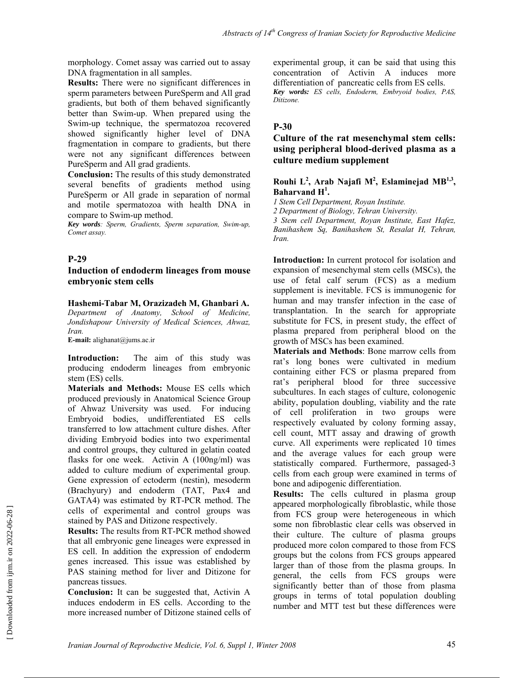morphology. Comet assay was carried out to assay DNA fragmentation in all samples.

**Results:** There were no significant differences in sperm parameters between PureSperm and All grad gradients, but both of them behaved significantly better than Swim-up. When prepared using the Swim-up technique, the spermatozoa recovered showed significantly higher level of DNA fragmentation in compare to gradients, but there were not any significant differences between PureSperm and All grad gradients.

**Conclusion:** The results of this study demonstrated several benefits of gradients method using PureSperm or All grade in separation of normal and motile spermatozoa with health DNA in compare to Swim-up method.

*Key words: Sperm, Gradients, Sperm separation, Swim-up, Comet assay.* 

### **P-29**

#### **Induction of endoderm lineages from mouse embryonic stem cells**

**Hashemi-Tabar M, Orazizadeh M, Ghanbari A.**  *Department of Anatomy, School of Medicine, Jondishapour University of Medical Sciences, Ahwaz, Iran.* 

**E-mail:** alighanat@jums.ac.ir

**Introduction:** The aim of this study was producing endoderm lineages from embryonic stem (ES) cells.

**Materials and Methods:** Mouse ES cells which produced previously in Anatomical Science Group of Ahwaz University was used. For inducing Embryoid bodies, undifferentiated ES cells transferred to low attachment culture dishes. After dividing Embryoid bodies into two experimental and control groups, they cultured in gelatin coated flasks for one week. Activin A (100ng/ml) was added to culture medium of experimental group. Gene expression of ectoderm (nestin), mesoderm (Brachyury) and endoderm (TAT, Pax4 and GATA4) was estimated by RT-PCR method. The cells of experimental and control groups was stained by PAS and Ditizone respectively.

**Results:** The results from RT-PCR method showed that all embryonic gene lineages were expressed in ES cell. In addition the expression of endoderm genes increased. This issue was established by PAS staining method for liver and Ditizone for pancreas tissues.

**Conclusion:** It can be suggested that, Activin A induces endoderm in ES cells. According to the more increased number of Ditizone stained cells of experimental group, it can be said that using this concentration of Activin A induces more differentiation of pancreatic cells from ES cells. *Key words: ES cells, Endoderm, Embryoid bodies, PAS, Ditizone.* 

### **P-30**

### **Culture of the rat mesenchymal stem cells: using peripheral blood-derived plasma as a culture medium supplement**

#### **Rouhi L<sup>2</sup> , Arab Najafi M2 , Eslaminejad MB1,3, Baharvand H<sup>1</sup> .**

*1 Stem Cell Department, Royan Institute.* 

*2 Department of Biology, Tehran University.* 

*3 Stem cell Department, Royan Institute, East Hafez, Banihashem Sq, Banihashem St, Resalat H, Tehran, Iran.* 

**Introduction:** In current protocol for isolation and expansion of mesenchymal stem cells (MSCs), the use of fetal calf serum (FCS) as a medium supplement is inevitable. FCS is immunogenic for human and may transfer infection in the case of transplantation. In the search for appropriate substitute for FCS, in present study, the effect of plasma prepared from peripheral blood on the growth of MSCs has been examined.

**Materials and Methods**: Bone marrow cells from rat's long bones were cultivated in medium containing either FCS or plasma prepared from rat's peripheral blood for three successive subcultures. In each stages of culture, colonogenic ability, population doubling, viability and the rate of cell proliferation in two groups were respectively evaluated by colony forming assay, cell count, MTT assay and drawing of growth curve. All experiments were replicated 10 times and the average values for each group were statistically compared. Furthermore, passaged-3 cells from each group were examined in terms of bone and adipogenic differentiation.

**Results:** The cells cultured in plasma group appeared morphologically fibroblastic, while those from FCS group were heterogeneous in which some non fibroblastic clear cells was observed in their culture. The culture of plasma groups produced more colon compared to those from FCS groups but the colons from FCS groups appeared larger than of those from the plasma groups. In general, the cells from FCS groups were significantly better than of those from plasma groups in terms of total population doubling number and MTT test but these differences were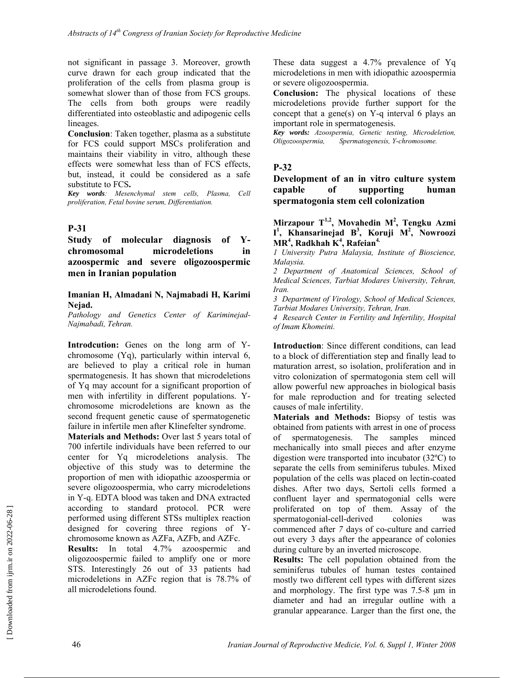not significant in passage 3. Moreover, growth curve drawn for each group indicated that the proliferation of the cells from plasma group is somewhat slower than of those from FCS groups. The cells from both groups were readily differentiated into osteoblastic and adipogenic cells lineages.

**Conclusion**: Taken together, plasma as a substitute for FCS could support MSCs proliferation and maintains their viability in vitro, although these effects were somewhat less than of FCS effects, but, instead, it could be considered as a safe substitute to FCS**.** 

*Key words: Mesenchymal stem cells, Plasma, Cell proliferation, Fetal bovine serum, Differentiation.* 

### **P-31**

**Study of molecular diagnosis of Ychromosomal microdeletions in azoospermic and severe oligozoospermic men in Iranian population** 

#### **Imanian H, Almadani N, Najmabadi H, Karimi Nejad.**

*Pathology and Genetics Center of Kariminejad-Najmabadi, Tehran.* 

**Introdcution:** Genes on the long arm of Ychromosome (Yq), particularly within interval 6, are believed to play a critical role in human spermatogenesis. It has shown that microdeletions of Yq may account for a significant proportion of men with infertility in different populations. Ychromosome microdeletions are known as the second frequent genetic cause of spermatogenetic failure in infertile men after Klinefelter syndrome.

**Materials and Methods:** Over last 5 years total of 700 infertile individuals have been referred to our center for Yq microdeletions analysis. The objective of this study was to determine the proportion of men with idiopathic azoospermia or severe oligozoospermia, who carry microdeletions in Y-q. EDTA blood was taken and DNA extracted according to standard protocol. PCR were performed using different STSs multiplex reaction designed for covering three regions of Ychromosome known as AZFa, AZFb, and AZFc.

**Results:** In total 4.7% azoospermic and oligozoospermic failed to amplify one or more STS. Interestingly 26 out of 33 patients had microdeletions in AZFc region that is 78.7% of all microdeletions found.

These data suggest a 4.7% prevalence of Yq microdeletions in men with idiopathic azoospermia or severe oligozoospermia.

**Conclusion:** The physical locations of these microdeletions provide further support for the concept that a gene(s) on Y-q interval 6 plays an important role in spermatogenesis.

*Key words: Azoospermia, Genetic testing, Microdeletion,*   $Spermatogenesis, Y-chromosome.$ 

### **P-32**

**Development of an in vitro culture system capable of supporting human spermatogonia stem cell colonization** 

#### **Mirzapour T1,2, Movahedin M2 , Tengku Azmi I 1 , Khansarinejad B3 , Koruji M2 , Nowroozi MR<sup>4</sup> , Radkhah K<sup>4</sup> , Rafeian4.**

*1 University Putra Malaysia, Institute of Bioscience, Malaysia.* 

*2 Department of Anatomical Sciences, School of Medical Sciences, Tarbiat Modares University, Tehran, Iran.* 

*3 Department of Virology, School of Medical Sciences, Tarbiat Modares University, Tehran, Iran.* 

*4 Research Center in Fertility and Infertility, Hospital of Imam Khomeini.* 

**Introduction**: Since different conditions, can lead to a block of differentiation step and finally lead to maturation arrest, so isolation, proliferation and in vitro colonization of spermatogonia stem cell will allow powerful new approaches in biological basis for male reproduction and for treating selected causes of male infertility.

**Materials and Methods:** Biopsy of testis was obtained from patients with arrest in one of process of spermatogenesis. The samples minced mechanically into small pieces and after enzyme digestion were transported into incubator (32ºC) to separate the cells from seminiferus tubules. Mixed population of the cells was placed on lectin-coated dishes. After two days, Sertoli cells formed a confluent layer and spermatogonial cells were proliferated on top of them. Assay of the spermatogonial-cell-derived colonies was commenced after *7* days of co-culture and carried out every 3 days after the appearance of colonies during culture by an inverted microscope.

**Results:** The cell population obtained from the seminiferus tubules of human testes contained mostly two different cell types with different sizes and morphology. The first type was 7.5-8 μm in diameter and had an irregular outline with a granular appearance. Larger than the first one, the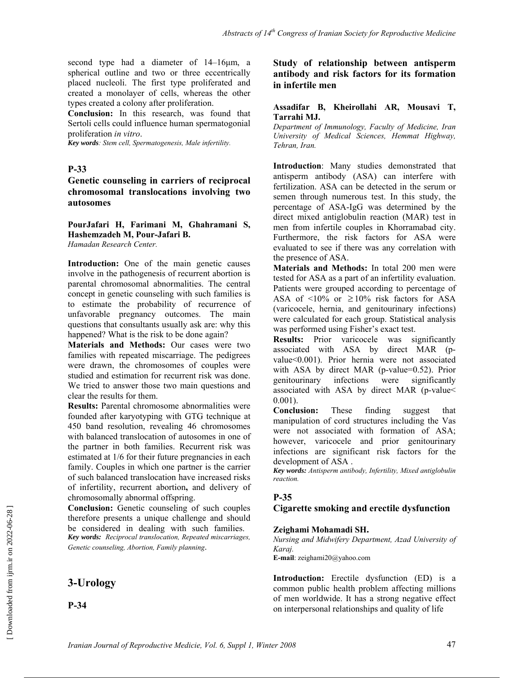second type had a diameter of 14–16μm, a spherical outline and two or three eccentrically placed nucleoli. The first type proliferated and created a monolayer of cells, whereas the other types created a colony after proliferation.

**Conclusion:** In this research, was found that Sertoli cells could influence human spermatogonial proliferation *in vitro*.

*Key words: Stem cell, Spermatogenesis, Male infertility.* 

### **P-33**

### **Genetic counseling in carriers of reciprocal chromosomal translocations involving two autosomes**

**PourJafari H, Farimani M, Ghahramani S, Hashemzadeh M, Pour-Jafari B.**  *Hamadan Research Center.* 

**Introduction:** One of the main genetic causes involve in the pathogenesis of recurrent abortion is parental chromosomal abnormalities. The central concept in genetic counseling with such families is to estimate the probability of recurrence of unfavorable pregnancy outcomes. The main questions that consultants usually ask are: why this happened? What is the risk to be done again?

**Materials and Methods:** Our cases were two families with repeated miscarriage. The pedigrees were drawn, the chromosomes of couples were studied and estimation for recurrent risk was done. We tried to answer those two main questions and clear the results for them.

**Results:** Parental chromosome abnormalities were founded after karyotyping with GTG technique at 450 band resolution, revealing 46 chromosomes with balanced translocation of autosomes in one of the partner in both families. Recurrent risk was estimated at 1/6 for their future pregnancies in each family. Couples in which one partner is the carrier of such balanced translocation have increased risks of infertility, recurrent abortion**,** and delivery of chromosomally abnormal offspring.

**Conclusion:** Genetic counseling of such couples therefore presents a unique challenge and should be considered in dealing with such families. *Key words: Reciprocal translocation, Repeated miscarriages, Genetic counseling, Abortion, Family planning*.

# **3-Urology**

**P-34** 

### **Study of relationship between antisperm antibody and risk factors for its formation in infertile men**

#### **Assadifar B, Kheirollahi AR, Mousavi T, Tarrahi MJ.**

*Department of Immunology, Faculty of Medicine, Iran University of Medical Sciences, Hemmat Highway, Tehran, Iran.* 

**Introduction**: Many studies demonstrated that antisperm antibody (ASA) can interfere with fertilization. ASA can be detected in the serum or semen through numerous test. In this study, the percentage of ASA-IgG was determined by the direct mixed antiglobulin reaction (MAR) test in men from infertile couples in Khorramabad city. Furthermore, the risk factors for ASA were evaluated to see if there was any correlation with the presence of ASA.

**Materials and Methods:** In total 200 men were tested for ASA as a part of an infertility evaluation. Patients were grouped according to percentage of ASA of <10% or  $\geq 10\%$  risk factors for ASA (varicocele, hernia, and genitourinary infections) were calculated for each group. Statistical analysis was performed using Fisher's exact test.

**Results:** Prior varicocele was significantly associated with ASA by direct MAR (pvalue<0.001). Prior hernia were not associated with ASA by direct MAR (p-value=0.52). Prior genitourinary infections were significantly associated with ASA by direct MAR (p-value< 0.001).

**Conclusion:** These finding suggest that manipulation of cord structures including the Vas were not associated with formation of ASA; however, varicocele and prior genitourinary infections are significant risk factors for the development of ASA .

*Key words: Antisperm antibody, Infertility, Mixed antiglobulin reaction.* 

### **P-35**

#### **Cigarette smoking and erectile dysfunction**

#### **Zeighami Mohamadi SH.**

*Nursing and Midwifery Department, Azad University of Karaj.*  **E-mail**: zeighami20@yahoo.com

**Introduction:** Erectile dysfunction (ED) is a common public health problem affecting millions of men worldwide. It has a strong negative effect on interpersonal relationships and quality of life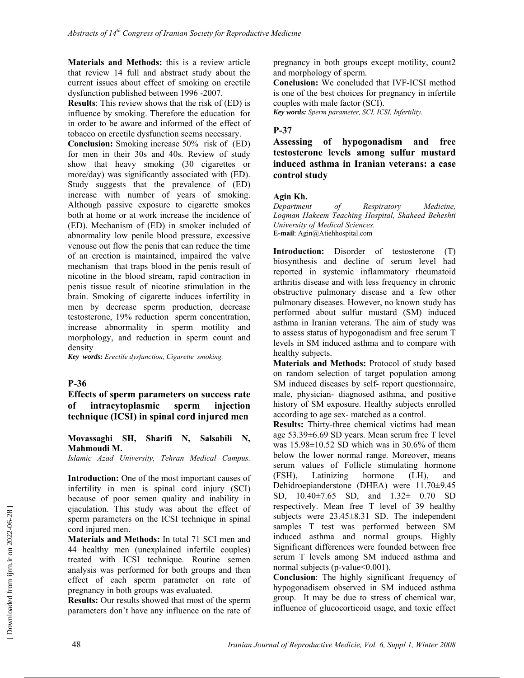**Materials and Methods:** this is a review article that review 14 full and abstract study about the current issues about effect of smoking on erectile dysfunction published between 1996 -2007.

**Results**: This review shows that the risk of (ED) is influence by smoking. Therefore the education for in order to be aware and informed of the effect of tobacco on erectile dysfunction seems necessary.

**Conclusion:** Smoking increase 50% risk of (ED) for men in their 30s and 40s. Review of study show that heavy smoking (30 cigarettes or more/day) was significantly associated with (ED). Study suggests that the prevalence of (ED) increase with number of years of smoking. Although passive exposure to cigarette smokes both at home or at work increase the incidence of (ED). Mechanism of (ED) in smoker included of abnormality low penile blood pressure, excessive venouse out flow the penis that can reduce the time of an erection is maintained, impaired the valve mechanism that traps blood in the penis result of nicotine in the blood stream, rapid contraction in penis tissue result of nicotine stimulation in the brain. Smoking of cigarette induces infertility in men by decrease sperm production, decrease testosterone, 19% reduction sperm concentration, increase abnormality in sperm motility and morphology, and reduction in sperm count and density

*Key words: Erectile dysfunction, Cigarette smoking.* 

### **P-36**

**Effects of sperm parameters on success rate of intracytoplasmic sperm injection technique (ICSI) in spinal cord injured men** 

**Movassaghi SH, Sharifi N, Salsabili N, Mahmoudi M.** 

*Islamic Azad University, Tehran Medical Campus.* 

**Introduction:** One of the most important causes of infertility in men is spinal cord injury (SCI) because of poor semen quality and inability in ejaculation. This study was about the effect of sperm parameters on the ICSI technique in spinal cord injured men.

**Materials and Methods:** In total 71 SCI men and 44 healthy men (unexplained infertile couples) treated with ICSI technique. Routine semen analysis was performed for both groups and then effect of each sperm parameter on rate of pregnancy in both groups was evaluated.

**Results:** Our results showed that most of the sperm parameters don't have any influence on the rate of pregnancy in both groups except motility, count2 and morphology of sperm.

**Conclusion:** We concluded that IVF-ICSI method is one of the best choices for pregnancy in infertile couples with male factor (SCI).

*Key words: Sperm parameter, SCI, ICSI, Infertility.* 

#### **P-37**

**Assessing of hypogonadism and free testosterone levels among sulfur mustard induced asthma in Iranian veterans: a case control study** 

#### **Agin Kh.**

*Department of Respiratory Medicine, Loqman Hakeem Teaching Hospital, Shaheed Beheshti University of Medical Sciences.*  **E-mail**: Agin@Atiehhospital.com

**Introduction:** Disorder of testosterone (T) biosynthesis and decline of serum level had reported in systemic inflammatory rheumatoid arthritis disease and with less frequency in chronic obstructive pulmonary disease and a few other pulmonary diseases. However, no known study has performed about sulfur mustard (SM) induced asthma in Iranian veterans. The aim of study was to assess status of hypogonadism and free serum T levels in SM induced asthma and to compare with healthy subjects.

**Materials and Methods:** Protocol of study based on random selection of target population among SM induced diseases by self- report questionnaire, male, physician- diagnosed asthma, and positive history of SM exposure. Healthy subjects enrolled according to age sex- matched as a control.

**Results:** Thirty-three chemical victims had mean age 53.39±6.69 SD years. Mean serum free T level was  $15.98\pm10.52$  SD which was in 30.6% of them below the lower normal range. Moreover, means serum values of Follicle stimulating hormone (FSH), Latinizing hormone (LH), and Dehidroepianderstone (DHEA) were 11.70±9.45 SD, 10.40±7.65 SD, and 1.32± 0.70 SD respectively. Mean free T level of 39 healthy subjects were 23.45±8.31 SD. The independent samples T test was performed between SM induced asthma and normal groups. Highly Significant differences were founded between free serum T levels among SM induced asthma and normal subjects (p-value < 0.001).

**Conclusion**: The highly significant frequency of hypogonadisem observed in SM induced asthma group. It may be due to stress of chemical war, influence of glucocorticoid usage, and toxic effect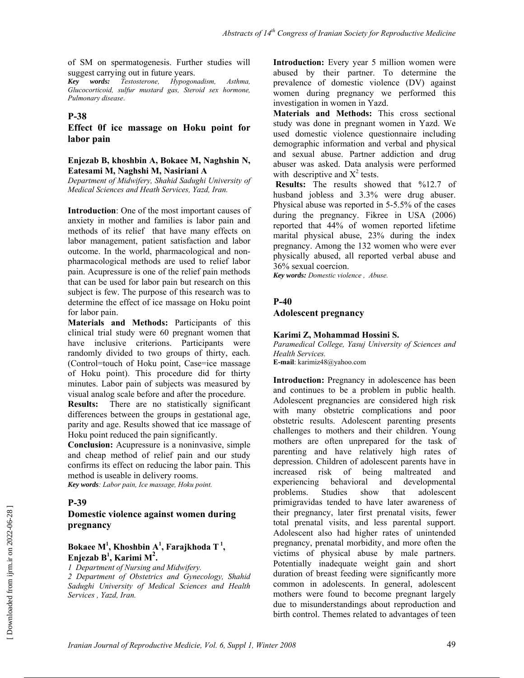of SM on spermatogenesis. Further studies will suggest carrying out in future years.

*Key words: Testosterone, Hypogonadism, Asthma, Glucocorticoid, sulfur mustard gas, Steroid sex hormone, Pulmonary disease*.

#### **P-38**

#### **Effect 0f ice massage on Hoku point for labor pain**

#### **Enjezab B, khoshbin A, Bokaee M, Naghshin N, Eatesami M, Naghshi M, Nasiriani A**

*Department of Midwifery, Shahid Sadughi University of Medical Sciences and Heath Services, Yazd, Iran.* 

**Introduction**: One of the most important causes of anxiety in mother and families is labor pain and methods of its relief that have many effects on labor management, patient satisfaction and labor outcome. In the world, pharmacological and nonpharmacological methods are used to relief labor pain. Acupressure is one of the relief pain methods that can be used for labor pain but research on this subject is few. The purpose of this research was to determine the effect of ice massage on Hoku point for labor pain.

**Materials and Methods:** Participants of this clinical trial study were 60 pregnant women that have inclusive criterions. Participants were randomly divided to two groups of thirty, each. (Control=touch of Hoku point, Case=ice massage of Hoku point). This procedure did for thirty minutes. Labor pain of subjects was measured by visual analog scale before and after the procedure.

**Results:** There are no statistically significant differences between the groups in gestational age, parity and age. Results showed that ice massage of Hoku point reduced the pain significantly.

**Conclusion:** Acupressure is a noninvasive, simple and cheap method of relief pain and our study confirms its effect on reducing the labor pain. This method is useable in delivery rooms.

*Key words: Labor pain, Ice massage, Hoku point.* 

#### **P-39**

### **Domestic violence against women during pregnancy**

### **Bokaee M1 , Khoshbin A1 , Farajkhoda T 1, Enjezab B<sup>1</sup> , Karimi M2 .**

*1 Department of Nursing and Midwifery.* 

*2 Department of Obstetrics and Gynecology, Shahid Sadughi University of Medical Sciences and Health Services , Yazd, Iran.* 

**Introduction:** Every year 5 million women were abused by their partner. To determine the prevalence of domestic violence (DV) against women during pregnancy we performed this investigation in women in Yazd.

**Materials and Methods:** This cross sectional study was done in pregnant women in Yazd. We used domestic violence questionnaire including demographic information and verbal and physical and sexual abuse. Partner addiction and drug abuser was asked. Data analysis were performed with descriptive and  $X^2$  tests.

**Results:** The results showed that %12.7 of husband jobless and 3.3% were drug abuser. Physical abuse was reported in 5-5.5% of the cases during the pregnancy. Fikree in USA (2006) reported that 44% of women reported lifetime marital physical abuse, 23% during the index pregnancy. Among the 132 women who were ever physically abused, all reported verbal abuse and 36% sexual coercion.

*Key words: Domestic violence , Abuse.*

#### **P-40**

**Adolescent pregnancy** 

#### **Karimi Z, Mohammad Hossini S.**

*Paramedical College, Yasuj University of Sciences and Health Services.*  **E-mail**: karimiz48@yahoo.com

**Introduction:** Pregnancy in adolescence has been and continues to be a problem in public health. Adolescent pregnancies are considered high risk with many obstetric complications and poor obstetric results. Adolescent parenting presents challenges to mothers and their children. Young mothers are often unprepared for the task of parenting and have relatively high rates of depression. Children of adolescent parents have in increased risk of being maltreated and experiencing behavioral and developmental problems. Studies show that adolescent primigravidas tended to have later awareness of their pregnancy, later first prenatal visits, fewer total prenatal visits, and less parental support. Adolescent also had higher rates of unintended pregnancy, prenatal morbidity, and more often the victims of physical abuse by male partners. Potentially inadequate weight gain and short duration of breast feeding were significantly more common in adolescents. In general, adolescent mothers were found to become pregnant largely due to misunderstandings about reproduction and birth control. Themes related to advantages of teen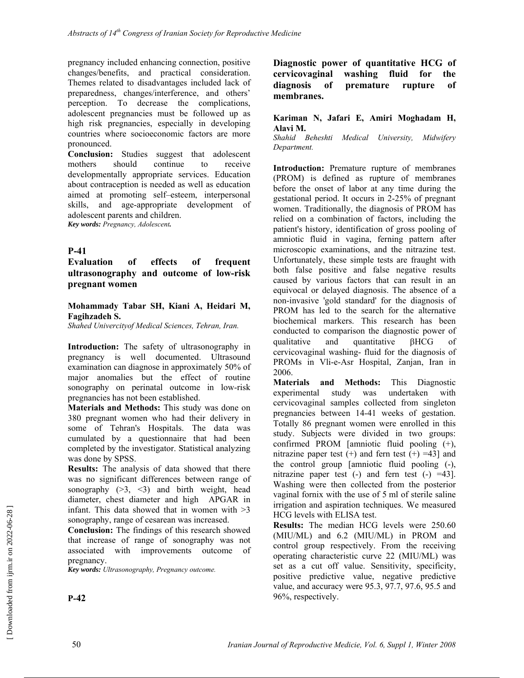pregnancy included enhancing connection, positive changes/benefits, and practical consideration. Themes related to disadvantages included lack of preparedness, changes/interference, and others' perception. To decrease the complications, adolescent pregnancies must be followed up as high risk pregnancies, especially in developing countries where socioeconomic factors are more pronounced.

**Conclusion:** Studies suggest that adolescent mothers should continue to receive developmentally appropriate services. Education about contraception is needed as well as education aimed at promoting self–esteem, interpersonal skills, and age-appropriate development of adolescent parents and children.

*Key words: Pregnancy, Adolescent.* 

### **P-41**

**Evaluation of effects of frequent ultrasonography and outcome of low-risk pregnant women** 

**Mohammady Tabar SH, Kiani A, Heidari M, Fagihzadeh S.** 

*Shahed Univercityof Medical Sciences, Tehran, Iran.* 

**Introduction:** The safety of ultrasonography in pregnancy is well documented. Ultrasound examination can diagnose in approximately 50% of major anomalies but the effect of routine sonography on perinatal outcome in low-risk pregnancies has not been established.

**Materials and Methods:** This study was done on 380 pregnant women who had their delivery in some of Tehran's Hospitals. The data was cumulated by a questionnaire that had been completed by the investigator. Statistical analyzing was done by SPSS.

**Results:** The analysis of data showed that there was no significant differences between range of sonography  $(>3, <3)$  and birth weight, head diameter, chest diameter and high APGAR in infant. This data showed that in women with  $>3$ sonography, range of cesarean was increased.

**Conclusion:** The findings of this research showed that increase of range of sonography was not associated with improvements outcome of pregnancy.

*Key words: Ultrasonography, Pregnancy outcome.* 

**Diagnostic power of quantitative HCG of cervicovaginal washing fluid for the diagnosis of premature rupture of membranes.** 

#### **Kariman N, Jafari E, Amiri Moghadam H, Alavi M.**

*Shahid Beheshti Medical University, Midwifery Department.* 

**Introduction:** Premature rupture of membranes (PROM) is defined as rupture of membranes before the onset of labor at any time during the gestational period. It occurs in 2-25% of pregnant women. Traditionally, the diagnosis of PROM has relied on a combination of factors, including the patient's history, identification of gross pooling of amniotic fluid in vagina, ferning pattern after microscopic examinations, and the nitrazine test. Unfortunately, these simple tests are fraught with both false positive and false negative results caused by various factors that can result in an equivocal or delayed diagnosis. The absence of a non-invasive 'gold standard' for the diagnosis of PROM has led to the search for the alternative biochemical markers. This research has been conducted to comparison the diagnostic power of qualitative and quantitative βHCG of cervicovaginal washing- fluid for the diagnosis of PROMs in Vli-e-Asr Hospital, Zanjan, Iran in 2006.

**Materials and Methods:** This Diagnostic experimental study was undertaken with cervicovaginal samples collected from singleton pregnancies between 14-41 weeks of gestation. Totally 86 pregnant women were enrolled in this study. Subjects were divided in two groups: confirmed PROM [amniotic fluid pooling (+), nitrazine paper test  $(+)$  and fern test  $(+)$  =43] and the control group [amniotic fluid pooling (-), nitrazine paper test  $(-)$  and fern test  $(-)$  =43]. Washing were then collected from the posterior vaginal fornix with the use of 5 ml of sterile saline irrigation and aspiration techniques. We measured HCG levels with ELISA test.

**Results:** The median HCG levels were 250.60 (MIU/ML) and 6.2 (MIU/ML) in PROM and control group respectively. From the receiving operating characteristic curve 22 (MIU/ML) was set as a cut off value. Sensitivity, specificity, positive predictive value, negative predictive value, and accuracy were 95.3, 97.7, 97.6, 95.5 and 96%, respectively.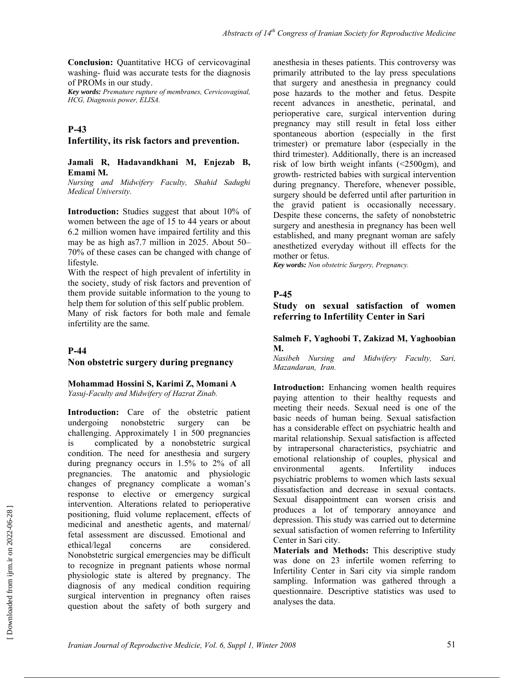**Conclusion:** Quantitative HCG of cervicovaginal washing- fluid was accurate tests for the diagnosis of PROMs in our study.

*Key words: Premature rupture of membranes, Cervicovaginal, HCG, Diagnosis power, ELISA.* 

### **P-43**

#### **Infertility, its risk factors and prevention.**

#### **Jamali R, Hadavandkhani M, Enjezab B, Emami M.**

*Nursing and Midwifery Faculty, Shahid Sadughi Medical University.* 

**Introduction:** Studies suggest that about 10% of women between the age of 15 to 44 years or about 6.2 million women have impaired fertility and this may be as high as7.7 million in 2025. About 50– 70% of these cases can be changed with change of lifestyle.

With the respect of high prevalent of infertility in the society, study of risk factors and prevention of them provide suitable information to the young to help them for solution of this self public problem. Many of risk factors for both male and female

**P-44** 

infertility are the same.

#### **Non obstetric surgery during pregnancy**

### **Mohammad Hossini S, Karimi Z, Momani A**

*Yasuj-Faculty and Midwifery of Hazrat Zinab.* 

**Introduction:** Care of the obstetric patient undergoing nonobstetric surgery can be challenging. Approximately 1 in 500 pregnancies is complicated by a nonobstetric surgical condition. The need for anesthesia and surgery during pregnancy occurs in 1.5% to 2% of all pregnancies. The anatomic and physiologic changes of pregnancy complicate a woman's response to elective or emergency surgical intervention. Alterations related to perioperative positioning, fluid volume replacement, effects of medicinal and anesthetic agents, and maternal/ fetal assessment are discussed. Emotional and ethical/legal concerns are considered. Nonobstetric surgical emergencies may be difficult to recognize in pregnant patients whose normal physiologic state is altered by pregnancy. The diagnosis of any medical condition requiring surgical intervention in pregnancy often raises question about the safety of both surgery and anesthesia in theses patients. This controversy was primarily attributed to the lay press speculations that surgery and anesthesia in pregnancy could pose hazards to the mother and fetus. Despite recent advances in anesthetic, perinatal, and perioperative care, surgical intervention during pregnancy may still result in fetal loss either spontaneous abortion (especially in the first trimester) or premature labor (especially in the third trimester). Additionally, there is an increased risk of low birth weight infants (<2500gm), and growth- restricted babies with surgical intervention during pregnancy. Therefore, whenever possible, surgery should be deferred until after parturition in the gravid patient is occasionally necessary. Despite these concerns, the safety of nonobstetric surgery and anesthesia in pregnancy has been well established, and many pregnant woman are safely anesthetized everyday without ill effects for the mother or fetus.

*Key words: Non obstetric Surgery, Pregnancy.* 

#### **P-45**

**Study on sexual satisfaction of women referring to Infertility Center in Sari** 

#### **Salmeh F, Yaghoobi T, Zakizad M, Yaghoobian M.**

*Nasibeh Nursing and Midwifery Faculty, Sari, Mazandaran, Iran.*

**Introduction:** Enhancing women health requires paying attention to their healthy requests and meeting their needs. Sexual need is one of the basic needs of human being. Sexual satisfaction has a considerable effect on psychiatric health and marital relationship. Sexual satisfaction is affected by intrapersonal characteristics, psychiatric and emotional relationship of couples, physical and environmental agents. Infertility induces psychiatric problems to women which lasts sexual dissatisfaction and decrease in sexual contacts. Sexual disappointment can worsen crisis and produces a lot of temporary annoyance and depression. This study was carried out to determine sexual satisfaction of women referring to Infertility Center in Sari city.

**Materials and Methods:** This descriptive study was done on 23 infertile women referring to Infertility Center in Sari city via simple random sampling. Information was gathered through a questionnaire. Descriptive statistics was used to analyses the data.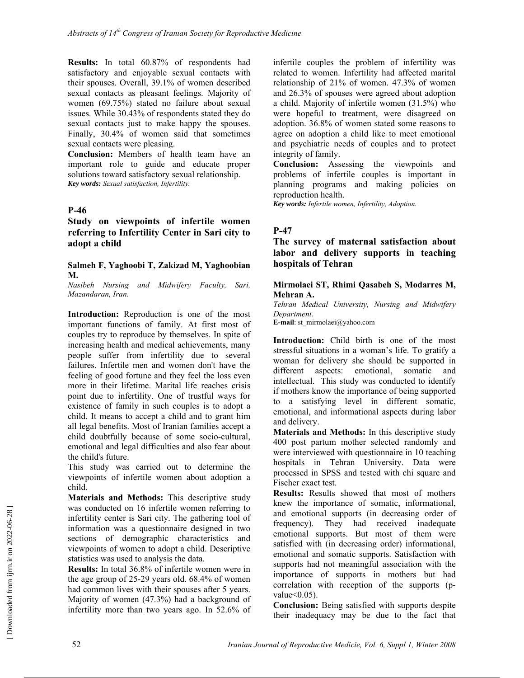**Results:** In total 60.87% of respondents had satisfactory and enjoyable sexual contacts with their spouses. Overall, 39.1% of women described sexual contacts as pleasant feelings. Majority of women (69.75%) stated no failure about sexual issues. While 30.43% of respondents stated they do sexual contacts just to make happy the spouses. Finally, 30.4% of women said that sometimes sexual contacts were pleasing.

**Conclusion:** Members of health team have an important role to guide and educate proper solutions toward satisfactory sexual relationship. *Key words: Sexual satisfaction, Infertility.* 

### **P-46**

**Study on viewpoints of infertile women referring to Infertility Center in Sari city to adopt a child** 

#### **Salmeh F, Yaghoobi T, Zakizad M, Yaghoobian M.**

*Nasibeh Nursing and Midwifery Faculty, Sari, Mazandaran, Iran.* 

**Introduction:** Reproduction is one of the most important functions of family. At first most of couples try to reproduce by themselves. In spite of increasing health and medical achievements, many people suffer from infertility due to several failures. Infertile men and women don't have the feeling of good fortune and they feel the loss even more in their lifetime. Marital life reaches crisis point due to infertility. One of trustful ways for existence of family in such couples is to adopt a child. It means to accept a child and to grant him all legal benefits. Most of Iranian families accept a child doubtfully because of some socio-cultural, emotional and legal difficulties and also fear about the child's future.

This study was carried out to determine the viewpoints of infertile women about adoption a child.

**Materials and Methods:** This descriptive study was conducted on 16 infertile women referring to infertility center is Sari city. The gathering tool of information was a questionnaire designed in two sections of demographic characteristics and viewpoints of women to adopt a child. Descriptive statistics was used to analysis the data.

**Results:** In total 36.8% of infertile women were in the age group of 25-29 years old. 68.4% of women had common lives with their spouses after 5 years. Majority of women (47.3%) had a background of infertility more than two years ago. In 52.6% of infertile couples the problem of infertility was related to women. Infertility had affected marital relationship of 21% of women. 47.3% of women and 26.3% of spouses were agreed about adoption a child. Majority of infertile women (31.5%) who were hopeful to treatment, were disagreed on adoption. 36.8% of women stated some reasons to agree on adoption a child like to meet emotional and psychiatric needs of couples and to protect integrity of family.

**Conclusion:** Assessing the viewpoints and problems of infertile couples is important in planning programs and making policies on reproduction health.

*Key words: Infertile women, Infertility, Adoption.* 

### **P-47**

### **The survey of maternal satisfaction about labor and delivery supports in teaching hospitals of Tehran**

#### **Mirmolaei ST, Rhimi Qasabeh S, Modarres M, Mehran A.**

*Tehran Medical University, Nursing and Midwifery Department.* 

**E-mail**: st\_mirmolaei@yahoo.com

**Introduction:** Child birth is one of the most stressful situations in a woman's life. To gratify a woman for delivery she should be supported in different aspects: emotional, somatic and intellectual. This study was conducted to identify if mothers know the importance of being supported to a satisfying level in different somatic, emotional, and informational aspects during labor and delivery.

**Materials and Methods:** In this descriptive study 400 post partum mother selected randomly and were interviewed with questionnaire in 10 teaching hospitals in Tehran University. Data were processed in SPSS and tested with chi square and Fischer exact test.

**Results:** Results showed that most of mothers knew the importance of somatic, informational, and emotional supports (in decreasing order of frequency). They had received inadequate emotional supports. But most of them were satisfied with (in decreasing order) informational, emotional and somatic supports. Satisfaction with supports had not meaningful association with the importance of supports in mothers but had correlation with reception of the supports (pvalue $<0.05$ ).

**Conclusion:** Being satisfied with supports despite their inadequacy may be due to the fact that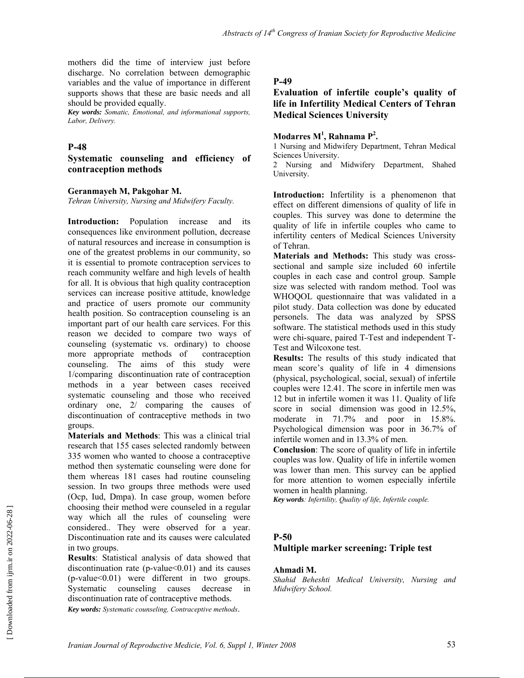mothers did the time of interview just before discharge. No correlation between demographic variables and the value of importance in different supports shows that these are basic needs and all should be provided equally.

*Key words: Somatic, Emotional, and informational supports, Labor, Delivery.* 

#### **P-48**

**Systematic counseling and efficiency of contraception methods** 

#### **Geranmayeh M, Pakgohar M.**

*Tehran University, Nursing and Midwifery Faculty.*

**Introduction:** Population increase and its consequences like environment pollution, decrease of natural resources and increase in consumption is one of the greatest problems in our community, so it is essential to promote contraception services to reach community welfare and high levels of health for all. It is obvious that high quality contraception services can increase positive attitude, knowledge and practice of users promote our community health position. So contraception counseling is an important part of our health care services. For this reason we decided to compare two ways of counseling (systematic vs. ordinary) to choose more appropriate methods of contraception counseling. The aims of this study were 1/comparing discontinuation rate of contraception methods in a year between cases received systematic counseling and those who received ordinary one, 2/ comparing the causes of discontinuation of contraceptive methods in two groups.

**Materials and Methods**: This was a clinical trial research that 155 cases selected randomly between 335 women who wanted to choose a contraceptive method then systematic counseling were done for them whereas 181 cases had routine counseling session. In two groups three methods were used (Ocp, Iud, Dmpa). In case group, women before choosing their method were counseled in a regular way which all the rules of counseling were considered.. They were observed for a year. Discontinuation rate and its causes were calculated in two groups.

**Results**: Statistical analysis of data showed that discontinuation rate ( $p$ -value $\leq 0.01$ ) and its causes (p-value<0.01) were different in two groups. Systematic counseling causes decrease in discontinuation rate of contraceptive methods.

*Key words: Systematic counseling, Contraceptive methods*.

#### **P-49**

### **Evaluation of infertile couple's quality of life in Infertility Medical Centers of Tehran Medical Sciences University**

#### **Modarres M1 , Rahnama P2 .**

1 Nursing and Midwifery Department, Tehran Medical Sciences University.

2 Nursing and Midwifery Department, Shahed University.

**Introduction:** Infertility is a phenomenon that effect on different dimensions of quality of life in couples. This survey was done to determine the quality of life in infertile couples who came to infertility centers of Medical Sciences University of Tehran.

**Materials and Methods:** This study was crosssectional and sample size included 60 infertile couples in each case and control group. Sample size was selected with random method. Tool was WHOQOL questionnaire that was validated in a pilot study. Data collection was done by educated personels. The data was analyzed by SPSS software. The statistical methods used in this study were chi-square, paired T-Test and independent T-Test and Wilcoxone test.

**Results:** The results of this study indicated that mean score's quality of life in 4 dimensions (physical, psychological, social, sexual) of infertile couples were 12.41. The score in infertile men was 12 but in infertile women it was 11. Quality of life score in social dimension was good in 12.5%, moderate in 71.7% and poor in 15.8%. Psychological dimension was poor in 36.7% of infertile women and in 13.3% of men.

**Conclusion**: The score of quality of life in infertile couples was low. Quality of life in infertile women was lower than men. This survey can be applied for more attention to women especially infertile women in health planning.

*Key words: Infertility, Quality of life, Infertile couple.* 

#### **P-50**

#### **Multiple marker screening: Triple test**

#### **Ahmadi M.**

*Shahid Beheshti Medical University, Nursing and Midwifery School.*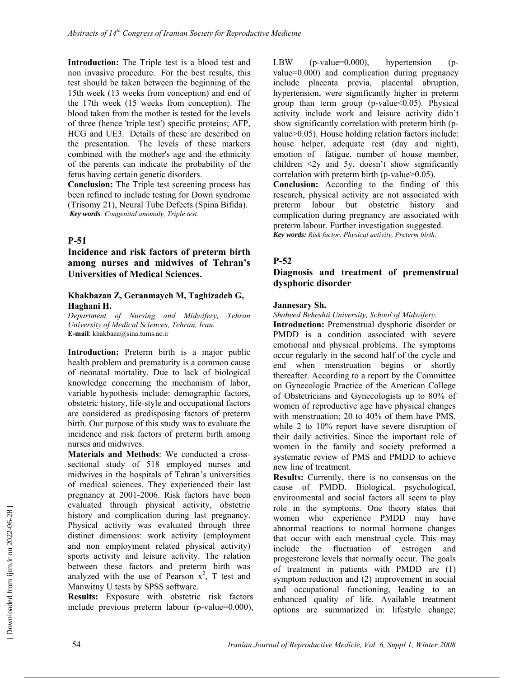**Introduction:** The Triple test is a blood test and non invasive procedure. For the best results, this test should be taken between the beginning of the 15th week (13 weeks from conception) and end of the 17th week (15 weeks from conception). The blood taken from the mother is tested for the levels of three (hence 'triple test') specific proteins; AFP, HCG and UE3. Details of these are described on the presentation. The levels of these markers combined with the mother's age and the ethnicity of the parents can indicate the probability of the fetus having certain genetic disorders.

**Conclusion:** The Triple test screening process has been refined to include testing for Down syndrome (Trisomy 21), Neural Tube Defects (Spina Bifida). *Key words: Congenital anomaly, Triple test.* 

### **P-51**

### **Incidence and risk factors of preterm birth among nurses and midwives of Tehran's Universities of Medical Sciences.**

#### **Khakbazan Z, Geranmayeh M, Taghizadeh G, Haghani H.**

*Department of Nursing and Midwifery, Tehran University of Medical Sciences, Tehran, Iran.*  **E-mail**: khakbaza@sina.tums.ac.ir

**Introduction:** Preterm birth is a major public health problem and prematurity is a common cause of neonatal mortality. Due to lack of biological knowledge concerning the mechanism of labor, variable hypothesis include: demographic factors, obstetric history, life-style and occupational factors are considered as predisposing factors of preterm birth. Our purpose of this study was to evaluate the incidence and risk factors of preterm birth among nurses and midwives.

**Materials and Methods**: We conducted a crosssectional study of 518 employed nurses and midwives in the hospitals of Tehran's universities of medical sciences. They experienced their last pregnancy at 2001-2006. Risk factors have been evaluated through physical activity, obstetric history and complication during last pregnancy. Physical activity was evaluated through three distinct dimensions: work activity (employment and non employment related physical activity) sports activity and leisure activity. The relation between these factors and preterm birth was analyzed with the use of Pearson  $x^2$ , T test and Manwitny U tests by SPSS software.

**Results:** Exposure with obstetric risk factors include previous preterm labour (p-value=0.000), LBW (p-value=0.000), hypertension (pvalue=0.000) and complication during pregnancy include placenta previa, placental abruption, hypertension, were significantly higher in preterm group than term group (p-value<0.05). Physical activity include work and leisure activity didn't show significantly correlation with preterm birth (pvalue>0.05). House holding relation factors include: house helper, adequate rest (day and night), emotion of fatigue, number of house member, children  $\langle 2y \rangle$  and 5y, doesn't show significantly correlation with preterm birth (p-value>0.05). **Conclusion:** According to the finding of this

research, physical activity are not associated with preterm labour but obstetric history and complication during pregnancy are associated with preterm labour. Further investigation suggested. *Key words: Risk factor, Physical activity, Preterm birth.* 

### **P-52**

### **Diagnosis and treatment of premenstrual dysphoric disorder**

#### **Jannesary Sh.**

*Shaheed Beheshti University, School of Midwifery.* 

**Introduction:** Premenstrual dysphoric disorder or PMDD is a condition associated with severe emotional and physical problems. The symptoms occur regularly in the second half of the cycle and end when menstruation begins or shortly thereafter. According to a report by the Committee on Gynecologic Practice of the American College of Obstetricians and Gynecologists up to 80% of women of reproductive age have physical changes with menstruation: 20 to 40% of them have PMS. while 2 to 10% report have severe disruption of their daily activities. Since the important role of women in the family and society preformed a systematic review of PMS and PMDD to achieve new line of treatment.

**Results:** Currently, there is no consensus on the cause of PMDD. Biological, psychological, environmental and social factors all seem to play role in the symptoms. One theory states that women who experience PMDD may have abnormal reactions to normal hormone changes that occur with each menstrual cycle. This may include the fluctuation of estrogen and progesterone levels that normally occur. The goals of treatment in patients with PMDD are (1) symptom reduction and (2) improvement in social and occupational functioning, leading to an enhanced quality of life. Available treatment options are summarized in: lifestyle change;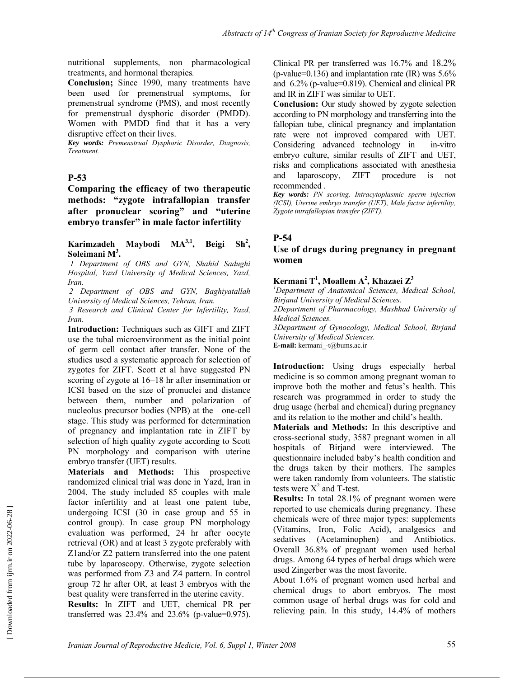nutritional supplements, non pharmacological treatments, and hormonal therapies*.* 

**Conclusion;** Since 1990, many treatments have been used for premenstrual symptoms, for premenstrual syndrome (PMS), and most recently for premenstrual dysphoric disorder (PMDD). Women with PMDD find that it has a very disruptive effect on their lives.

*Key words: Premenstrual Dysphoric Disorder, Diagnosis, Treatment.* 

### **P-53**

**Comparing the efficacy of two therapeutic methods: "zygote intrafallopian transfer after pronuclear scoring" and "uterine embryo transfer" in male factor infertility** 

#### Karimzadeh Maybodi MA<sup>3,1</sup>, Beigi  $Sh^2$ , **Soleimani M3 .**

 *1 Department of OBS and GYN, Shahid Sadughi Hospital, Yazd University of Medical Sciences, Yazd, Iran.* 

*2 Department of OBS and GYN, Baghiyatallah University of Medical Sciences, Tehran, Iran.* 

*3 Research and Clinical Center for Infertility, Yazd, Iran.* 

**Introduction:** Techniques such as GIFT and ZIFT use the tubal microenvironment as the initial point of germ cell contact after transfer. None of the studies used a systematic approach for selection of zygotes for ZIFT. Scott et al have suggested PN scoring of zygote at 16–18 hr after insemination or ICSI based on the size of pronuclei and distance between them, number and polarization of nucleolus precursor bodies (NPB) at the one-cell stage. This study was performed for determination of pregnancy and implantation rate in ZIFT by selection of high quality zygote according to Scott PN morphology and comparison with uterine embryo transfer (UET) results.

**Materials and Methods:** This prospective randomized clinical trial was done in Yazd, Iran in 2004. The study included 85 couples with male factor infertility and at least one patent tube, undergoing ICSI (30 in case group and 55 in control group). In case group PN morphology evaluation was performed, 24 hr after oocyte retrieval (OR) and at least 3 zygote preferably with Z1and/or Z2 pattern transferred into the one patent tube by laparoscopy. Otherwise, zygote selection was performed from Z3 and Z4 pattern. In control group 72 hr after OR, at least 3 embryos with the best quality were transferred in the uterine cavity.

**Results:** In ZIFT and UET, chemical PR per transferred was  $23.4\%$  and  $23.6\%$  (p-value=0.975). Clinical PR per transferred was 16.7% and 18.2% (p-value=0.136) and implantation rate  $(IR)$  was  $5.6\%$ and 6.2% (p-value=0.819). Chemical and clinical PR and IR in ZIFT was similar to UET.

**Conclusion:** Our study showed by zygote selection according to PN morphology and transferring into the fallopian tube, clinical pregnancy and implantation rate were not improved compared with UET. Considering advanced technology in in-vitro embryo culture, similar results of ZIFT and UET, risks and complications associated with anesthesia and laparoscopy, ZIFT procedure is not recommended .

*Key words: PN scoring, Intracytoplasmic sperm injection (ICSI), Uterine embryo transfer (UET), Male factor infertility, Zygote intrafallopian transfer (ZIFT).* 

### **P-54**

### **Use of drugs during pregnancy in pregnant women**

#### **Kermani T<sup>1</sup> , Moallem A<sup>2</sup> , Khazaei Z3**

*1 Department of Anatomical Sciences, Medical School, Birjand University of Medical Sciences.* 

*2Department of Pharmacology, Mashhad University of Medical Sciences.* 

*3Department of Gynocology, Medical School, Birjand University of Medical Sciences.*  **E-mail:** kermani -t@bums.ac.ir

**Introduction:** Using drugs especially herbal medicine is so common among pregnant woman to improve both the mother and fetus's health. This research was programmed in order to study the drug usage (herbal and chemical) during pregnancy and its relation to the mother and child's health.

**Materials and Methods:** In this descriptive and cross-sectional study, 3587 pregnant women in all hospitals of Birjand were interviewed. The questionnaire included baby's health condition and the drugs taken by their mothers. The samples were taken randomly from volunteers. The statistic tests were  $X^2$  and T-test.

**Results:** In total 28.1% of pregnant women were reported to use chemicals during pregnancy. These chemicals were of three major types: supplements (Vitamins, Iron, Folic Acid), analgesics and sedatives (Acetaminophen) and Antibiotics. Overall 36.8% of pregnant women used herbal drugs. Among 64 types of herbal drugs which were used Zingerber was the most favorite.

About 1.6% of pregnant women used herbal and chemical drugs to abort embryos. The most common usage of herbal drugs was for cold and relieving pain. In this study, 14.4% of mothers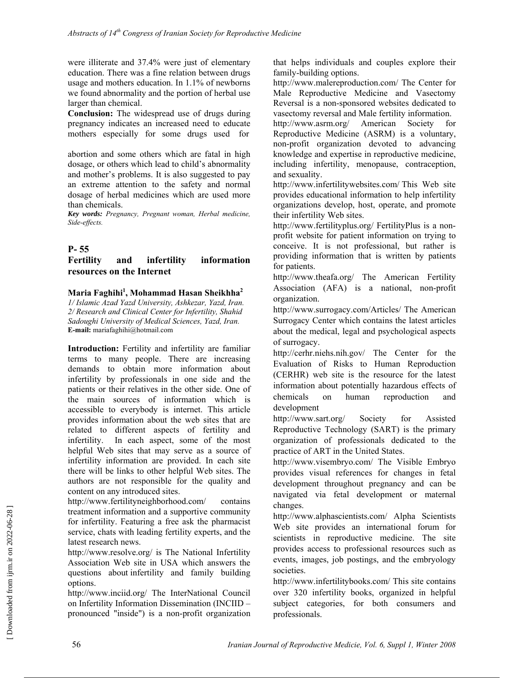were illiterate and 37.4% were just of elementary education. There was a fine relation between drugs usage and mothers education. In 1.1% of newborns we found abnormality and the portion of herbal use larger than chemical.

**Conclusion:** The widespread use of drugs during pregnancy indicates an increased need to educate mothers especially for some drugs used for

abortion and some others which are fatal in high dosage, or others which lead to child's abnormality and mother's problems. It is also suggested to pay an extreme attention to the safety and normal dosage of herbal medicines which are used more than chemicals.

*Key words: Pregnancy, Pregnant woman, Herbal medicine, Side-effects.*

### **P- 55**

### **Fertility and infertility information resources on the Internet**

#### **Maria Faghihi1 , Mohammad Hasan Sheikhha2**

*1/ Islamic Azad Yazd University, Ashkezar, Yazd, Iran. 2/ Research and Clinical Center for Infertility, Shahid Sadoughi University of Medical Sciences, Yazd, Iran.*  **E-mail:** mariafaghihi@hotmail.com

**Introduction:** Fertility and infertility are familiar terms to many people. There are increasing demands to obtain more information about infertility by professionals in one side and the patients or their relatives in the other side. One of the main sources of information which is accessible to everybody is internet. This article provides information about the web sites that are related to different aspects of fertility and infertility. In each aspect, some of the most helpful Web sites that may serve as a source of infertility information are provided. In each site there will be links to other helpful Web sites. The authors are not responsible for the quality and content on any introduced sites.

http://www.fertilityneighborhood.com/ contains treatment information and a supportive community for infertility. Featuring a free ask the pharmacist service, chats with leading fertility experts, and the latest research news.

http://www.resolve.org/ is The National Infertility Association Web site in USA which answers the questions about infertility and family building options.

http://www.inciid.org/ The InterNational Council on Infertility Information Dissemination (INCIID – pronounced "inside") is a non-profit organization that helps individuals and couples explore their family-building options.

http://www.malereproduction.com/ The Center for Male Reproductive Medicine and Vasectomy Reversal is a non-sponsored websites dedicated to vasectomy reversal and Male fertility information.

http://www.asrm.org/ American Society for Reproductive Medicine (ASRM) is a voluntary, non-profit organization devoted to advancing knowledge and expertise in reproductive medicine, including infertility, menopause, contraception, and sexuality.

http://www.infertilitywebsites.com/ This Web site provides educational information to help infertility organizations develop, host, operate, and promote their infertility Web sites.

http://www.fertilityplus.org/ FertilityPlus is a nonprofit website for patient information on trying to conceive. It is not professional, but rather is providing information that is written by patients for patients.

http://www.theafa.org/ The American Fertility Association (AFA) is a national, non-profit organization.

http://www.surrogacy.com/Articles/ The American Surrogacy Center which contains the latest articles about the medical, legal and psychological aspects of surrogacy.

http://cerhr.niehs.nih.gov/ The Center for the Evaluation of Risks to Human Reproduction (CERHR) web site is the resource for the latest information about potentially hazardous effects of chemicals on human reproduction and development

http://www.sart.org/ Society for Assisted Reproductive Technology (SART) is the primary organization of professionals dedicated to the practice of ART in the United States.

http://www.visembryo.com/ The Visible Embryo provides visual references for changes in fetal development throughout pregnancy and can be navigated via fetal development or maternal changes.

http://www.alphascientists.com/ Alpha Scientists Web site provides an international forum for scientists in reproductive medicine. The site provides access to professional resources such as events, images, job postings, and the embryology societies.

http://www.infertilitybooks.com/ This site contains over 320 infertility books, organized in helpful subject categories, for both consumers and professionals.